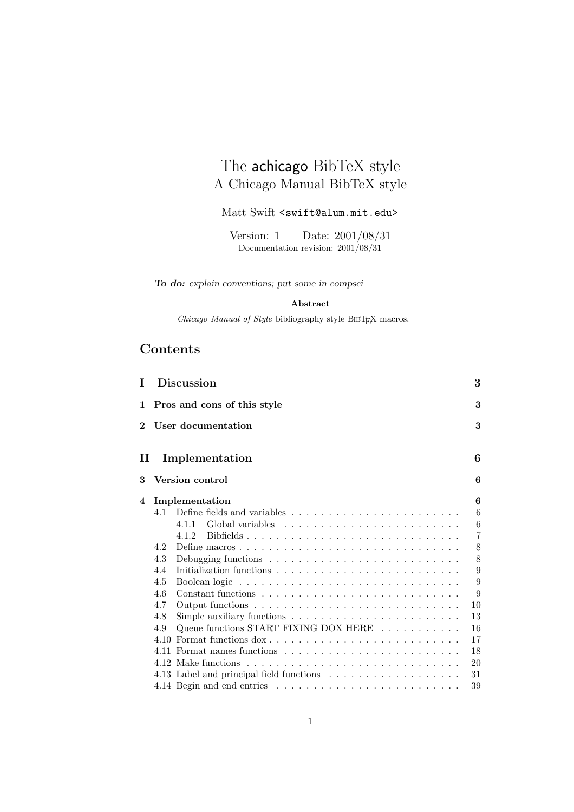# The achicago BibTeX style A Chicago Manual BibTeX style

## Matt Swift <swift@alum.mit.edu>

Documentation revision:  $2001/08/31$  $\mathcal{L}$   $\mathcal{L}$   $\mathcal{L}$   $\mathcal{L}$   $\mathcal{L}$   $\mathcal{L}$   $\mathcal{L}$   $\mathcal{L}$   $\mathcal{L}$   $\mathcal{L}$   $\mathcal{L}$   $\mathcal{L}$   $\mathcal{L}$   $\mathcal{L}$   $\mathcal{L}$   $\mathcal{L}$   $\mathcal{L}$   $\mathcal{L}$   $\mathcal{L}$   $\mathcal{L}$   $\mathcal{L}$   $\mathcal{L}$   $\mathcal{L}$   $\mathcal{L}$   $\mathcal{$ 

*To do: explain conventions; put some in compsci*

#### **Abstract**

 $Chicago$   $Manual$   $of$   $Style$   $bibliography$  style  $\rm BIBT_{E}\!X$  macros.

# **Contents**

| Τ        |      | <b>Discussion</b>                                                             | 3              |
|----------|------|-------------------------------------------------------------------------------|----------------|
| 1        |      | Pros and cons of this style                                                   | 3              |
| $\bf{2}$ |      | User documentation                                                            | 3              |
| П        |      | Implementation                                                                | 6              |
| 3        |      | Version control                                                               | 6              |
| 4        |      | Implementation                                                                | 6              |
|          | 4.1  |                                                                               | 6              |
|          |      | 411                                                                           | 6              |
|          |      | Bibfields<br>4.1.2                                                            | $\overline{7}$ |
|          | 4.2  |                                                                               | 8              |
|          | 4.3  | Debugging functions $\ldots \ldots \ldots \ldots \ldots \ldots \ldots \ldots$ | 8              |
|          | 4.4  |                                                                               | 9              |
|          | 4.5  |                                                                               | 9              |
|          | 4.6  |                                                                               | 9              |
|          | 4.7  |                                                                               | 10             |
|          | 4.8  | Simple auxiliary functions $\dots \dots \dots \dots \dots \dots \dots \dots$  | 13             |
|          | 4.9  | Queue functions START FIXING DOX HERE                                         | 16             |
|          | 4.10 |                                                                               | 17             |
|          |      |                                                                               | 18             |
|          |      |                                                                               | 20             |
|          |      |                                                                               | 31             |
|          |      |                                                                               | 39             |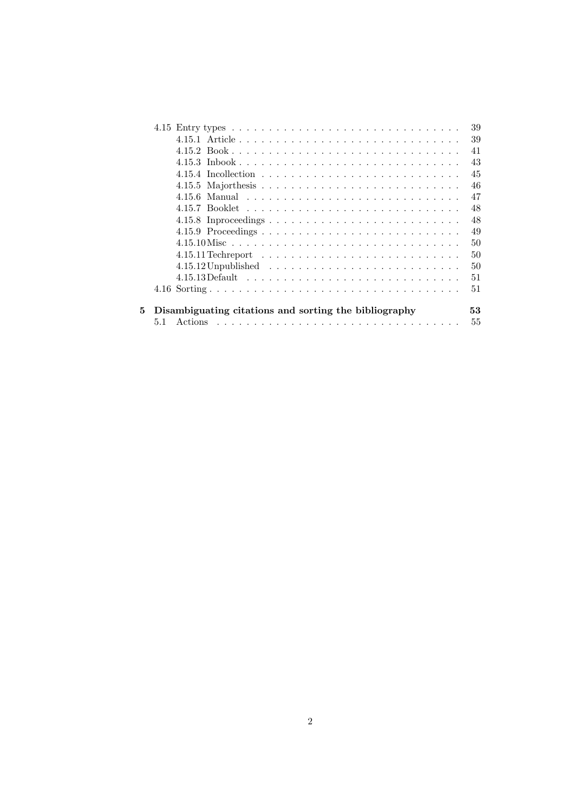|                                                       | 39 |
|-------------------------------------------------------|----|
|                                                       | 39 |
|                                                       | 41 |
|                                                       | 43 |
|                                                       | 45 |
|                                                       | 46 |
|                                                       | 47 |
|                                                       | 48 |
|                                                       | 48 |
|                                                       | 49 |
|                                                       | 50 |
|                                                       | 50 |
|                                                       | 50 |
|                                                       | 51 |
|                                                       | 51 |
|                                                       |    |
| Disambiguating citations and sorting the bibliography | 53 |
|                                                       | 55 |
|                                                       |    |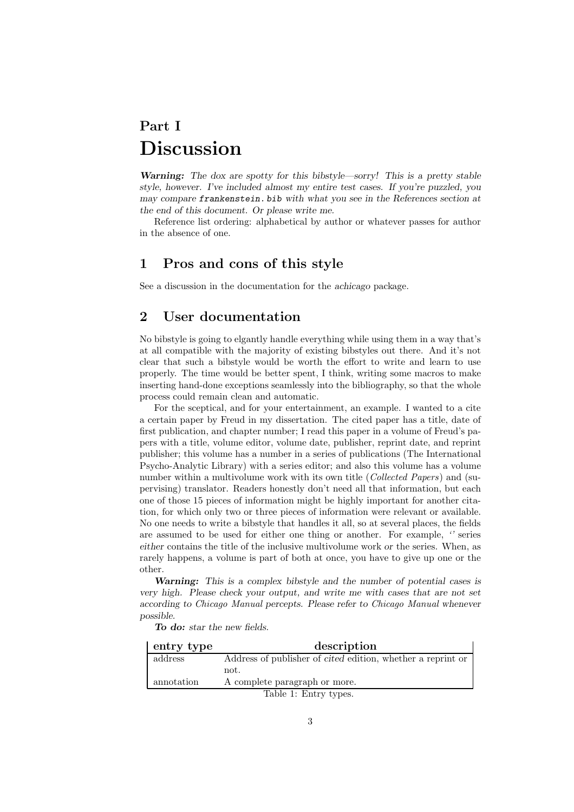# **Part I Discussion**

*Warning: The dox are spotty for this bibstyle—sorry! This is a pretty stable style, however. I've included almost my entire test cases. If you're puzzled, you may compare frankenstein. bib with what you see in the References section at the end of this document. Or please write me.*

Reference list ordering: alphabetical by author or whatever passes for author in the absence of one.

## **1 Pros and cons of this style**

See a discussion in the documentation for the *achicago* package.

## **2 User documentation**

No bibstyle is going to elgantly handle everything while using them in a way that's at all compatible with the majority of existing bibstyles out there. And it's not clear that such a bibstyle would be worth the effort to write and learn to use properly. The time would be better spent, I think, writing some macros to make inserting hand-done exceptions seamlessly into the bibliography, so that the whole process could remain clean and automatic.

For the sceptical, and for your entertainment, an example. I wanted to a cite a certain paper by Freud in my dissertation. The cited paper has a title, date of first publication, and chapter number; I read this paper in a volume of Freud's papers with a title, volume editor, volume date, publisher, reprint date, and reprint publisher; this volume has a number in a series of publications (The International Psycho-Analytic Library) with a series editor; and also this volume has a volume number within a multivolume work with its own title (*Collected Papers*) and (supervising) translator. Readers honestly don't need all that information, but each one of those 15 pieces of information might be highly important for another citation, for which only two or three pieces of information were relevant or available. No one needs to write a bibstyle that handles it all, so at several places, the fields are assumed to be used for either one thing or another. For example, *''* series *either* contains the title of the inclusive multivolume work *or* the series. When, as rarely happens, a volume is part of both at once, you have to give up one or the other.

*Warning: This is a complex bibstyle and the number of potential cases is very high. Please check your output, and write me with cases that are not set according to Chicago Manual percepts. Please refer to Chicago Manual whenever possible.*

*To do: star the new fields.*

| entry type            | description                                                        |  |
|-----------------------|--------------------------------------------------------------------|--|
| address               | Address of publisher of <i>cited</i> edition, whether a reprint or |  |
|                       | not.                                                               |  |
| annotation            | A complete paragraph or more.                                      |  |
| Table 1: Entry types. |                                                                    |  |

3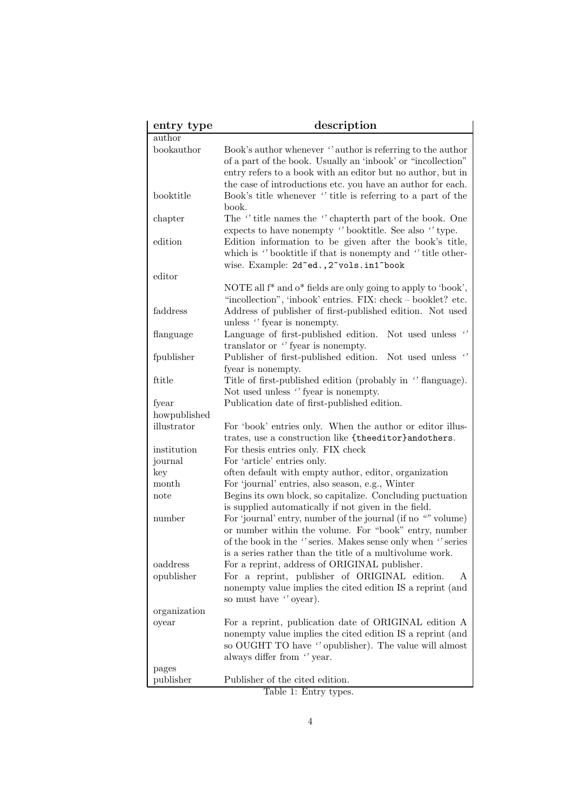| entry type   | description                                                                                                                                                                                                                                             |
|--------------|---------------------------------------------------------------------------------------------------------------------------------------------------------------------------------------------------------------------------------------------------------|
| author       |                                                                                                                                                                                                                                                         |
| bookauthor   | Book's author whenever "author is referring to the author<br>of a part of the book. Usually an 'inbook' or "incollection"<br>entry refers to a book with an editor but no author, but in<br>the case of introductions etc. you have an author for each. |
| booktitle    | Book's title whenever "title is referring to a part of the<br>book.                                                                                                                                                                                     |
| chapter      | The "title names the "chapterth part of the book. One<br>expects to have nonempty "booktitle. See also "type.                                                                                                                                           |
| edition      | Edition information to be given after the book's title,<br>which is "booktitle if that is nonempty and "title other-<br>wise. Example: 2d"ed., 2"vols.in1"book                                                                                          |
| editor       |                                                                                                                                                                                                                                                         |
|              | NOTE all $f^*$ and $o^*$ fields are only going to apply to 'book',                                                                                                                                                                                      |
| faddress     | "incollection", 'inbook' entries. FIX: check – booklet? etc.<br>Address of publisher of first-published edition. Not used<br>unless "fyear is nonempty.                                                                                                 |
| flanguage    | Language of first-published edition.<br>Not used unless<br>translator or "fyear is nonempty.                                                                                                                                                            |
| fpublisher   | Not used unless $\cdot'$<br>Publisher of first-published edition.<br>fyear is nonempty.                                                                                                                                                                 |
| ftitle       | Title of first-published edition (probably in "flanguage).<br>Not used unless "fyear is nonempty.                                                                                                                                                       |
| fyear        | Publication date of first-published edition.                                                                                                                                                                                                            |
| howpublished |                                                                                                                                                                                                                                                         |
| illustrator  | For 'book' entries only. When the author or editor illus-                                                                                                                                                                                               |
|              | trates, use a construction like {theeditor}andothers.                                                                                                                                                                                                   |
| institution  | For thesis entries only. FIX check                                                                                                                                                                                                                      |
| journal      | For 'article' entries only.                                                                                                                                                                                                                             |
| key          | often default with empty author, editor, organization                                                                                                                                                                                                   |
| month        | For 'journal' entries, also season, e.g., Winter                                                                                                                                                                                                        |
| note         | Begins its own block, so capitalize. Concluding puctuation<br>is supplied automatically if not given in the field.                                                                                                                                      |
| number       | For 'journal' entry, number of the journal (if no "" volume)<br>or number within the volume. For "book" entry, number<br>of the book in the "series. Makes sense only when "series"<br>is a series rather than the title of a multivolume work.         |
| oaddress     | For a reprint, address of ORIGINAL publisher.                                                                                                                                                                                                           |
| opublisher   | For a reprint, publisher of ORIGINAL edition.<br>A                                                                                                                                                                                                      |
|              | nonempty value implies the cited edition IS a reprint (and<br>so must have "oyear).                                                                                                                                                                     |
| organization |                                                                                                                                                                                                                                                         |
| oyear        | For a reprint, publication date of ORIGINAL edition A                                                                                                                                                                                                   |
|              | nonempty value implies the cited edition IS a reprint (and<br>so OUGHT TO have "opublisher). The value will almost<br>always differ from "year.                                                                                                         |
| pages        |                                                                                                                                                                                                                                                         |
| publisher    | Publisher of the cited edition.                                                                                                                                                                                                                         |

Table 1: Entry types.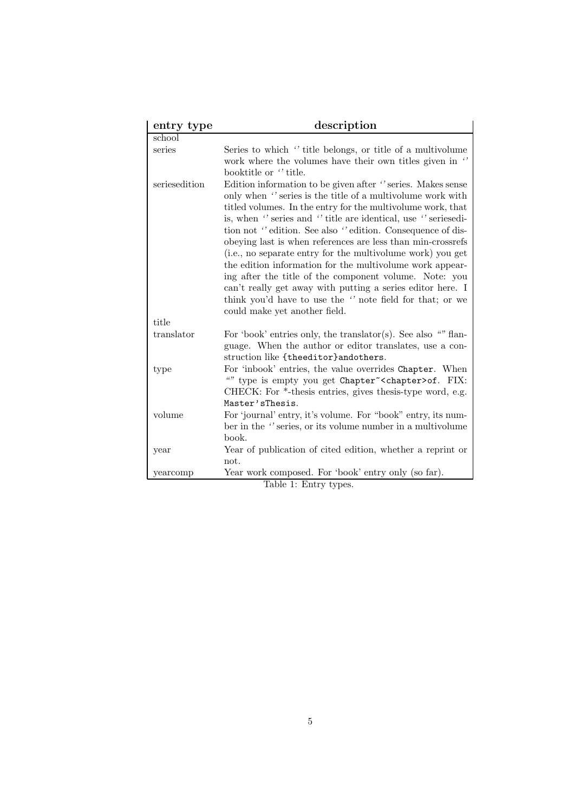| entry type    | description                                                                                                                                                                                                                                                                                                                                                                                                                                                                                                                                                                                                                                                                                                                      |
|---------------|----------------------------------------------------------------------------------------------------------------------------------------------------------------------------------------------------------------------------------------------------------------------------------------------------------------------------------------------------------------------------------------------------------------------------------------------------------------------------------------------------------------------------------------------------------------------------------------------------------------------------------------------------------------------------------------------------------------------------------|
| school        |                                                                                                                                                                                                                                                                                                                                                                                                                                                                                                                                                                                                                                                                                                                                  |
| series        | Series to which "title belongs, or title of a multivolume<br>work where the volumes have their own titles given in "<br>booktitle or "title.                                                                                                                                                                                                                                                                                                                                                                                                                                                                                                                                                                                     |
| seriesedition | Edition information to be given after "series. Makes sense<br>only when " series is the title of a multivolume work with<br>titled volumes. In the entry for the multivolume work, that<br>is, when "series and "title are identical, use "seriesedi-<br>tion not "edition. See also "edition. Consequence of dis-<br>obeying last is when references are less than min-crossrefs<br>(i.e., no separate entry for the multivolume work) you get<br>the edition information for the multivolume work appear-<br>ing after the title of the component volume. Note: you<br>can't really get away with putting a series editor here. I<br>think you'd have to use the " note field for that; or we<br>could make yet another field. |
| title         |                                                                                                                                                                                                                                                                                                                                                                                                                                                                                                                                                                                                                                                                                                                                  |
| translator    | For 'book' entries only, the translator(s). See also "" flan-<br>guage. When the author or editor translates, use a con-<br>struction like {theeditor}andothers.                                                                                                                                                                                                                                                                                                                                                                                                                                                                                                                                                                 |
| type          | For 'inbook' entries, the value overrides Chapter. When<br>"" type is empty you get Chapter~ <chapter>of. FIX:<br/>CHECK: For *-thesis entries, gives thesis-type word, e.g.<br/>Master'sThesis.</chapter>                                                                                                                                                                                                                                                                                                                                                                                                                                                                                                                       |
| volume        | For 'journal' entry, it's volume. For "book" entry, its num-<br>ber in the "series, or its volume number in a multivolume<br>book.                                                                                                                                                                                                                                                                                                                                                                                                                                                                                                                                                                                               |
| year          | Year of publication of cited edition, whether a reprint or<br>not.                                                                                                                                                                                                                                                                                                                                                                                                                                                                                                                                                                                                                                                               |
| yearcomp      | Year work composed. For 'book' entry only (so far).                                                                                                                                                                                                                                                                                                                                                                                                                                                                                                                                                                                                                                                                              |
|               | Table 1: Entry types.                                                                                                                                                                                                                                                                                                                                                                                                                                                                                                                                                                                                                                                                                                            |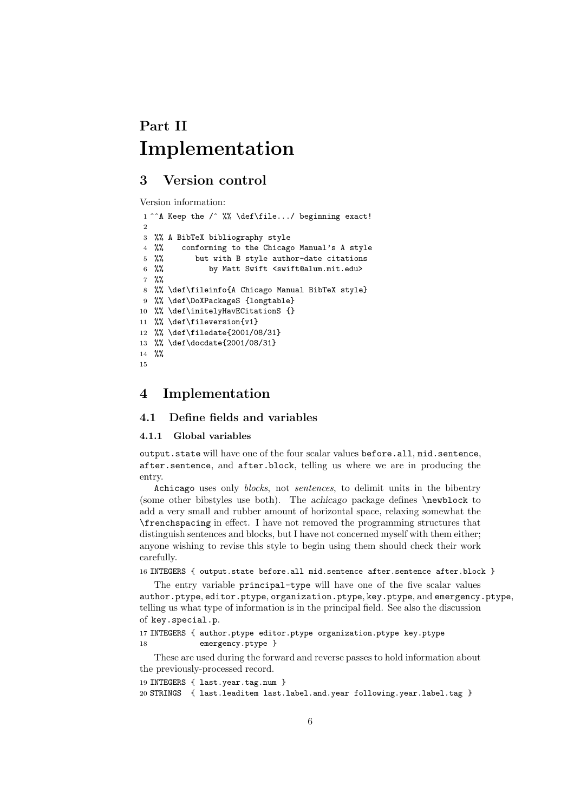# **Part II Implementation**

# **3 Version control**

Version information:

```
1<sup>oo</sup>A Keep the /^ %% \def\file.../ beginning exact!
\overline{2}3 %% A BibTeX bibliography style
4 %% conforming to the Chicago Manual's A style
5 %% but with B style author-date citations
6 %% by Matt Swift <swift@alum.mit.edu>
7 %%
8 %% \def\fileinfo{A Chicago Manual BibTeX style}
9 %% \def\DoXPackageS {longtable}
10 %% \def\initelyHavECitationS {}
11 %% \def\fileversion{v1}
12 %% \def\filedate{2001/08/31}
13 %% \def\docdate{2001/08/31}
14 %%
15
```
## **4 Implementation**

#### **4.1 Define fields and variables**

#### **4.1.1 Global variables**

output.state will have one of the four scalar values before.all, mid.sentence, after.sentence, and after.block, telling us where we are in producing the entry.

Achicago uses only *blocks*, not *sentences*, to delimit units in the bibentry (some other bibstyles use both). The *achicago* package defines \newblock to add a very small and rubber amount of horizontal space, relaxing somewhat the \frenchspacing in effect. I have not removed the programming structures that distinguish sentences and blocks, but I have not concerned myself with them either; anyone wishing to revise this style to begin using them should check their work carefully.

16 INTEGERS { output.state before.all mid.sentence after.sentence after.block }

The entry variable principal-type will have one of the five scalar values author.ptype, editor.ptype, organization.ptype, key.ptype, and emergency.ptype, telling us what type of information is in the principal field. See also the discussion of key.special.p.

```
17 INTEGERS { author.ptype editor.ptype organization.ptype key.ptype
18 emergency.ptype }
```
These are used during the forward and reverse passes to hold information about the previously-processed record.

```
19 INTEGERS { last.year.tag.num }
20 STRINGS { last.leaditem last.label.and.year following.year.label.tag }
```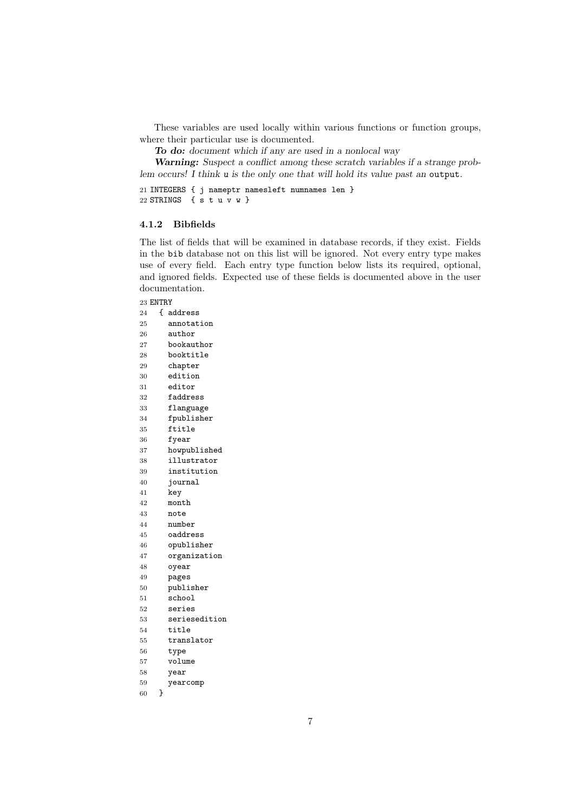These variables are used locally within various functions or function groups, where their particular use is documented.

*To do: document which if any are used in a nonlocal way*

*Warning: Suspect a conflict among these scratch variables if a strange problem occurs! I think u is the only one that will hold its value past an* output*.*

 INTEGERS { j nameptr namesleft numnames len } 22 STRINGS { s t u v w }

#### **4.1.2 Bibfields**

The list of fields that will be examined in database records, if they exist. Fields in the bib database not on this list will be ignored. Not every entry type makes use of every field. Each entry type function below lists its required, optional, and ignored fields. Expected use of these fields is documented above in the user documentation.

#### ENTRY

| 24 | ſ | address       |
|----|---|---------------|
| 25 |   | annotation    |
| 26 |   | author        |
| 27 |   | bookauthor    |
| 28 |   | booktitle     |
| 29 |   | chapter       |
| 30 |   | edition       |
| 31 |   | editor        |
| 32 |   | faddress      |
| 33 |   | flanguage     |
| 34 |   | fpublisher    |
| 35 |   | ftitle        |
| 36 |   | fyear         |
| 37 |   | howpublished  |
| 38 |   | illustrator   |
| 39 |   | institution   |
| 40 |   | journal       |
| 41 |   | key           |
| 42 |   | month         |
| 43 |   | note          |
| 44 |   | number        |
| 45 |   | oaddress      |
| 46 |   | opublisher    |
| 47 |   | organization  |
| 48 |   | oyear         |
| 49 |   | pages         |
| 50 |   | publisher     |
| 51 |   | school        |
| 52 |   | series        |
| 53 |   | seriesedition |
| 54 |   | title         |
| 55 |   | translator    |
| 56 |   | type          |
| 57 |   | volume        |
| 58 |   | year          |
| 59 |   | yearcomp      |
| 60 | } |               |
|    |   |               |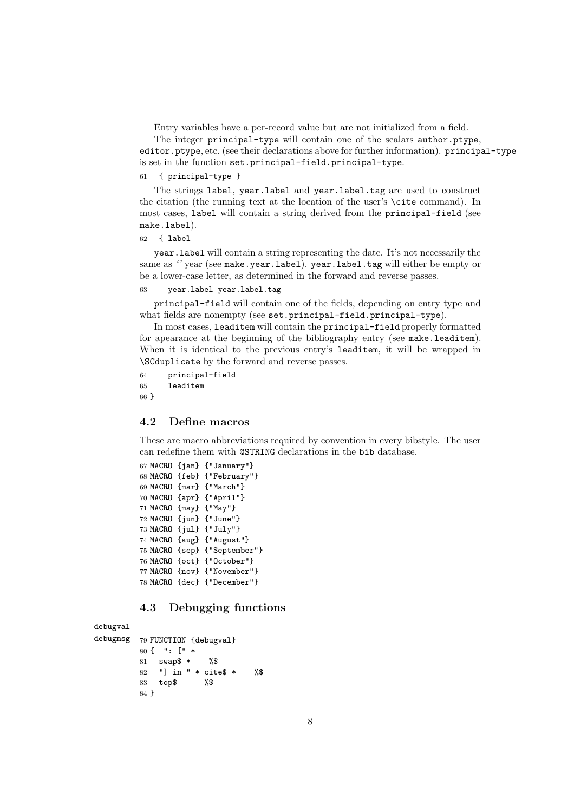Entry variables have a per-record value but are not initialized from a field.

The integer principal-type will contain one of the scalars author.ptype, editor.ptype, etc. (see their declarations above for further information). principal-type is set in the function set.principal-field.principal-type.

```
61 { principal-type }
```
The strings label, year.label and year.label.tag are used to construct the citation (the running text at the location of the user's \cite command). In most cases, label will contain a string derived from the principal-field (see make.label).

```
62 { label
```
year.label will contain a string representing the date. It's not necessarily the same as *''* year (see make.year.label). year.label.tag will either be empty or be a lower-case letter, as determined in the forward and reverse passes.

```
63 year.label year.label.tag
```
principal-field will contain one of the fields, depending on entry type and what fields are nonempty (see set.principal-field.principal-type).

In most cases, leaditem will contain the principal-field properly formatted for apearance at the beginning of the bibliography entry (see make.leaditem). When it is identical to the previous entry's leaditem, it will be wrapped in \SCduplicate by the forward and reverse passes.

```
64 principal-field
65 leaditem
66 }
```
#### **4.2 Define macros**

These are macro abbreviations required by convention in every bibstyle. The user can redefine them with @STRING declarations in the bib database.

```
67 MACRO {jan} {"January"}
68 MACRO {feb} {"February"}
69 MACRO {mar} {"March"}
70 MACRO {apr} {"April"}
71 MACRO {may} {"May"}
72 MACRO {jun} {"June"}
73 MACRO {jul} {"July"}
74 MACRO {aug} {"August"}
75 MACRO {sep} {"September"}
76 MACRO {oct} {"October"}
77 MACRO {nov} {"November"}
78 MACRO {dec} {"December"}
```
#### **4.3 Debugging functions**

debugval

```
debugmsg 79 FUNCTION {debugval}
        80 { ": [" *
        81 swap$ * %$
        82 "] in " * cite$ * %$
        83 top$ %$
        84 }
```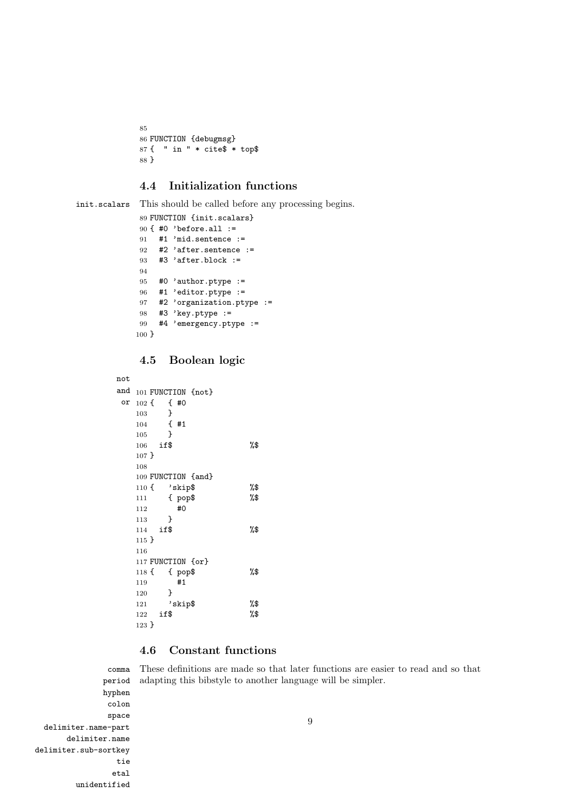```
85
86 FUNCTION {debugmsg}
87 { " in " * cite$ * top$
88 }
```
### **4.4 Initialization functions**

```
init.scalars This should be called before any processing begins.
```

```
89 FUNCTION {init.scalars}
90 { #0 'before.all :=
91 #1 'mid.sentence :=
92 #2 'after.sentence :=
93 #3 'after.block :=
94
95 #0 'author.ptype :=
96 #1 'editor.ptype :=
97 #2 'organization.ptype :=
98 #3 'key.ptype :=
99 #4 'emergency.ptype :=
100 }
```
#### **4.5 Boolean logic**

```
not
and 101 FUNCTION {not}
 or
102 { { #0
   103 }
   104 { #1
   105 }
   106 if$ %$
  107 }
  108
  109 FUNCTION {and}
  110 { 'skip$ %$
   111 { pop$ %$
   112 #0
   113 }
   114 if$ %$
  115 }
  116
  117 FUNCTION {or}
  118 { { pop$ %$
  119 #1
   120 }
   121 'skip$ %$
   122 if$ %$
   123 }
```
## **4.6 Constant functions**

comma period These definitions are made so that later functions are easier to read and so that adapting this bibstyle to another language will be simpler.

hyphen colon space delimiter.name-part delimiter.name delimiter.sub-sortkey tie etal unidentified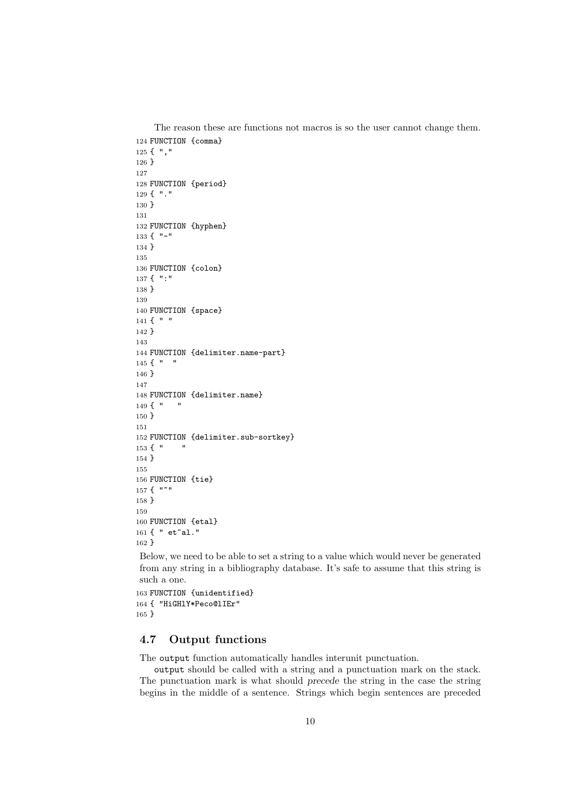```
The reason these are functions not macros is so the user cannot change them.
124 FUNCTION {comma}
125 { ","
126 }
127
128 FUNCTION {period}
129 { "."
130 }
131
132 FUNCTION {hyphen}
133 { "-"
134 }
135
136 FUNCTION {colon}
137 { ":"
138 }
139
140 FUNCTION {space}
141 \, \{ """
142 }
143
144 FUNCTION {delimiter.name-part}
145 \{ " "
146 }
147
148 FUNCTION {delimiter.name}
149\{ "
150 }
151
152 FUNCTION {delimiter.sub-sortkey}
153 {" "
154 }
155
156 FUNCTION {tie}
157 { "~"
158 }
159
160 FUNCTION {etal}
161 { " et~al."
162 }
Below, we need to be able to set a string to a value which would never be generated
 from any string in a bibliography database. It's safe to assume that this string is
such a one.
```

```
163 FUNCTION {unidentified}
164 { "HiGHlY*Peco@lIEr"
165 }
```
### **4.7 Output functions**

The output function automatically handles interunit punctuation.

output should be called with a string and a punctuation mark on the stack. The punctuation mark is what should *precede* the string in the case the string begins in the middle of a sentence. Strings which begin sentences are preceded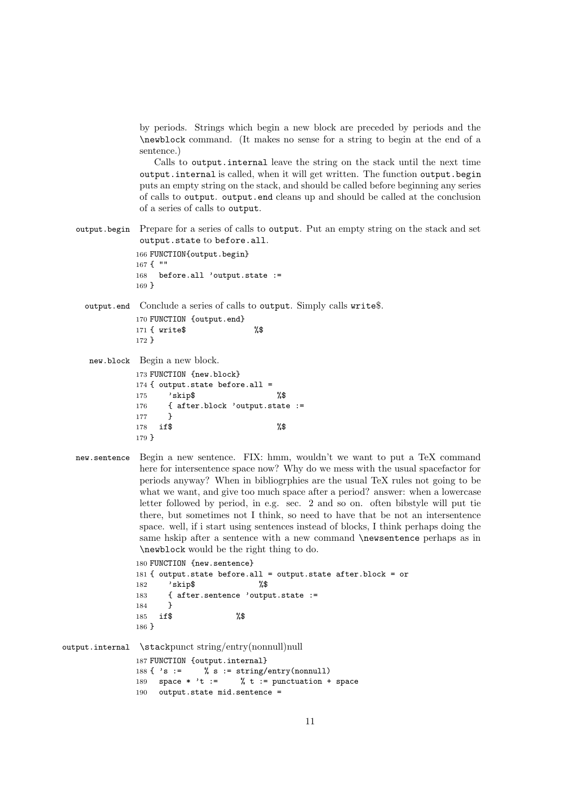by periods. Strings which begin a new block are preceded by periods and the \newblock command. (It makes no sense for a string to begin at the end of a sentence.)

Calls to output.internal leave the string on the stack until the next time output.internal is called, when it will get written. The function output.begin puts an empty string on the stack, and should be called before beginning any series of calls to output. output.end cleans up and should be called at the conclusion of a series of calls to output.

output.begin Prepare for a series of calls to output. Put an empty string on the stack and set output.state to before.all.

> 166 FUNCTION{output.begin} 167 { "" 168 before.all 'output.state := 169 }

output.end Conclude a series of calls to output. Simply calls write\$. 170 FUNCTION {output.end}

171 { write\$ %\$ 172 }

new.block Begin a new block.

```
173 FUNCTION {new.block}
174 { output.state before.all =
175 'skip$ %$
176 { after.block 'output.state :=
177 }
178 if $ %
179 }
```
new.sentence Begin a new sentence. FIX: hmm, wouldn't we want to put a TeX command here for intersentence space now? Why do we mess with the usual spacefactor for periods anyway? When in bibliogrphies are the usual TeX rules not going to be what we want, and give too much space after a period? answer: when a lowercase letter followed by period, in e.g. sec. 2 and so on. often bibstyle will put tie there, but sometimes not I think, so need to have that be not an intersentence space. well, if i start using sentences instead of blocks, I think perhaps doing the same hskip after a sentence with a new command  $\neq$  between tensors as in \newblock would be the right thing to do.

```
180 FUNCTION {new.sentence}
181 { output.state before.all = output.state after.block = or
182 'skip$ %$
183 { after.sentence 'output.state :=
184 }
185 if$ %$
186 }
```

```
output.internal \stackpunct string/entry(nonnull)null
                    187 FUNCTION {output.internal}
                    188 \{\ \mathsf{S} := \ \mathsf{S} \ \mathsf{S} := \ \mathsf{String} / \mathsf{entry} \ (nonnull)
                    189 space * 't := \% t := punctuation + space
                    190 output.state mid.sentence =
```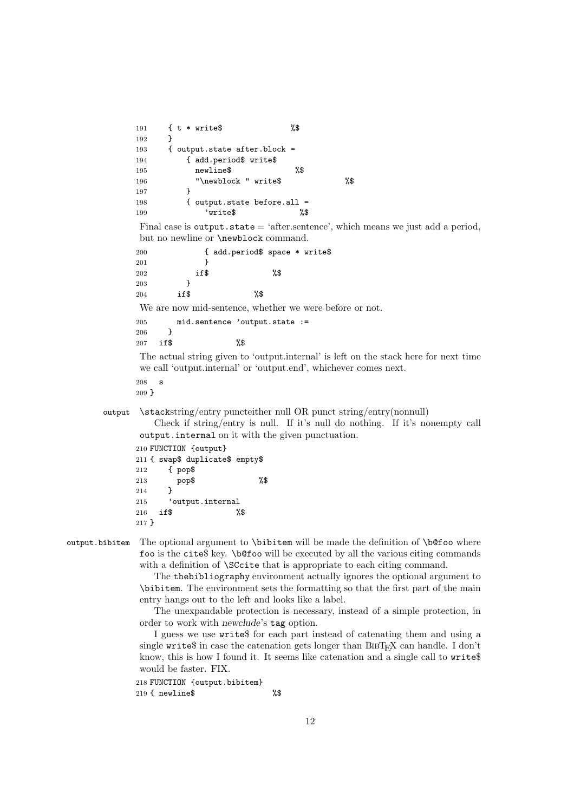```
191 { t * write$ %$
      192 }
      193 { output.state after.block =
      194 { add.period$ write$
      195 newline$ %$
      196 "\newblock " write$ %$
      197 }
      198 { output.state before.all =
      199 'write$ %$
      Final case is output.state = 'after.sentence', which means we just add a period,
      but no newline or \newblock command.
      200 { add.period$ space * write$
      201 }
      202 if$ %$
      \begin{array}{ccc} 203 & & & \end{array}<br>204 if$
      204 if$ %$
      We are now mid-sentence, whether we were before or not.
      205 mid.sentence 'output.state :=
      206 }
      207 if$ %$
      The actual string given to 'output.internal' is left on the stack here for next time
      we call 'output.internal' or 'output.end', whichever comes next.
      208 s
      209 }
output \stackstring/entry puncteither null OR punct string/entry(nonnull)
         Check if string/entry is null. If it's null do nothing. If it's nonempty call
```
output.internal on it with the given punctuation.

```
210 FUNCTION {output}
211 { swap$ duplicate$ empty$
212 { pop$
213 pop$ %$
214 }
215 'output.internal
216 if$ %$
217 }
```
output.bibitem The optional argument to \bibitem will be made the definition of \b@foo where foo is the cite\$ key. \b@foo will be executed by all the various citing commands with a definition of **\SCcite** that is appropriate to each citing command.

> The thebibliography environment actually ignores the optional argument to \bibitem. The environment sets the formatting so that the first part of the main entry hangs out to the left and looks like a label.

> The unexpandable protection is necessary, instead of a simple protection, in order to work with *newclude*'s tag option.

> I guess we use write\$ for each part instead of catenating them and using a single write  $\sin$  case the catenation gets longer than BIBT<sub>EX</sub> can handle. I don't know, this is how I found it. It seems like catenation and a single call to write\$ would be faster. FIX.

218 FUNCTION {output.bibitem} 219 { newline\$ %\$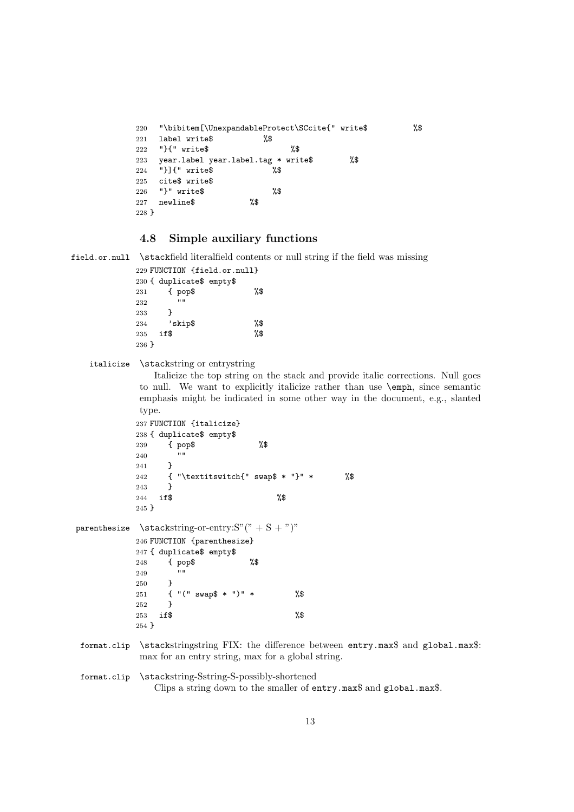```
220 "\bibitem[\UnexpandableProtect\SCcite{" write$ %$
221 label write$ %$
222 "}{" write$ %$
223 year.label year.label.tag * write$ %$
224 "}]{" write$ %$
225 cite$ write$
226 "}" write$ %$
227 newline$ %$
228 }
```
#### **4.8 Simple auxiliary functions**

```
field.or.null \stackfield literalfield contents or null string if the field was missing
```

```
229 FUNCTION {field.or.null}
230 { duplicate$ empty$
231 { pop$ %$
\begin{array}{c} 232 \\ 233 \end{array} }
233 }
234 'skip$ %$
235 if$ %$
236 }
```
italicize \stackstring or entrystring

Italicize the top string on the stack and provide italic corrections. Null goes to null. We want to explicitly italicize rather than use \emph, since semantic emphasis might be indicated in some other way in the document, e.g., slanted type.

```
237 FUNCTION {italicize}
238 { duplicate$ empty$
239 { pop$ %$
240241 }
242 { "\textitswitch{" swap$ * "}" * %$
243 }
244 if $ \sqrt{3}245 }
```
parenthesize \stackstring-or-entry: $S''(" + S + ")"$  FUNCTION {parenthesize} { duplicate\$ empty\$ { pop\$ %\$ } { "(" swap\$ \* ")" \* %\$ }

}

253 if \$  $\sqrt{3}$ 

```
format.clip \stackstringstring FIX: the difference between entry.max$ and global.max$:
             max for an entry string, max for a global string.
```

```
format.clip \stackstring-Sstring-S-possibly-shortened
                Clips a string down to the smaller of entry.max$ and global.max$.
```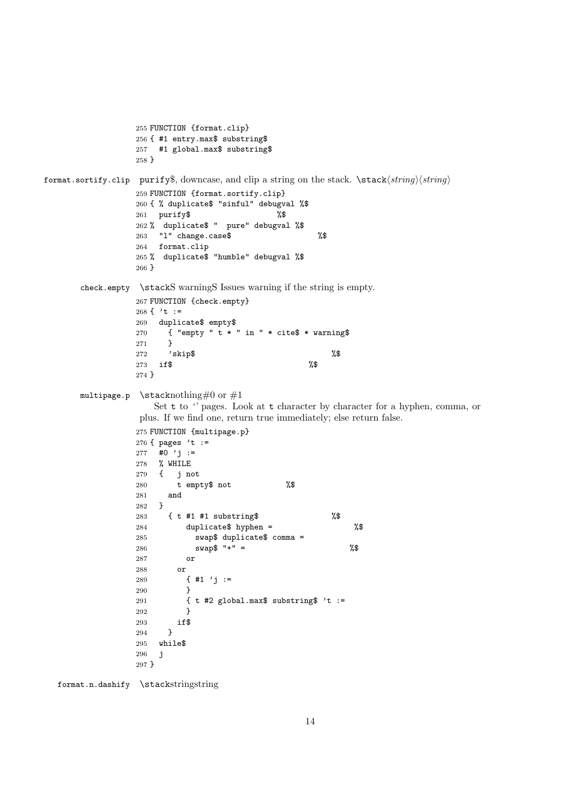```
255 FUNCTION {format.clip}
                 256 { #1 entry.max$ substring$
                 257 #1 global.max$ substring$
                 258 }
format.sortify.clip purify$, downcase, and clip a string on the stack. \stack\langle string \rangle \langle string \rangle259 FUNCTION {format.sortify.clip}
                 260 { % duplicate$ "sinful" debugval %$
                 261 purify$ %$
                 262 % duplicate$ " pure" debugval %$
                 263 "l" change.case$ %$
                 264 format.clip
                 265 % duplicate$ "humble" debugval %$
                 266 }
      check.empty \stackS warningS Issues warning if the string is empty.
                 267 FUNCTION {check.empty}
                 268 { 't :=269 duplicate$ empty$
                 270 { "empty " t * " in " * cite$ * warning$
                 271 }
                 272 'skip$ %$
                 273 if \sqrt[3]{ } %$
                 274 }
      multipage.p \stacknothing#0 or #1
                    Set t to " pages. Look at t character by character for a hyphen, comma, or
                  plus. If we find one, return true immediately; else return false.
                 275 FUNCTION {multipage.p}
                 276 { pages 't :=
                 277 #0 'j :=278 % WHILE
                 279 { j not
                 280 t empty$ not %$
                 281 and
                 282 }
                 283 { t #1 #1 substring$ %$
                 284 duplicate$ hyphen = %$
                 285 swap$ duplicate$ comma =
                 286 swap$ "+'" = %$
                 287 or
                 288 or
                 289 \{ \#1 \};=
                 290 }
                 291 \{ t \#2 \text{ global.max$ substring$ } 't :=292 }
                 293 if$
                 294 }
                 295 while$
                 296 j
                 297 }
```
format.n.dashify \stackstringstring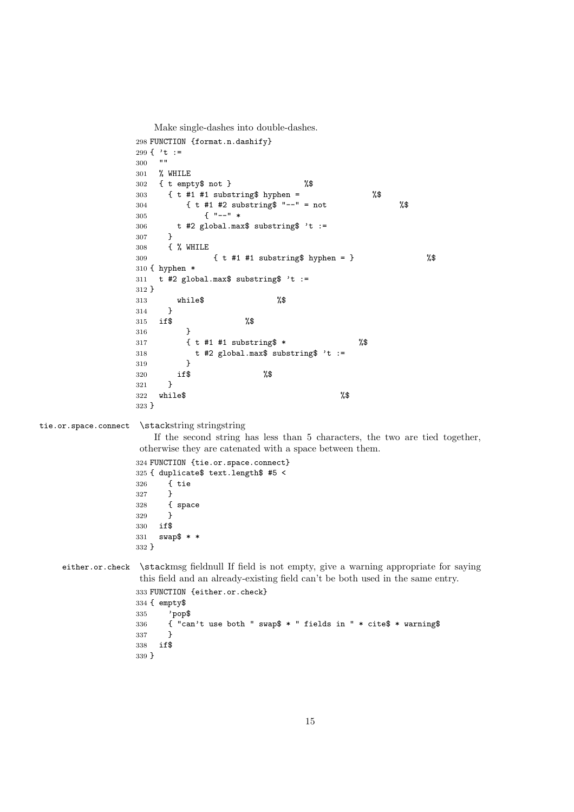Make single-dashes into double-dashes. FUNCTION {format.n.dashify} 299 {  $'$ t := % WHILE { t empty\$ not } %\$ { t #1 #1 substring\$ hyphen = %\$ { t #1 #2 substring\$ "--" = not %\$ { "--" \* t #2 global.max\$ substring\$ 't := } { % WHILE { t #1 #1 substring\$ hyphen = } %\$ { hyphen \* 311  $t$  #2 global.max\$ substring\$ 't := } while\$ %\$ } if\$ %\$ } { t #1 #1 substring\$ \* %\$ 318 t #2 global.max\$ substring\$ 't := } } if\$ %\$  $\begin{array}{cc} 321 & \text{ } \\ 322 & \text{whi} \end{array}$  $while \$$  } tie.or.space.connect \stackstring stringstring If the second string has less than 5 characters, the two are tied together, otherwise they are catenated with a space between them. FUNCTION {tie.or.space.connect} { duplicate\$ text.length\$ #5 < { tie } { space<br> $329$  } if\$ swap\$ \* \* } either.or.check \stackmsg fieldnull If field is not empty, give a warning appropriate for saying this field and an already-existing field can't be both used in the same entry. FUNCTION {either.or.check} { empty\$ 'pop\$ { "can't use both " swap\$ \* " fields in " \* cite\$ \* warning\$ } if\$ }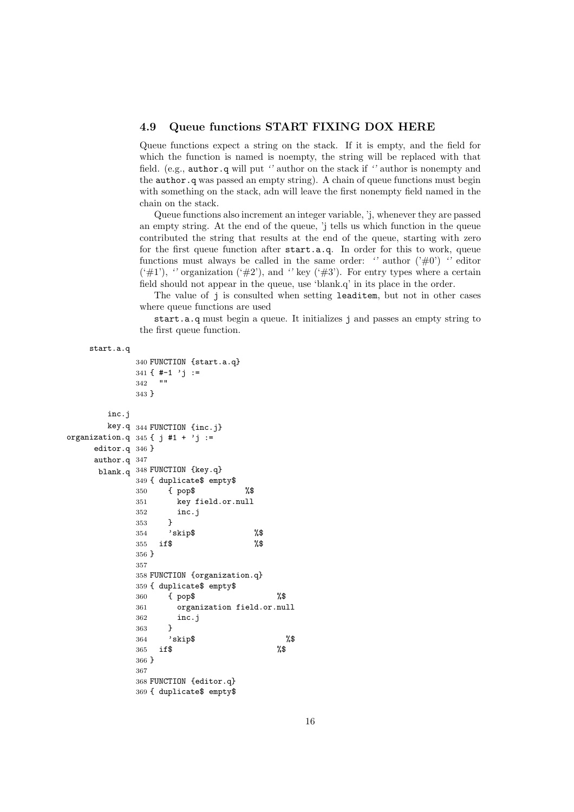#### **4.9 Queue functions START FIXING DOX HERE**

Queue functions expect a string on the stack. If it is empty, and the field for which the function is named is noempty, the string will be replaced with that field. (e.g., author.q will put *''* author on the stack if *''* author is nonempty and the author.q was passed an empty string). A chain of queue functions must begin with something on the stack, adn will leave the first nonempty field named in the chain on the stack.

Queue functions also increment an integer variable, 'j, whenever they are passed an empty string. At the end of the queue, 'j tells us which function in the queue contributed the string that results at the end of the queue, starting with zero for the first queue function after start.a.q. In order for this to work, queue functions must always be called in the same order:  $\prime$  author  $(\frac{1}{2}\theta)$   $\prime$  editor  $(\ddot{\#1})$ ,  $\dddot{\ }$  organization  $(\ddot{\#2})$ , and  $\dddot{\ }$  key  $(\ddot{\#3})$ . For entry types where a certain field should not appear in the queue, use 'blank.q' in its place in the order.

The value of j is consulted when setting leaditem, but not in other cases where queue functions are used

start.a.q must begin a queue. It initializes j and passes an empty string to the first queue function.

```
start.a.q
```

```
340 FUNCTION {start.a.q}
            341 \{ \# -1 \} ; =
            342 ""
            343 }
       inc.j
       key.q
344 FUNCTION {inc.j}
organization.q 345 \{ j #1 + 'j :=editor.q
346 }
     author.q
347
     blank.q
348 FUNCTION {key.q}
            349 { duplicate$ empty$
            350 { pop$ %$
            351 key field.or.null
            352 inc.j
            353 }
            354 'skip$ %$
            355 if$ %$
            356 }
            357
            358 FUNCTION {organization.q}
            359 { duplicate$ empty$
            360 { pop$ %$
            361 organization field.or.null
            362 inc.j
            363 }
            364 'skip$ %$
            365 if $ \%366 }
            367
            368 FUNCTION {editor.q}
            369 { duplicate$ empty$
```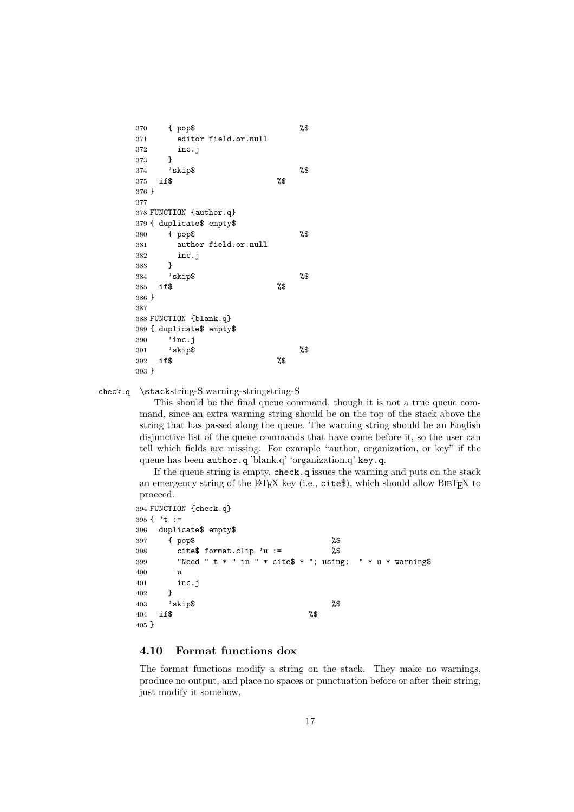```
370 { pop$ %$
371 editor field.or.null
372 inc.j
373 }
374 'skip$ %$
375 if $ %
376 }
377
378 FUNCTION {author.q}
379 { duplicate$ empty$
380 { pop$ %$
381 author field.or.null
382 inc.j
383 }
384 'skip$ %$
385 if$ %$
386 }
387
388 FUNCTION {blank.q}
389 { duplicate$ empty$
390 'inc.j
391 'skip$ %$
392 if$ %$
393 }
```
check.q \stackstring-S warning-stringstring-S

This should be the final queue command, though it is not a true queue command, since an extra warning string should be on the top of the stack above the string that has passed along the queue. The warning string should be an English disjunctive list of the queue commands that have come before it, so the user can tell which fields are missing. For example "author, organization, or key" if the queue has been author.q 'blank.q' 'organization.q' key.q.

If the queue string is empty, check.q issues the warning and puts on the stack an emergency string of the LAT<sub>E</sub>X key (i.e., cites), which should allow BIBT<sub>E</sub>X to proceed.

```
394 FUNCTION {check.q}
395 { 't :=
396 duplicate$ empty$
397 { pop$ %$
398 cite$ format.clip 'u := %$
399 "Need " t * " in " * cite$ * "; using: " * u * warning$
400 u
401 inc.j
402 }
403 'skip$ %$
404 if $ %
405 }
```
### **4.10 Format functions dox**

The format functions modify a string on the stack. They make no warnings, produce no output, and place no spaces or punctuation before or after their string, just modify it somehow.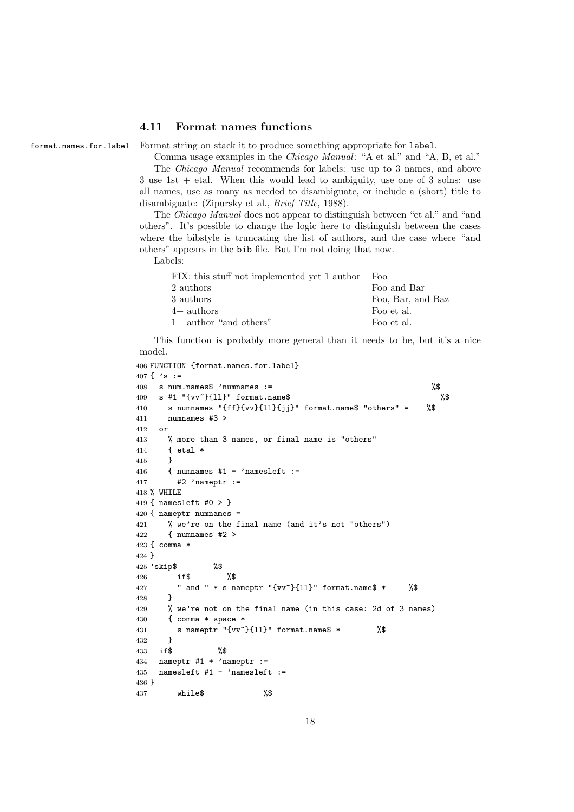#### **4.11 Format names functions**

format.names.for.label Format string on stack it to produce something appropriate for label.

Comma usage examples in the *Chicago Manual*: "A et al." and "A, B, et al." The *Chicago Manual* recommends for labels: use up to 3 names, and above 3 use 1st + etal. When this would lead to ambiguity, use one of 3 solns: use all names, use as many as needed to disambiguate, or include a (short) title to disambiguate: (Zipursky et al., *Brief Title*, 1988).

The *Chicago Manual* does not appear to distinguish between "et al." and "and others". It's possible to change the logic here to distinguish between the cases where the bibstyle is truncating the list of authors, and the case where "and others" appears in the bib file. But I'm not doing that now.

Labels:

| FIX: this stuff not implemented yet 1 author | Foo               |
|----------------------------------------------|-------------------|
| 2 authors                                    | Foo and Bar       |
| 3 authors                                    | Foo, Bar, and Baz |
| $4+$ authors                                 | Foo et al.        |
| $1+$ author "and others"                     | Foo et al.        |

This function is probably more general than it needs to be, but it's a nice model.

```
406 FUNCTION {format.names.for.label}
407 \{ \cdot \; s \; : =408 s num.names$ 'numnames := %$
409 s #1 "\{vv^*\{11\}'' format.name$ %$
410 s numnames "{ff}{vv}{ll}{jj}" format.name$ "others" = %$
411 numnames #3 >
412 or
413 % more than 3 names, or final name is "others"
414 { etal *
415 }
416 \{ numnames #1 - 'namesleft :=
417 #2 'nameptr :=
418 % WHILE
419 { namesleft #0 > }
420 { nameptr numnames =
421 % we're on the final name (and it's not "others")
422 { numnames #2 >
423 { comma *
424 }
425 'skip$ %$
426 if$ %$
427 " and " * s nameptr "{vv~}{11}" format.name$ * %$
428 }
429 % we're not on the final name (in this case: 2d of 3 names)
430 { comma * space *
431 s nameptr "{vv~}{ll}" format.name$ * %$
432 }
433 if$ %$
434 nameptr #1 + 'nameptr :=
435 namesleft #1 - 'namesleft :=436 }
437 while$ %$
```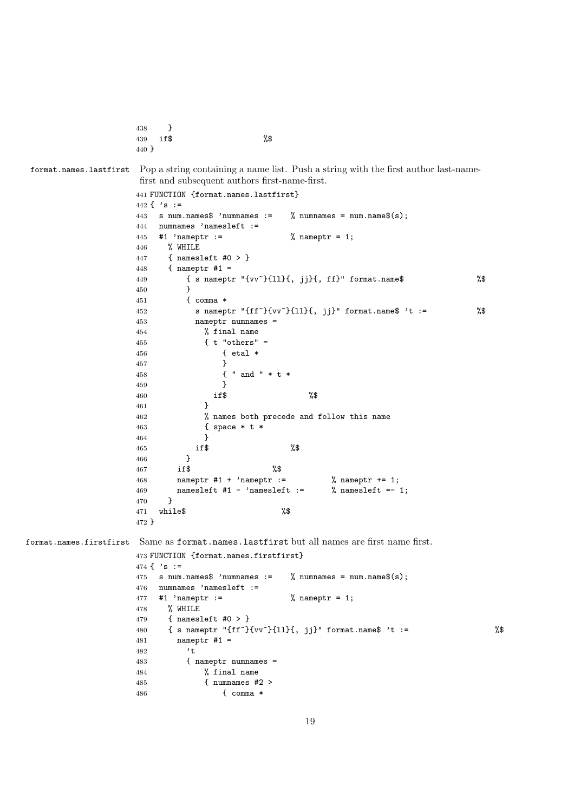```
438 }
439 if$ %$
440 }
```
format.names.lastfirst Pop a string containing a name list. Push a string with the first author last-namefirst and subsequent authors first-name-first.

```
441 FUNCTION {format.names.lastfirst}
                   442 \{\ \,s :=
                   443 s num.names$ 'numnames := % numnames = num.name$(s);
                   444 numnames 'namesleft :=
                   445 #1 'nameptr := % nameptr = 1;
                   446 % WHILE
                   447 { namesleft #0 > }
                   448 { nameptr #1 =
                   449 { s nameptr "{vv~}{ll}{, jj}{, ff}" format.name$ %$
                   450 }
                   451 { comma *
                   452 s nameptr "{ff<sup>-</sup>}{vv<sup>-</sup>}{11}{, jj}" format.name$ 't := \%453 nameptr numnames =
                   454 % final name
                   455 \{ t "others" =456 \{ etal * 457 \}457 }
                   458 \{ " and " * t *<br>459 }
                   459 }
                   460 if$ \frac{1}{8}461 }
                   462 % names both precede and follow this name
                   463 { space * t *
                   464 }
                   465 if $ %$
                   466 }
                   467 if$ %$
                   468 nameptr #1 + 'nameptr := % nameptr += 1;
                   469 namesleft #1 - 'namesleft := % namesleft =- 1;
                   470 }
                   471 while$ %$
                   472 }
format.names.firstfirst Same as format.names.lastfirst but all names are first name first.
                   473 FUNCTION {format.names.firstfirst}
                   474 \{ \ \}'\ :=
                   475 s num.names$ 'numnames := \% numnames = num.name$(s);
                   476 numnames 'namesleft :=
                   477 #1 'nameptr := \frac{1}{2} , nameptr = 1;
                   478 % WHILE
                   479 { namesleft #0 > }
                   480 { s nameptr "{ff<sup>-</sup>}{vv<sup>-</sup>}{ll}{, jj}" format.name$ 't := \%481 nameptr #1 =
                   482 't
                   483 { nameptr numnames =
                   484 % final name
                   485 { numnames #2 >
                   486 { comma *
```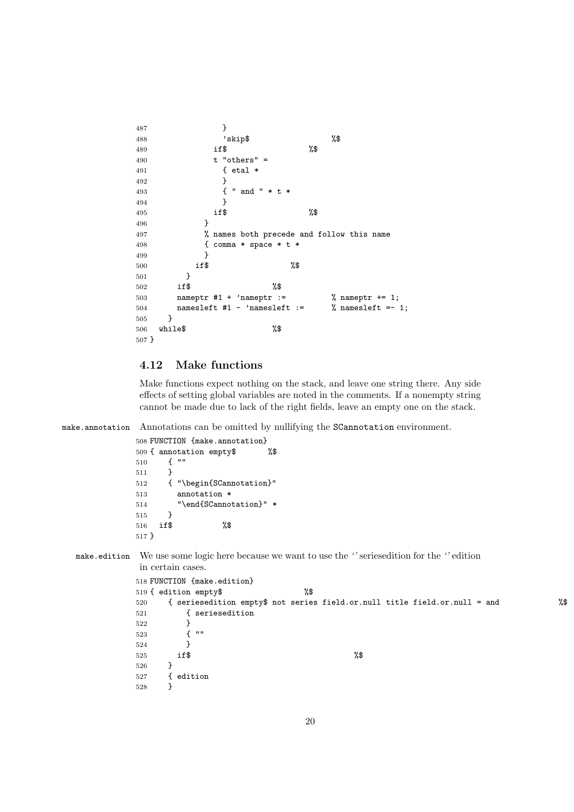```
487 }
488 'skip$ %$
489 if$ %$
490 t "others" =
491 { etal *
492 }
493 { " and " * t *
494 }
495 if $ \lambda$
496 }
497 % names both precede and follow this name
498 { comma * space * t *
499 }
500 if$ %$
501 }
502 if$ %$
503 nameptr #1 + 'nameptr := % nameptr += 1;
504 namesleft #1 - 'namesleft := \% namesleft =- 1;
505 }
506 while$ %$
507 }
```
#### **4.12 Make functions**

Make functions expect nothing on the stack, and leave one string there. Any side effects of setting global variables are noted in the comments. If a nonempty string cannot be made due to lack of the right fields, leave an empty one on the stack.

make.annotation Annotations can be omitted by nullifying the SCannotation environment.

```
508 FUNCTION {make.annotation}
509 { annotation empty$ %$
510 { ""
511 }
512 { "\begin{SCannotation}"
513 annotation *
514 "\end{SCannotation}" *
515 }
516 if$ %$
517 }
```
make.edition We use some logic here because we want to use the *''* seriesedition for the *''* edition in certain cases.

```
518 FUNCTION {make.edition}
519 { edition empty$ %$
520 { seriesedition empty$ not series field.or.null title field.or.null = and %$
521 { seriesedition
522 }
523 { ""
524 }
525 if $ \sqrt{3}526 }
527 { edition
528 }
```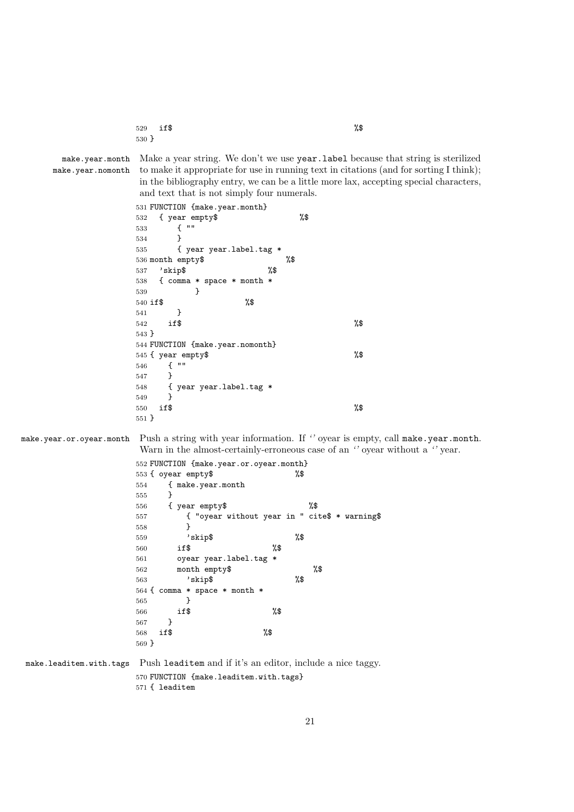| 529 if\$ | %\$ |
|----------|-----|
| 530 }    |     |

make.year.month make.year.nomonth Make a year string. We don't we use year. Label because that string is sterilized to make it appropriate for use in running text in citations (and for sorting I think); in the bibliography entry, we can be a little more lax, accepting special characters, and text that is not simply four numerals.

 FUNCTION {make.year.month} { year empty\$ %\$ { "" } { year year.label.tag \* month empty\$ %\$ 'skip\$ %\$ { comma \* space \* month \* } if\$ %\$ } **if \$** % } FUNCTION {make.year.nomonth} { year empty\$ %\$ { "" } { year year.label.tag \* } if \$ % }

make.year.or.oyear.month Push a string with year information. If *''* oyear is empty, call make.year.month. Warn in the almost-certainly-erroneous case of an *''* oyear without a *''* year.

> FUNCTION {make.year.or.oyear.month} { oyear empty\$ %\$ { make.year.month } { year empty\$ %\$ { "oyear without year in " cite\$ \* warning\$ } 'skip\$ %\$ if\$ %\$ oyear year.label.tag \* month empty\$ %\$ 'skip\$ { comma \* space \* month \* } if\$ %\$ } if\$ %\$ }

make.leaditem.with.tags Push leaditem and if it's an editor, include a nice taggy. FUNCTION {make.leaditem.with.tags}

{ leaditem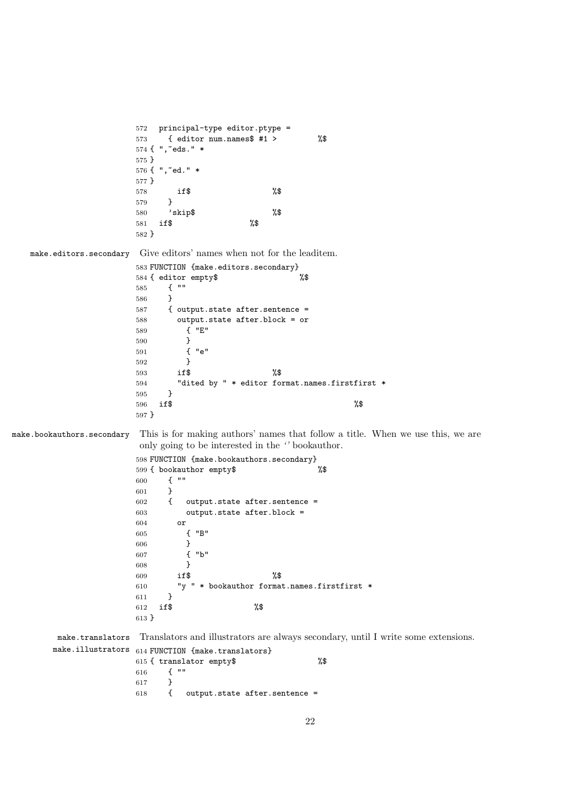```
572 principal-type editor.ptype =
                       573 { editor num.names$ #1 > %$
                       574 { ",~eds." *
                       575 }
                       576 { ",~ed." *
                       577 }
                       578 if$ %$
                       579 }
                       580 'skip$ %$
                       581 if$ %$
                       582 }
   make.editors.secondary Give editors' names when not for the leaditem.
                       583 FUNCTION {make.editors.secondary}<br>584 { editor empty$ %
                       584 { editor empty$
                       585 { ""
                       586 }
                       587 { output.state after.sentence =
                       588 output.state after.block = or
                       589 { "E"
                       590 }
                       591 { "e"
                       592 }
                       593 if$ %$
                       594 "dited by " * editor format.names.firstfirst *
                       595 }
                       596 if $ %
                       597 }
make.bookauthors.secondary This is for making authors' names that follow a title. When we use this, we are
                        only going to be interested in the '' bookauthor.
                       598 FUNCTION {make.bookauthors.secondary}
                       599 { bookauthor empty$ %$
                       600 \{ ""<br>601 \}601 }<br>
602 {
                                output. state after. sentence =603 output.state after.block =
                       604 or
                       605 { "B"
                       606 }
                       607 { "b"
                       608 }
                       609 if$ %$
                       610 "y" * bookauthor format.name. first first * 611 }
                       611 }
                       612 if$ %$
                       613 }
        make.translators
Translators and illustrators are always secondary, until I write some extensions.
       make.illustrators _{614} FUNCTION \{make.translators\}615 { translator empty$ %$
                       616 \{ ""<br>617 }
                       617 }
                       618 { output.state after.sentence =
```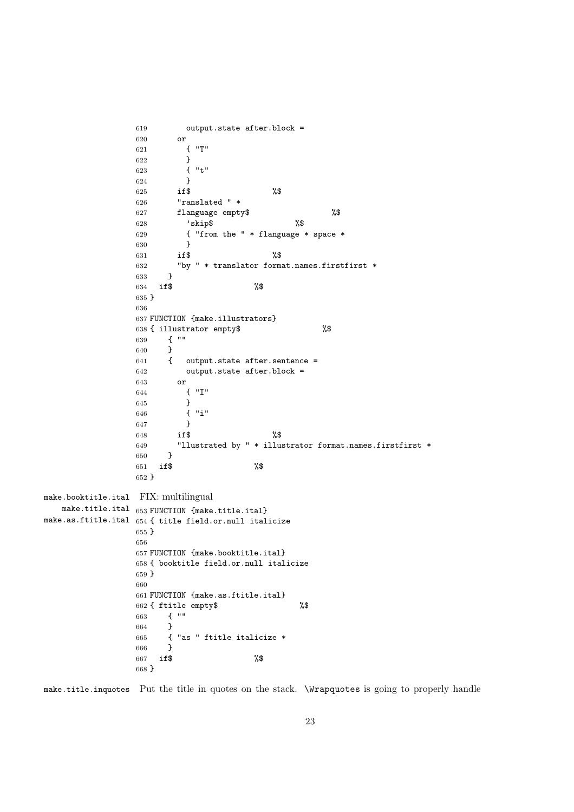```
619 output.state after.block =
               620 or
               621 { "T"
               622 }
               623 { "t"
               624 }
               625 if $ %$
               626 "ranslated " *
               627 flanguage empty$ %$
               628 'skip$ %$
               629 { "from the " * flanguage * space *
               630 }<br>631 if$
               631 if$ %$
               632 "by " * translator format.names.firstfirst *
               633 }
               634 if$ %$
               635 }
               636
               637 FUNCTION {make.illustrators}
               638 { illustrator empty$ %$
               639 { ""
               640 }<br>641 {
               641 { output.state after.sentence =
               642 output.state after.block =
               643 or
               644 { "I"
               645 }
               646 { "i"
               647 }
               648 if $ %$
               649 "llustrated by " * illustrator format.names.firstfirst *
               650 }
               651 if$ %$
               652 }
make.booktitle.ital
FIX: multilingual
   make.title.ital _{653} FUNCTION \{make.title.ital\}make.as.ftitle.ital
654 { title field.or.null italicize
               655 }
               656
               657 FUNCTION {make.booktitle.ital}
               658 { booktitle field.or.null italicize
               659 }
               660
               661 FUNCTION {make.as.ftitle.ital}
               662 { ftitle empty$ %$
               663 { ""
               664 }
               665 \{ "as " ftitle italicize * 666 \}666 }
                   if$ \%668 }
```
make.title.inquotes Put the title in quotes on the stack. \Wrapquotes is going to properly handle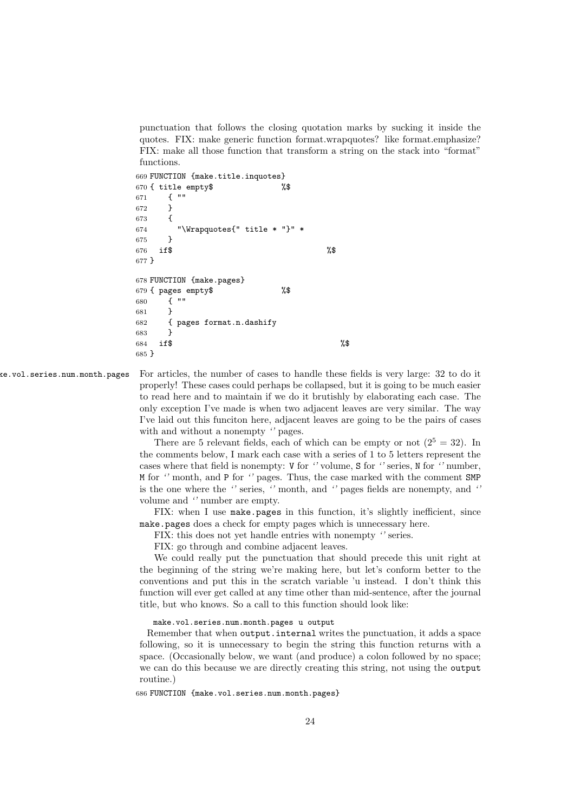punctuation that follows the closing quotation marks by sucking it inside the quotes. FIX: make generic function format.wrapquotes? like format.emphasize? FIX: make all those function that transform a string on the stack into "format" functions.

```
669 FUNCTION {make.title.inquotes}
670 { title empty$ %$
671 { ""
672 }
673 {
674 "\Wrapquotes{" title * "}" *
675 }
676 if \sqrt{$} 676 if \sqrt{$}677 }
678 FUNCTION {make.pages}
679 { pages empty$ %$
680 { ""
681 }
682 { pages format.n.dashify
683 }
684 if \sqrt[3]{ } %$
685 }
```
ke.vol.series.num.month.pages For articles, the number of cases to handle these fields is very large: 32 to do it properly! These cases could perhaps be collapsed, but it is going to be much easier to read here and to maintain if we do it brutishly by elaborating each case. The only exception I've made is when two adjacent leaves are very similar. The way I've laid out this funciton here, adjacent leaves are going to be the pairs of cases with and without a nonempty *''* pages.

> There are 5 relevant fields, each of which can be empty or not  $(2^5 = 32)$ . In the comments below, I mark each case with a series of 1 to 5 letters represent the cases where that field is nonempty: V for *''* volume, S for *''* series, N for *''* number, M for *''* month, and P for *''* pages. Thus, the case marked with the comment SMP is the one where the *''* series, *''* month, and *''* pages fields are nonempty, and *''* volume and *''* number are empty.

> FIX: when I use make.pages in this function, it's slightly inefficient, since make.pages does a check for empty pages which is unnecessary here.

FIX: this does not yet handle entries with nonempty *''* series.

FIX: go through and combine adjacent leaves.

We could really put the punctuation that should precede this unit right at the beginning of the string we're making here, but let's conform better to the conventions and put this in the scratch variable 'u instead. I don't think this function will ever get called at any time other than mid-sentence, after the journal title, but who knows. So a call to this function should look like:

make.vol.series.num.month.pages u output

Remember that when output.internal writes the punctuation, it adds a space following, so it is unnecessary to begin the string this function returns with a space. (Occasionally below, we want (and produce) a colon followed by no space; we can do this because we are directly creating this string, not using the output routine.)

686 FUNCTION {make.vol.series.num.month.pages}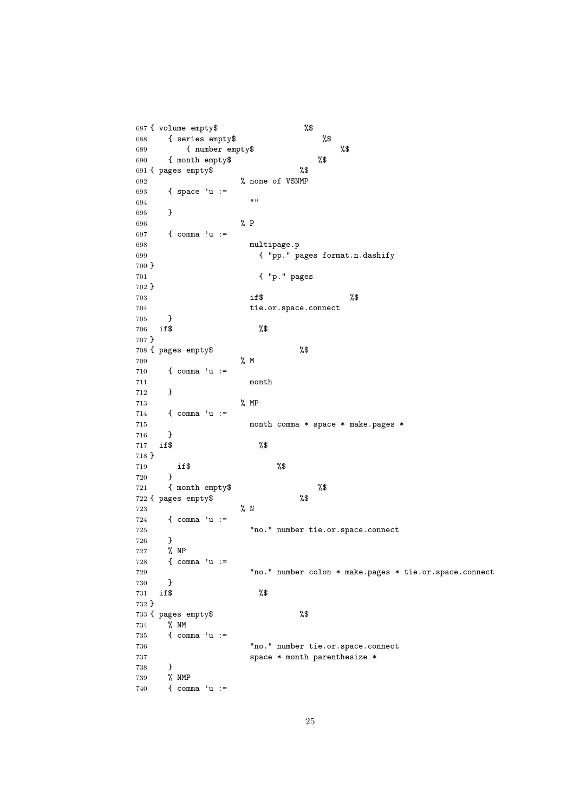```
687 { volume empty$ %$
688 { series empty$ %$
689 { number empty$ %$
690 { month empty$ %$
691 { pages empty$ %$
692 % none of VSNMP
693 { space 'u :=
694 ""
695 }
696 % P
697 { comma 'u :=
698 multipage.p
699 { "pp." pages format.n.dashify
700 }
701 { "p." pages
702 }
703 if $ \frac{1}{2} %
704 tie.or.space.connect
705 }
706 if$ %$
707 }
708 { pages empty$ %$
709 % M
710 { comma 'u :=
711 month
712 }
713 % MP
714 { comma 'u :=
715 month comma * space * make.pages *
716 }
717 if$ %$
718 }
719 if$ %$
720 }
721 { month empty$ %$
722 { pages empty$ %$
723 % N
724 { comma 'u :=
725 "no." number tie.or.space.connect
726 }
727 % NP
728 { comma 'u :=
729 "no." number colon * make.pages * tie.or.space.connect
730 }
731 if$ %$
732 }
733 { pages empty$ %$
734 % NM
735 { comma 'u :=
736 "no." number tie.or.space.connect
737 space * month parenthesize *
738 }
739 % NMP
740 { comma 'u :=
```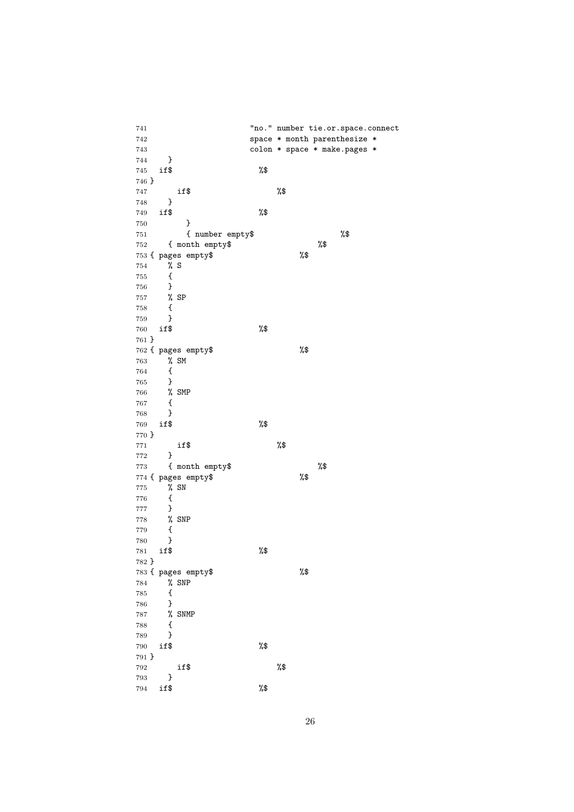"no." number tie.or.space.connect space \* month parenthesize \* colon \* space \* make.pages \* } if\$ %\$ } if\$ %\$ } if\$ %\$  $\begin{matrix} 750 & \mathbf{3} \\ 751 & \mathbf{4} \end{matrix}$ { number empty\$ %\$<br>
x\$<br>
x\$ 752 { month empty\$<br>753 { pages empty\$ %\$ 753 { pages empty\$  $\begin{matrix} 754 & \text{\bf \texttt{\% }}{\bf S}\\ 755 & \text{\bf \texttt{\{}} \end{matrix}$  { } % SP { } if\$ %\$ } { pages empty\$ %\$  $\begin{matrix} 0 \\ 1 \end{matrix}$  SM { } % SMP { } if\$ %\$ } if\$ %\$ } 773 { month empty\$  $\frac{1}{3}$   $\frac{1}{3}$   $\frac{1}{3}$   $\frac{1}{3}$   $\frac{1}{3}$   $\frac{1}{3}$   $\frac{1}{3}$   $\frac{1}{3}$   $\frac{1}{3}$   $\frac{1}{3}$   $\frac{1}{3}$   $\frac{1}{3}$   $\frac{1}{3}$   $\frac{1}{3}$   $\frac{1}{3}$   $\frac{1}{3}$   $\frac{1}{3}$   $\frac{1}{3}$   $\frac{1}{3}$   $\frac{1}{3}$   $\$  $774 \text{ f pages empty}\$  % SN { } % SNP  $\begin{matrix} 779 &\quad \ \ \{ \ 780 &\quad \ \ \end{matrix}$  } if\$ %\$ } { pages empty\$ %\$ % SNP { } % SNMP { } if\$ %\$ } if\$ %\$ } if\$ %\$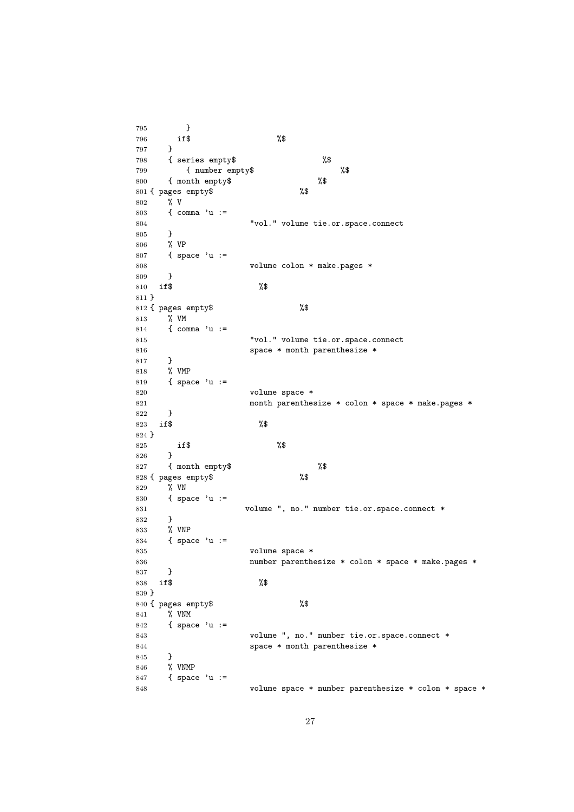} if\$ %\$ } { series empty\$ %\$ { number empty\$ %\$ { month empty\$ %\$ { pages empty\$ %\$ % V { comma 'u := "vol." volume tie.or.space.connect } % VP { space 'u := volume colon \* make.pages \* } if\$ %\$ } { pages empty\$ %\$ % VM { comma 'u := 815 "vol." volume tie.or.space.connect **space \* month parenthesize \***  } % VMP { space 'u := volume space \* month parenthesize \* colon \* space \* make.pages \* } if\$ %\$ } 825 if  $\sqrt[3]{\$}$  } { month empty\$  $828$  { pages empty\$  $\frac{1}{8}$  %\$ 828 { pages empty\$ % VN { space 'u := 831 volume ", no." number tie.or.space.connect \* } % VNP { space 'u := volume space \* number parenthesize \* colon \* space \* make.pages \* } if\$ %\$ } { pages empty\$ %\$ % VNM { space 'u := volume ", no." number tie.or.space.connect \* space \* month parenthesize \* } % VNMP { space 'u := volume space \* number parenthesize \* colon \* space \*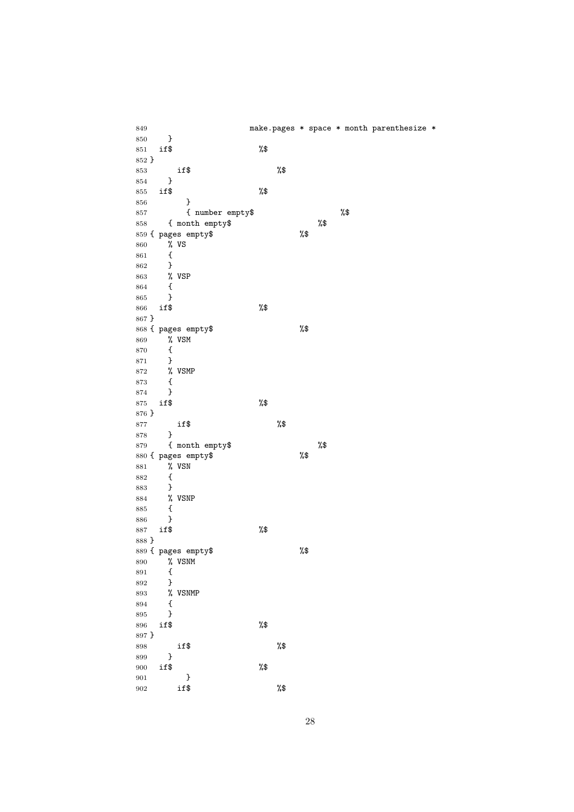make.pages \* space \* month parenthesize \* } if\$ %\$ } if\$ %\$ } if\$ %\$ } { number empty\$ %\$ 858 { month empty\$ %\$<br>859 { pages empty\$ %\$ 859 { pages empty\$ 860 % VS<br>861 {  $\begin{array}{cc} 861 & \text{f} \\ 862 & \text{f} \end{array}$  } % VSP { } if\$ %\$ } { pages empty\$ %\$ 869 % VSM {<br> $871$  } } % VSMP {<br> $874$  } } if\$ %\$ } if\$ %\$ } 879 { month empty\$ %\$<br>880 { pages empty\$ %\$ 880 { pages empty\$ 881 % VSN<br>882 { { } % VSNP { } if\$ %\$ } { pages empty\$ %\$ 890 % VSNM {<br> $892$  } } % VSNMP  $\begin{matrix} 894 & \textbf{\quad} 4\\ 895 & \textbf{\quad} \end{matrix}$  } if\$ %\$ } if\$ %\$ } 900 if\$ %\$ } if\$ %\$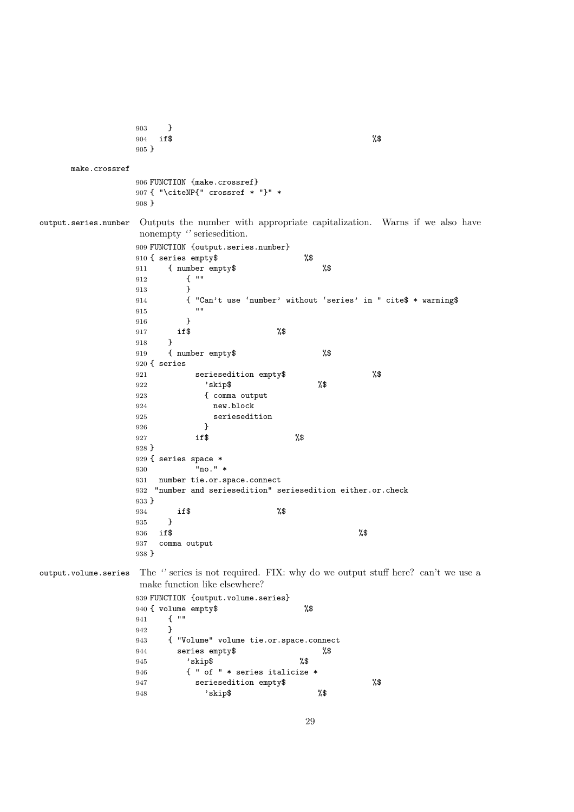```
903 }
                904 if$ %$
                905 }
     make.crossref
                906 FUNCTION {make.crossref}
                907 { "\citeNP{" crossref * "}" *
                908 }
output.series.number Outputs the number with appropriate capitalization. Warns if we also have
                 nonempty '' seriesedition.
                909 FUNCTION {output.series.number}
                910 { series empty$ %$
                911 { number empty$ %$
                912 { ""
                913 }
                914 { "Can't use 'number' without 'series' in " cite$ * warning$<br>015
                915916 }
                 917 if$ %$
                918 }
                919 { number empty$ %$
                920 { series
                921 seriesedition empty$ %$
                922 'skip$<br>923 { comm
                            923 { comma output
                924 new.block
                925 seriesedition<br>926 }
                926 }
                 927 if$ \sqrt{3}928 }
                929 { series space *
                930 "no." *<br>931 number tie.or.s
                    number tie.or.space.connect
                932 "number and seriesedition" seriesedition either.or.check
                933 }
                 934 if$ %$
                935 }<br>936 if$
                 936 if$ %$
                937 comma output
                938 }
output.volume.series The '' series is not required. FIX: why do we output stuff here? can't we use a
                 make function like elsewhere?
                939 FUNCTION {output.volume.series}
                940 { volume empty$ %$
                941 { ""
                942 }
                943 { "Volume" volume tie.or.space.connect
                944 series empty$ %$<br>945 'skip$ %\$
                         'skip$
                946 { " of " * series italicize *
                947 seriesedition empty$ %$
                948 'skip$ %$
```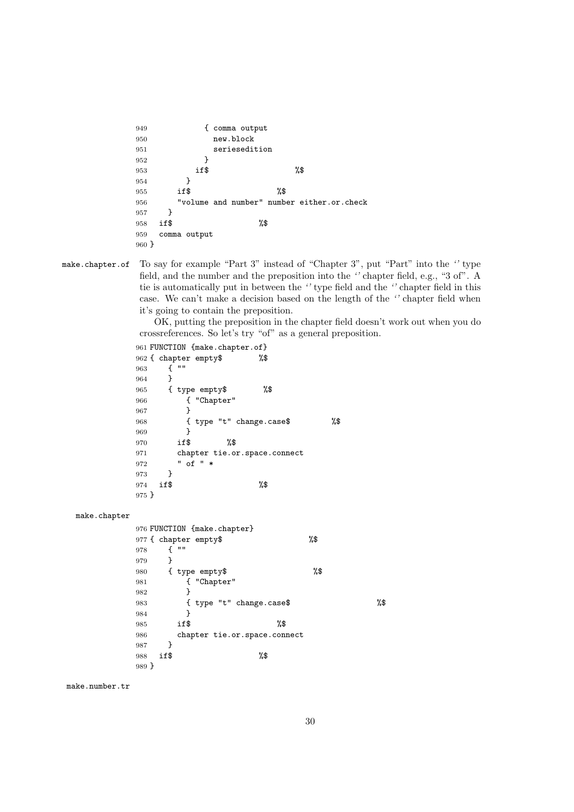```
949 { comma output
950 new.block
951 seriesedition
952 }
953 if$ \sqrt[3]{\$}954 }
955 if$ \%956 "volume and number" number either.or.check
957 }
958 if$ %$
959 comma output
960 }
```
make.chapter.of To say for example "Part 3" instead of "Chapter 3", put "Part" into the *''* type field, and the number and the preposition into the *''* chapter field, e.g., "3 of". A tie is automatically put in between the *''* type field and the *''* chapter field in this case. We can't make a decision based on the length of the *''* chapter field when it's going to contain the preposition.

> OK, putting the preposition in the chapter field doesn't work out when you do crossreferences. So let's try "of" as a general preposition.

```
961 FUNCTION {make.chapter.of}
962 { chapter empty$ %$
963 { ""
964 }
965 { type empty$ %$
966 { "Chapter"
967 }
968 { type "t" change.case$ %$
969 }
970 if$ %$
971 chapter tie.or.space.connect
972 " of " *
973 }
974 if$ %$
975 }
```
make.chapter

```
976 FUNCTION {make.chapter}
977 { chapter empty$ %$
978 { ""
979 }
980 { type empty$ %$
981 { "Chapter"
982 }
983 { type "t" change.case$ %$
984 }
985 if$ %$
986 chapter tie.or.space.connect
987 }<br>988 if$
988 if$ %$
989 }
```
make.number.tr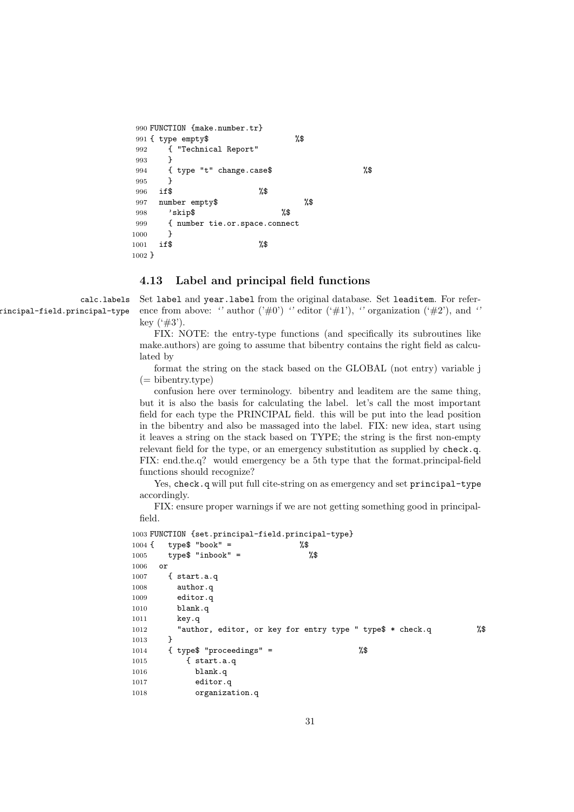```
990 FUNCTION {make.number.tr}
991 { type empty$ %$
992 { "Technical Report"
993 }
994 { type "t" change.case$ %$
995 }
996 if$ %$
997 number empty$ %$
998 'skip$ %$
999 { number tie.or.space.connect
1000 }
1001 if$ %$
1002 }
```
#### **4.13 Label and principal field functions**

calc.labels rincipal-field.principal-type Set label and year.label from the original database. Set leaditem. For reference from above: " author  $(\vec{v}\#0)$ " editor  $(\vec{v}\#1)$ , " organization  $(\vec{v}\#2)$ ", and " key  $(*#3').$ 

FIX: NOTE: the entry-type functions (and specifically its subroutines like make.authors) are going to assume that bibentry contains the right field as calculated by

format the string on the stack based on the GLOBAL (not entry) variable j (= bibentry.type)

confusion here over terminology. bibentry and leaditem are the same thing, but it is also the basis for calculating the label. let's call the most important field for each type the PRINCIPAL field. this will be put into the lead position in the bibentry and also be massaged into the label. FIX: new idea, start using it leaves a string on the stack based on TYPE; the string is the first non-empty relevant field for the type, or an emergency substitution as supplied by check.q. FIX: end.the.q? would emergency be a 5th type that the format.principal-field functions should recognize?

Yes, check.q will put full cite-string on as emergency and set principal-type accordingly.

FIX: ensure proper warnings if we are not getting something good in principalfield.

```
1003 FUNCTION {set.principal-field.principal-type}
1004 \text{ } type$ "book" = \%1005 type$ "inbook" = \%\1006 or
1007 { start.a.q
1008 author.q
1009 editor.q
1010 blank.q
1011 key.q
1012 "author, editor, or key for entry type " type$ * check.q %$
1013 }
1014 { type$ "proceedings" = %$
1015 { start.a.q
1016 blank.q
1017 editor.q
1018 organization.q
```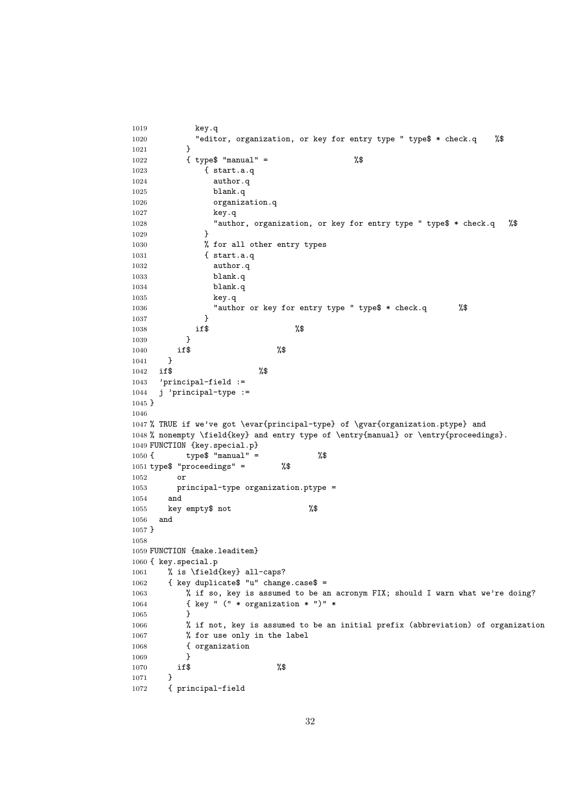```
1019 key.q
1020 "editor, organization, or key for entry type " type$ * check.q %$
1021 }
1022 { type$ "manual" = \%1023 { start.a.q
1024 author.q
1025 blank.q
1026 organization.q
1027 key.q
1028 "author, organization, or key for entry type " type$ * check.q %$
1029 }
1030 % for all other entry types
1031 { start.a.q
1032 author.q
1033 blank.q
1034 blank.q
1035 key.q
1036 "author or key for entry type " type$ * check.q %$
1037 }
1038 if$ %$
1039 }
1040 if $ %$
1041 }
1042 if$ %$
1043 'principal-field :=
1044 j 'principal-type :=
1045 }
1046
1047 % TRUE if we've got \evar{principal-type} of \gvar{organization.ptype} and
1048 % nonempty \field{key} and entry type of \entry{manual} or \entry{proceedings}.
1049 FUNCTION {key.special.p}
1050 { type$ "manual" = \%1051 type$ "proceedings" = %$
1052 or
1053 principal-type organization.ptype =
1054 and
1055 key empty$ not %$
1056 and
1057 }
1058
1059 FUNCTION {make.leaditem}
1060 { key.special.p
1061 % is \field{key} all-caps?
1062 { key duplicate$ "u" change.case$ =
1063 % if so, key is assumed to be an acronym FIX; should I warn what we're doing?
1064 { key " (" * organization * ")" *
1065 }
1066 % if not, key is assumed to be an initial prefix (abbreviation) of organization
1067 % for use only in the label
1068 { organization
1069 }
1070 if $ %$
1071 }
1072 { principal-field
```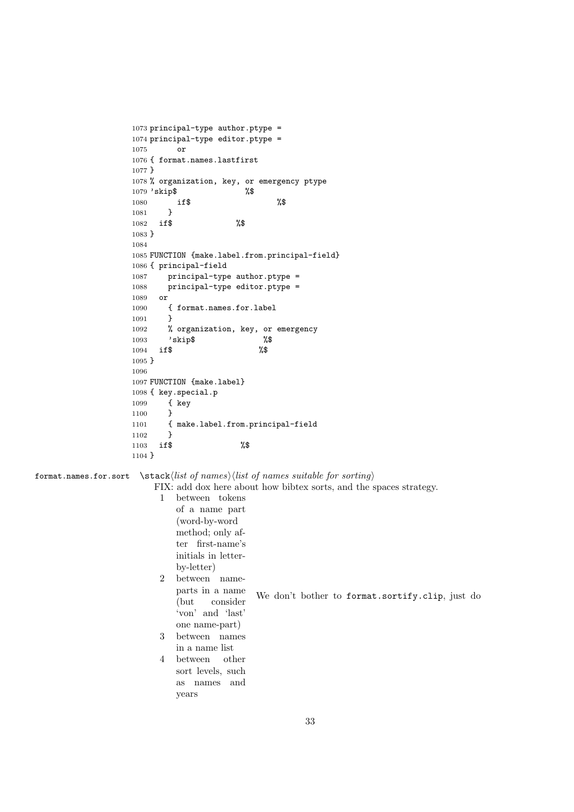```
1073 principal-type author.ptype =
                   1074 principal-type editor.ptype =
                   1075 or
                   1076 { format.names.lastfirst
                   1077 }
                   1078 % organization, key, or emergency ptype
                   1079 'skip$ %$
                   1080 if$ %$
                   1081 }
                   1082 if$ %$
                   1083 }
                   1084
                   1085 FUNCTION {make.label.from.principal-field}
                   1086 { principal-field
                   1087 principal-type author.ptype =
                   1088 principal-type editor.ptype =
                   1089 or
                   1090 { format.names.for.label
                   1091 }
                   1092 % organization, key, or emergency
                   1093 'skip$
                   1094 if$ %$
                   1095 }
                   1096
                   1097 FUNCTION {make.label}
                   1098 { key.special.p
                   1099 { key
                   1100 }
                   1101 { make.label.from.principal-field
                   1102 }
                   1103 if$ %$
                   1104 }
format.names.for.sort \stack-
list of names-
list of names suitable for sorting
                        FIX: add dox here about how bibtex sorts, and the spaces strategy.
                         1 between tokens
                            of a name part
                            (word-by-word
                            method; only af-
                            ter first-name's
                            initials in letter-
                            by-letter)
                         2 between name-
                            parts in a name
                            (but consider
                            'von' and 'last'
                            one name-part)
                         3 between names
                            in a name list
                         4 between other
                            sort levels, such
                            as names and
                            years
                                            We don't bother to format.sortify.clip, just do
```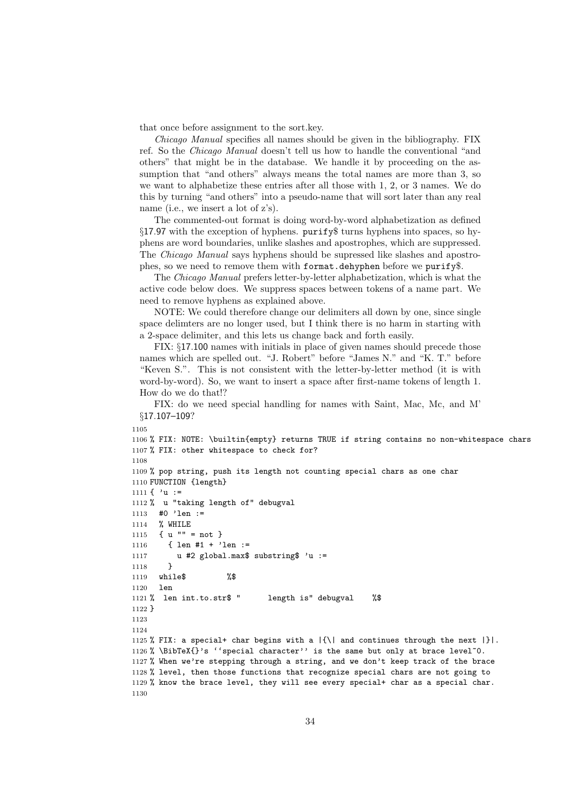that once before assignment to the sort.key.

*Chicago Manual* specifies all names should be given in the bibliography. FIX ref. So the *Chicago Manual* doesn't tell us how to handle the conventional "and others" that might be in the database. We handle it by proceeding on the assumption that "and others" always means the total names are more than 3, so we want to alphabetize these entries after all those with 1, 2, or 3 names. We do this by turning "and others" into a pseudo-name that will sort later than any real name (i.e., we insert a lot of z's).

The commented-out format is doing word-by-word alphabetization as defined §17.97 with the exception of hyphens. purify\$ turns hyphens into spaces, so hyphens are word boundaries, unlike slashes and apostrophes, which are suppressed. The *Chicago Manual* says hyphens should be supressed like slashes and apostrophes, so we need to remove them with format.dehyphen before we purify\$.

The *Chicago Manual* prefers letter-by-letter alphabetization, which is what the active code below does. We suppress spaces between tokens of a name part. We need to remove hyphens as explained above.

NOTE: We could therefore change our delimiters all down by one, since single space delimters are no longer used, but I think there is no harm in starting with a 2-space delimiter, and this lets us change back and forth easily.

FIX: §17.100 names with initials in place of given names should precede those names which are spelled out. "J. Robert" before "James N." and "K. T." before "Keven S.". This is not consistent with the letter-by-letter method (it is with word-by-word). So, we want to insert a space after first-name tokens of length 1. How do we do that!?

FIX: do we need special handling for names with Saint, Mac, Mc, and M' §17.107–109?

```
1105
1106 % FIX: NOTE: \builtin{empty} returns TRUE if string contains no non-whitespace chars
1107 % FIX: other whitespace to check for?
1108
1109 % pop string, push its length not counting special chars as one char
1110 FUNCTION {length}
1111 \{ 'u :=1112 % u "taking length of" debugval
1113 #0 'len :=
1114 % WHILE
1115 { u "" = not }
1116 { len #1 + 'len :=
1117 u #2 global.max$ substring$ 'u :=
1118 }
1119 while$ %$
1120 len
1121 % len int.to.str$ " length is" debugval %$
1122 }
1123
1124
1125 % FIX: a special+ char begins with a |\{\rangle\} and continues through the next |\}.
1126 % \BibTeX{}'s ''special character'' is the same but only at brace level<sup>\circ</sup>0.
1127 % When we're stepping through a string, and we don't keep track of the brace
1128 % level, then those functions that recognize special chars are not going to
1129 % know the brace level, they will see every special+ char as a special char.
1130
```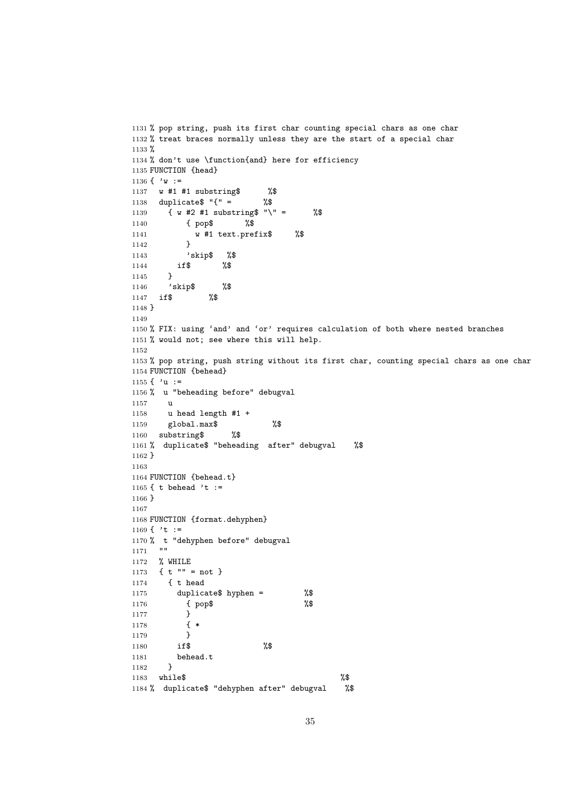```
1131 % pop string, push its first char counting special chars as one char
1132 % treat braces normally unless they are the start of a special char
1133 %
1134 % don't use \function{and} here for efficiency
1135 FUNCTION {head}
1136 \{ 'w :=
1137 w #1 #1 substring$ %$
1138 duplicate$ "{" = %$
1139 { w #2 #1 substring$ "\" = %$
1140 { pop$ %$
1141 w #1 text.prefix$ %$
1142 }
1143 'skip$ %$
1144 if$ %$
1145 }
1146 'skip$ %$
1147 if$ %$
1148 }
1149
1150 % FIX: using 'and' and 'or' requires calculation of both where nested branches
1151 % would not; see where this will help.
1152
1153 % pop string, push string without its first char, counting special chars as one char
1154 FUNCTION {behead}
1155 \{ 'u :=
1156 % u "beheading before" debugval
1157 u
1158 u head length #1 +
1159 global.max$ %$
1160 substring$ %$
1161 % duplicate$ "beheading after" debugval %$
1162 }
1163
1164 FUNCTION {behead.t}
1165 { t behead 't :=
1166 }
1167
1168 FUNCTION {format.dehyphen}
1169 \{\cdot t :=1170 % t "dehyphen before" debugval
1171 ""
1172 % WHILE
1173 \{ t " " = not } \}1174 { t head
1175 duplicate$ hyphen = %$
1176 { pop$ %$
1177 }
1178 { *
1179 }
1180 if$ %$
1181 behead.t<br>1182 }
1182 }
1183 while$ %$
1184 % duplicate$ "dehyphen after" debugval %$
```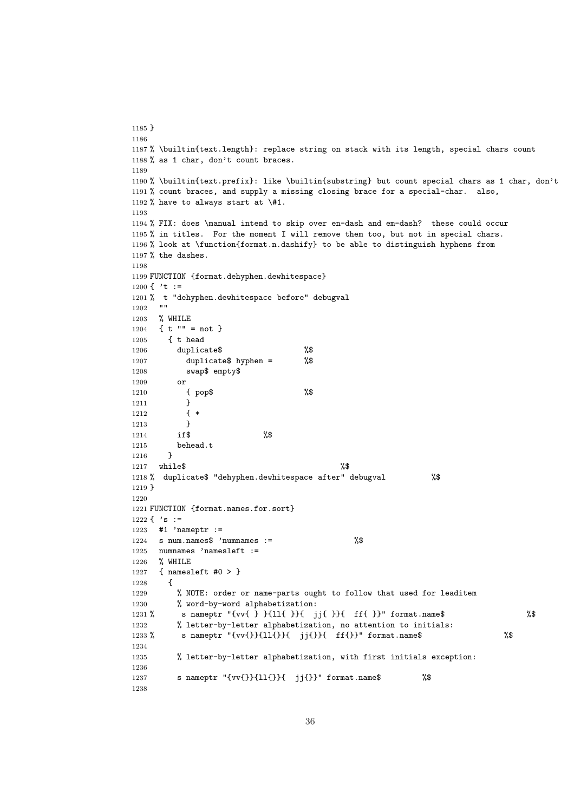```
1185 }
1186
1187 % \builtin{text.length}: replace string on stack with its length, special chars count
1188 % as 1 char, don't count braces.
1189
1190 % \builtin{text.prefix}: like \builtin{substring} but count special chars as 1 char, don't
1191 % count braces, and supply a missing closing brace for a special-char. also,
1192 % have to always start at \#1.
1193
1194 % FIX: does \manual intend to skip over en-dash and em-dash? these could occur
1195 % in titles. For the moment I will remove them too, but not in special chars.
1196 % look at \function{format.n.dashify} to be able to distinguish hyphens from
1197 % the dashes.
1198
1199 FUNCTION {format.dehyphen.dewhitespace}
1200 { 't :=
1201 % t "dehyphen.dewhitespace before" debugval
12021203 % WHILE
1204 \{ t \text{ " " = not } \}1205 { t head
1206 duplicate$ %$
1207 duplicate$ hyphen = %$
1208 swap$ empty$
1209 or
1210 { pop$ %$
1211 }
1212 { *
1213 }
1214 if$ %$
1215 behead.t
1216 }
1217 while$ %1218 % duplicate$ "dehyphen.dewhitespace after" debugval %$
1219 }
1220
1221 FUNCTION {format.names.for.sort}
1222 \{\ \ 's \ :=1223 #1 'nameptr :=
1224 s num.names$ 'numnames := \%1225 numnames 'namesleft :=
1226 % WHILE
1227 { namesleft #0 > }
1228 {
1229 % NOTE: order or name-parts ought to follow that used for leaditem
1230 % word-by-word alphabetization:
1231 % s nameptr "{vv{ } }{ll{ }}{ jj{ }}{ ff{ }}" format.name$ %$
1232 % letter-by-letter alphabetization, no attention to initials:
1233 % s nameptr "{vv{}}{11{}}{ jj{}}{ ff{}}" format.name$ %$
1234
1235 % letter-by-letter alphabetization, with first initials exception:
1236
1237 s nameptr "{vv{}}{ll{}}{ jj{}}" format.name$ %$
1238
```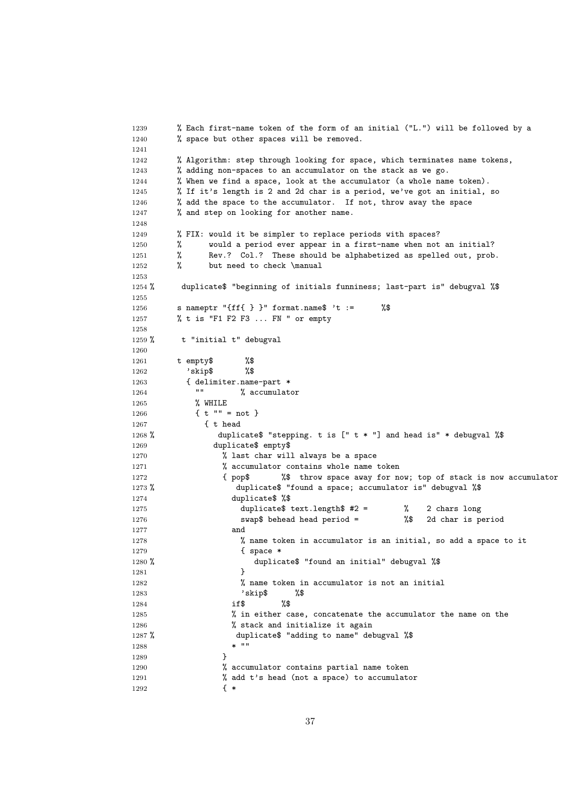```
1239 % Each first-name token of the form of an initial ("L.") will be followed by a
1240 % space but other spaces will be removed.
1241
1242 % Algorithm: step through looking for space, which terminates name tokens,
1243 % adding non-spaces to an accumulator on the stack as we go.
1244 % When we find a space, look at the accumulator (a whole name token).
1245 % If it's length is 2 and 2d char is a period, we've got an initial, so
1246 % add the space to the accumulator. If not, throw away the space
1247 % and step on looking for another name.
1248
1249 % FIX: would it be simpler to replace periods with spaces?
1250 % would a period ever appear in a first-name when not an initial?
1251 % Rev.? Col.? These should be alphabetized as spelled out, prob.
1252 % but need to check \manual
1253
1254 % duplicate$ "beginning of initials funniness; last-part is" debugval %$
1255
1256 s nameptr "{ff{ } }" format.name$ 't := %$
1257 % t is "F1 F2 F3 ... FN " or empty
1258
1259 % t "initial t" debugval
1260
1261 t empty$ %$
1262 'skip$ %$
1263 { delimiter.name-part *
1264 "" % accumulator
1265 % WHILE
1266 \{ t \text{ "} \text{ "} = \text{not } \}1267 { t head
1268 % duplicate$ "stepping. t is [" t * "] and head is" * debugval %$
1269 duplicate$ empty$
1270 \% last char will always be a space
1271 % accumulator contains whole name token<br>1272 { pop$ %$ throw space away for no
1272 { pop$ %$ throw space away for now; top of stack is now accumulator
1273 % duplicate$ "found a space; accumulator is" debugval %$
1274 duplicate$ %$
1275 duplicate$ text.length$ #2 = % 2 chars long
1276 swap$ behead head period = %$ 2d char is period
1277 and
1278 % name token in accumulator is an initial, so add a space to it
1279 { space *
1280 % duplicate$ "found an initial" debugval %$
1281 }
1282 % name token in accumulator is not an initial
1283 'skip$ %$
1284 if $ %$
1285 % in either case, concatenate the accumulator the name on the
1286 \% stack and initialize it again
1287 % duplicate$ "adding to name" debugval %$
1288 * "1289 }
1290 % accumulator contains partial name token
1291 % add t's head (not a space) to accumulator
1292 { *
```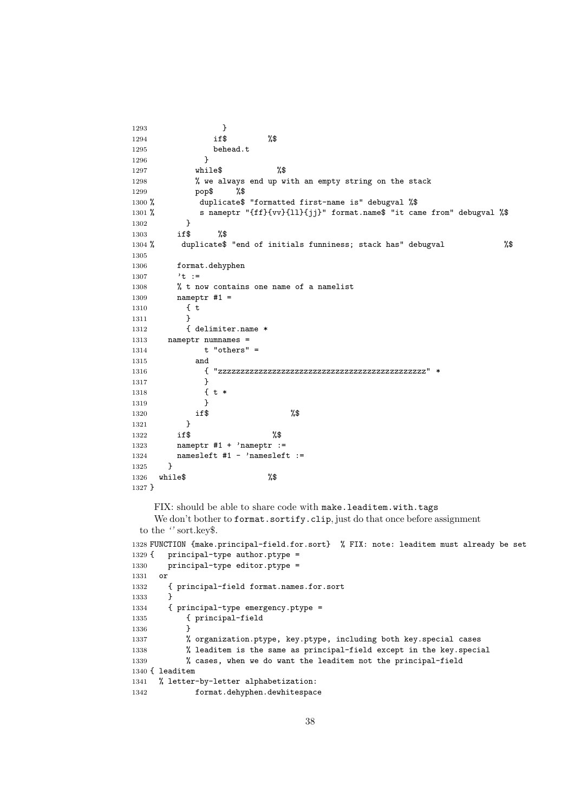```
1293 }
1294 if$ %$
1295 behead.t
1296 }
1297 while$ %$
1298 % we always end up with an empty string on the stack
1299 pop$ %$
1300 % duplicate$ "formatted first-name is" debugval %$
1301 % s nameptr "{ff}{vv}{ll}{jj}" format.name$ "it came from" debugval %$
1302 }
1303 if$ %$
1304 % duplicate$ "end of initials funniness; stack has" debugval %$
1305
1306 format.dehyphen
1307 't :=
1308 % t now contains one name of a namelist
1309 nameptr #1 =
1310 { t
1311 }
1312 { delimiter.name *
1313 nameptr numnames =
1314 t "others" =
1315 and
1316 { "zzzzzzzzzzzzzzzzzzzzzzzzzzzzzzzzzzzzzzzzzzzzzz" *
1317 }
1318 \{t *1319 }
1320 if$ %$
1321 }
1322 if$ %$
1323 nameptr #1 + 'nameptr :=
1324 namesleft #1 - 'namesleft :=1325 }
1326 while$ %$
1327 }
   FIX: should be able to share code with make.leaditem.with.tags
   We don't bother to format.sortify.clip, just do that once before assignment
 to the '' sort.key$.
1328 FUNCTION {make.principal-field.for.sort} % FIX: note: leaditem must already be set
```

```
1329 { principal-type author.ptype =
1330 principal-type editor.ptype =
1331 or
1332 { principal-field format.names.for.sort
1333 }
1334 { principal-type emergency.ptype =
1335 { principal-field
1336 }
1337 % organization.ptype, key.ptype, including both key.special cases
1338 % leaditem is the same as principal-field except in the key.special
1339 % cases, when we do want the leaditem not the principal-field
1340 { leaditem
1341 % letter-by-letter alphabetization:
1342 format.dehyphen.dewhitespace
```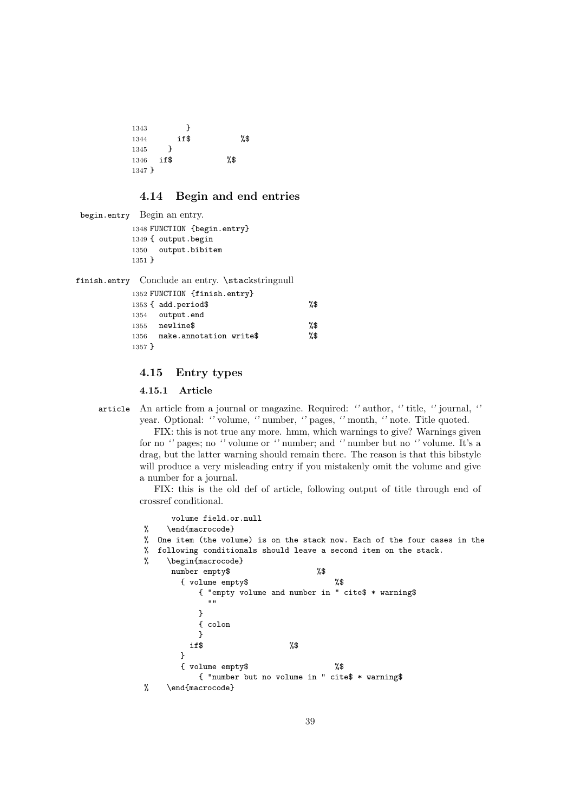1343 } 1344 if\$ %\$ 1345 } 1346 if\$ %\$ 1347 }

## **4.14 Begin and end entries**

```
begin.entry Begin an entry.
```
 FUNCTION {begin.entry} { output.begin output.bibitem 1351 }

finish.entry Conclude an entry. \stackstringnull

|          | 1352 FUNCTION {finish.entry} |     |
|----------|------------------------------|-----|
|          | 1353 { add.period\$          | %\$ |
|          | 1354 output.end              |     |
|          | $1355$ newline\$             | %\$ |
| 1356     | make.annotation write\$      | %\$ |
| $1357$ } |                              |     |

## **4.15 Entry types**

**4.15.1 Article**

article An article from a journal or magazine. Required: *''* author, *''* title, *''* journal, *''* year. Optional: *''* volume, *''* number, *''* pages, *''* month, *''* note. Title quoted.

FIX: this is not true any more. hmm, which warnings to give? Warnings given for no *''* pages; no *''* volume or *''* number; and *''* number but no *''* volume. It's a drag, but the latter warning should remain there. The reason is that this bibstyle will produce a very misleading entry if you mistakenly omit the volume and give a number for a journal.

FIX: this is the old def of article, following output of title through end of crossref conditional.

```
volume field.or.null
% \end{macrocode}
% One item (the volume) is on the stack now. Each of the four cases in the
% following conditionals should leave a second item on the stack.
% \begin{macrocode}
     number empty$ %$
      { volume empty$ %$
          { "empty volume and number in " cite$ * warning$
            ^{\rm m} "
          }
          { colon
          }
        if$ %$
      }
      { volume empty$ %$
          { "number but no volume in " cite$ * warning$
% \end{macrocode}
```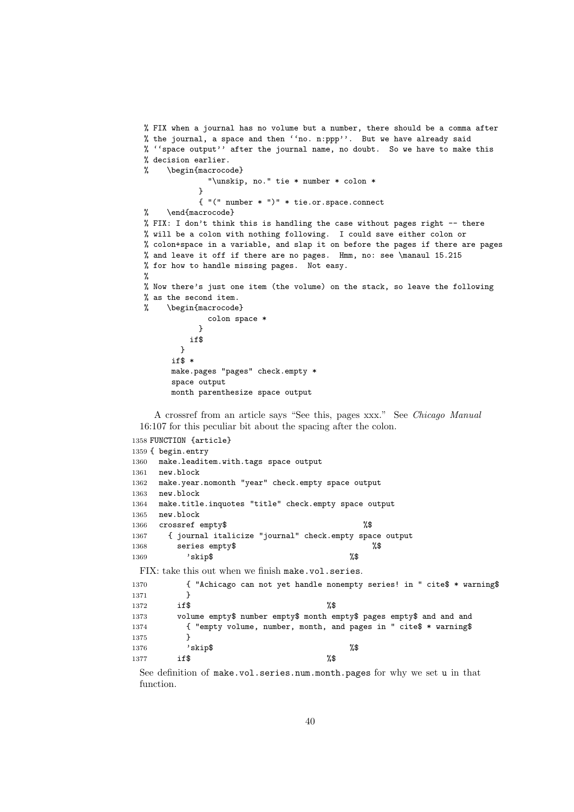```
% FIX when a journal has no volume but a number, there should be a comma after
% the journal, a space and then ''no. n:ppp''. But we have already said
% ''space output'' after the journal name, no doubt. So we have to make this
% decision earlier.
% \begin{macrocode}
             "\unskip, no." tie * number * colon *
            }
           { "(" number * ")" * tie.or.space.connect
% \end{macrocode}
% FIX: I don't think this is handling the case without pages right -- there
% will be a colon with nothing following. I could save either colon or
% colon+space in a variable, and slap it on before the pages if there are pages
% and leave it off if there are no pages. Hmm, no: see \manaul 15.215
% for how to handle missing pages. Not easy.
%
% Now there's just one item (the volume) on the stack, so leave the following
% as the second item.
% \begin{macrocode}
             colon space *
           }
         if$
       }
     if$ *
     make.pages "pages" check.empty *
     space output
     month parenthesize space output
```
A crossref from an article says "See this, pages xxx." See *Chicago Manual* 16:107 for this peculiar bit about the spacing after the colon.

|      | 1358 FUNCTION {article}              |                                                                         |  |
|------|--------------------------------------|-------------------------------------------------------------------------|--|
|      | 1359 { begin.entry                   |                                                                         |  |
| 1360 | make.leaditem.with.tags space output |                                                                         |  |
| 1361 | new.block                            |                                                                         |  |
| 1362 |                                      | make.year.nomonth "year" check.empty space output                       |  |
| 1363 | new.block                            |                                                                         |  |
| 1364 |                                      | make.title.inquotes "title" check.empty space output                    |  |
| 1365 | new.block                            |                                                                         |  |
| 1366 | crossref empty\$                     | %\$                                                                     |  |
| 1367 |                                      | { journal italicize "journal" check.empty space output                  |  |
| 1368 | series empty\$                       | %\$                                                                     |  |
| 1369 | 'skip\$                              | %\$                                                                     |  |
|      |                                      | FIX: take this out when we finish make, vol. series.                    |  |
| 1370 |                                      | { "Achicago can not yet handle nonempty series! in " cite\$ * warning\$ |  |
| 1371 | }                                    |                                                                         |  |
| 1372 | if\$                                 | %\$                                                                     |  |
| 1373 |                                      | volume empty\$ number empty\$ month empty\$ pages empty\$ and and and   |  |
| 1374 |                                      | { "empty volume, number, month, and pages in " cite\$ * warning\$       |  |
| 1375 | ł                                    |                                                                         |  |
| 1376 | 'skip\$                              | %\$                                                                     |  |
| 1377 | if\$                                 | %\$                                                                     |  |

See definition of make.vol.series.num.month.pages for why we set u in that function.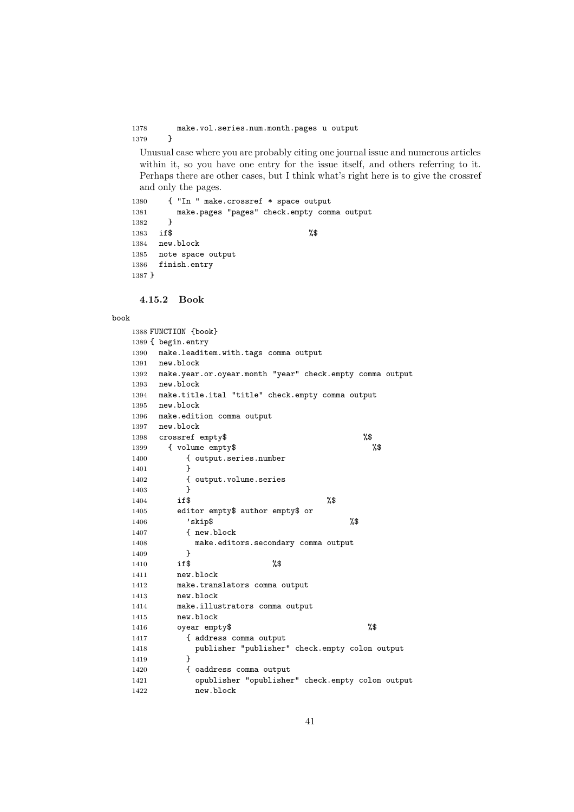1378 make.vol.series.num.month.pages u output 1379 } } Unusual case where you are probably citing one journal issue and numerous articles within it, so you have one entry for the issue itself, and others referring to it. Perhaps there are other cases, but I think what's right here is to give the crossref and only the pages. { "In " make.crossref \* space output make.pages "pages" check.empty comma output } **if\$** % new.block note space output

### **4.15.2 Book**

finish.entry

#### book

}

|      | 1388 FUNCTION {book}                                          |
|------|---------------------------------------------------------------|
|      | 1389 { begin.entry                                            |
| 1390 | make.leaditem.with.tags comma output                          |
| 1391 | new.block                                                     |
|      | 1392 make.year.or.oyear.month "year" check.empty comma output |
|      | 1393 new.block                                                |
|      | 1394 make.title.ital "title" check.empty comma output         |
|      | 1395 new.block                                                |
| 1396 | make.edition comma output                                     |
|      | 1397 new.block                                                |
| 1398 | %\$<br>crossref empty\$                                       |
| 1399 | { volume empty\$<br>%\$                                       |
| 1400 | { output.series.number                                        |
| 1401 | ł                                                             |
| 1402 | { output.volume.series                                        |
| 1403 | ł                                                             |
| 1404 | %\$<br>if\$                                                   |
| 1405 | editor empty\$ author empty\$ or                              |
| 1406 | %\$<br>'skip\$                                                |
| 1407 | f new.block                                                   |
| 1408 | make.editors.secondary comma output                           |
| 1409 | ł                                                             |
| 1410 | %\$<br>if\$                                                   |
| 1411 | new.block                                                     |
| 1412 | make.translators comma output                                 |
| 1413 | new.block                                                     |
| 1414 | make.illustrators comma output                                |
| 1415 | new.block                                                     |
| 1416 | %\$<br>oyear empty\$                                          |
| 1417 | { address comma output                                        |
| 1418 | publisher "publisher" check.empty colon output                |
| 1419 | ł                                                             |
| 1420 | { oaddress comma output                                       |
| 1421 | opublisher "opublisher" check.empty colon output              |
| 1422 | new.block                                                     |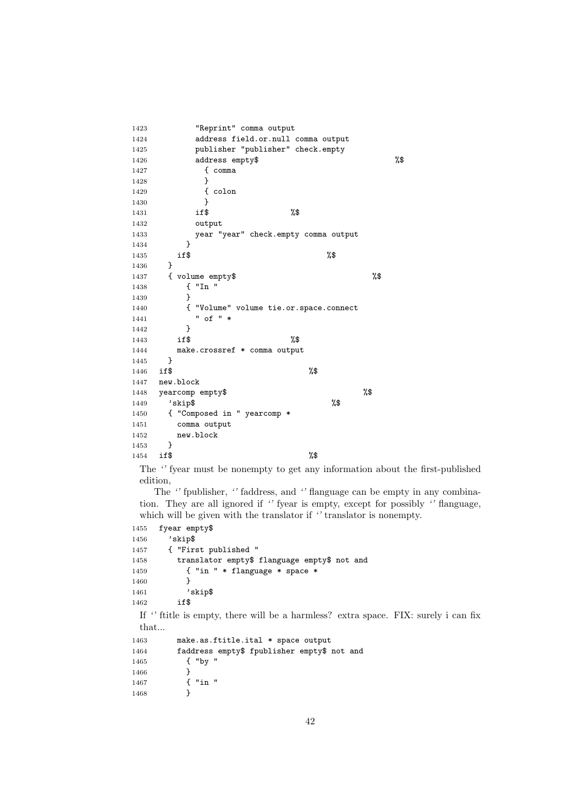```
1423 "Reprint" comma output
1424 address field.or.null comma output
1425 publisher "publisher" check.empty
1426 address empty$ %$
1427 { comma
1428 }
1429 { colon
1430 }
1431 if$ %$
1432 output
1433 year "year" check.empty comma output
1434 }<br>1435 if$
1435 if $ %
1436 }
1437 { volume empty$ %$
1438 { "In "
1439 }
1440 { "Volume" volume tie.or.space.connect
1441 " of " *1442    }<br>1443    if$
1443 if$ %$
1444 make.crossref * comma output<br>1445 }
1445 }
1446 if $ %
1447 new.block
1448 yearcomp empty$ %$
1449 'skip$ %$
1450 { "Composed in " yearcomp *
1451 comma output
1452 new.block<br>1453 }
1453 }
1454 if $ %
 The '' fyear must be nonempty to get any information about the first-published
 edition,
   The '' fpublisher, '' faddress, and '' flanguage can be empty in any combina-
 tion. They are all ignored if '' fyear is empty, except for possibly '' flanguage,
```
which will be given with the translator if *''* translator is nonempty.

```
1455 fyear empty$
1456 'skip$
1457 { "First published "
1458 translator empty$ flanguage empty$ not and
1459 { "in " * flanguage * space *
1460 }
1461 'skip$
1462 if$
 If '' ftitle is empty, there will be a harmless? extra space. FIX: surely i can fix
 that...
1463 make.as.ftitle.ital * space output
1464 faddress empty$ fpublisher empty$ not and<br>1465 f "by "
          1 "by "
1466 }
1467 { "in "
1468 }
```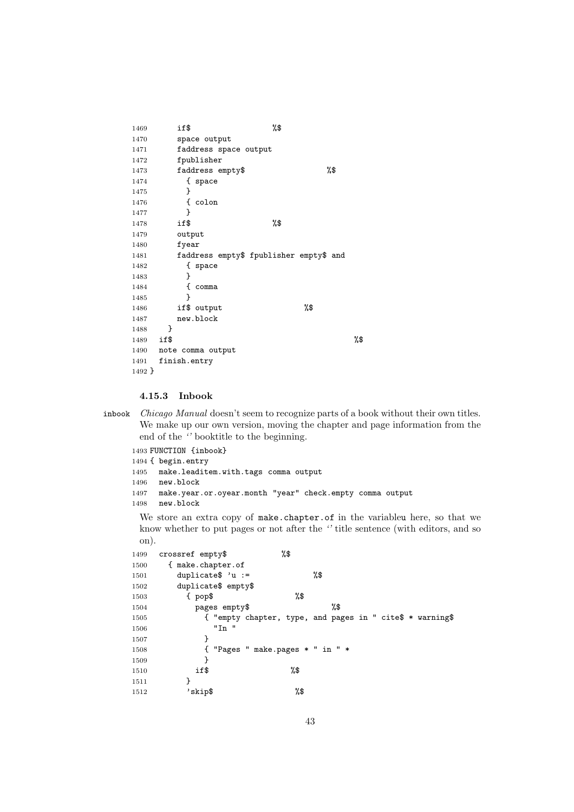```
1469 if$ %$
1470 space output
1471 faddress space output
1472 fpublisher
1473 faddress empty$ %$
1474 { space
1475 }
1476 { colon
1477 }
1478 if$ %$
1479 output
1480 fyear
1481 faddress empty$ fpublisher empty$ and
1482 { space
1483 }
1484 { comma
1485 }
1486 if$ output 1486 %$
1487 new.block
1488 }
1489 if $ %
1490 note comma output
1491 finish.entry
1492 }
```
## **4.15.3 Inbook**

inbook *Chicago Manual* doesn't seem to recognize parts of a book without their own titles. We make up our own version, moving the chapter and page information from the end of the *''* booktitle to the beginning.

```
1493 FUNCTION {inbook}
1494 { begin.entry
1495 make.leaditem.with.tags comma output
1496 new.block
1497 make.year.or.oyear.month "year" check.empty comma output
1498 new.block
```
We store an extra copy of make.chapter.of in the variableu here, so that we know whether to put pages or not after the *''* title sentence (with editors, and so on).

```
1499 crossref empty$ %$
1500 { make.chapter.of
1501 duplicate$ 'u := %$
1502 duplicate$ empty$
1503 { pop$ %$
1504 pages empty$ %$
1505 { "empty chapter, type, and pages in " cite$ * warning$
1506 "In "
1507 }
1508 { "Pages " make.pages * " in " *
1509 }
1510 if$ %$
1511 }
1512 'skip$ %$
```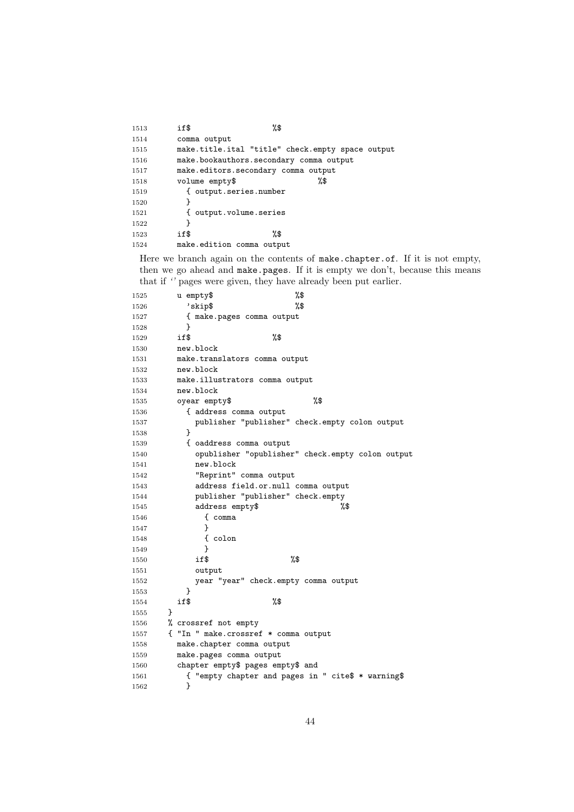| 1513 | %\$<br>if\$                                      |
|------|--------------------------------------------------|
| 1514 | comma output                                     |
| 1515 | make.title.ital "title" check.empty space output |
| 1516 | make.bookauthors.secondary comma output          |
| 1517 | make.editors.secondary comma output              |
| 1518 | %\$<br>volume empty\$                            |
| 1519 | { output.series.number                           |
| 1520 |                                                  |
| 1521 | { output.volume.series                           |
| 1522 | ł                                                |
| 1523 | %\$<br>if\$                                      |
| 1524 | make.edition comma output                        |
|      |                                                  |

Here we branch again on the contents of make.chapter.of. If it is not empty, then we go ahead and make.pages. If it is empty we don't, because this means that if *''* pages were given, they have already been put earlier.

| 1525 |   | %\$<br>u empty\$                                   |
|------|---|----------------------------------------------------|
| 1526 |   | %\$<br>'skip\$                                     |
| 1527 |   | { make.pages comma output                          |
| 1528 |   | ł                                                  |
| 1529 |   | %\$<br>if\$                                        |
| 1530 |   | new.block                                          |
| 1531 |   | make.translators comma output                      |
| 1532 |   | new.block                                          |
| 1533 |   | make.illustrators comma output                     |
| 1534 |   | new.block                                          |
| 1535 |   | %\$<br>oyear empty\$                               |
| 1536 |   | { address comma output                             |
| 1537 |   | publisher "publisher" check.empty colon output     |
| 1538 |   | ł                                                  |
| 1539 |   | { oaddress comma output                            |
| 1540 |   | opublisher "opublisher" check.empty colon output   |
| 1541 |   | new.block                                          |
| 1542 |   | "Reprint" comma output                             |
| 1543 |   | address field.or.null comma output                 |
| 1544 |   | publisher "publisher" check.empty                  |
| 1545 |   | %\$<br>address empty\$                             |
| 1546 |   | { comma                                            |
| 1547 |   | }                                                  |
| 1548 |   | { colon                                            |
| 1549 |   | ł                                                  |
| 1550 |   | %\$<br>if\$                                        |
| 1551 |   | output                                             |
| 1552 |   | year "year" check.empty comma output               |
| 1553 |   | ł                                                  |
| 1554 |   | %\$<br>if\$                                        |
| 1555 | ł |                                                    |
| 1556 |   | % crossref not empty                               |
| 1557 |   | { "In " make.crossref * comma output               |
| 1558 |   | make.chapter comma output                          |
| 1559 |   | make.pages comma output                            |
| 1560 |   | chapter empty\$ pages empty\$ and                  |
| 1561 |   | { "empty chapter and pages in " cite\$ * warning\$ |
| 1562 |   | }                                                  |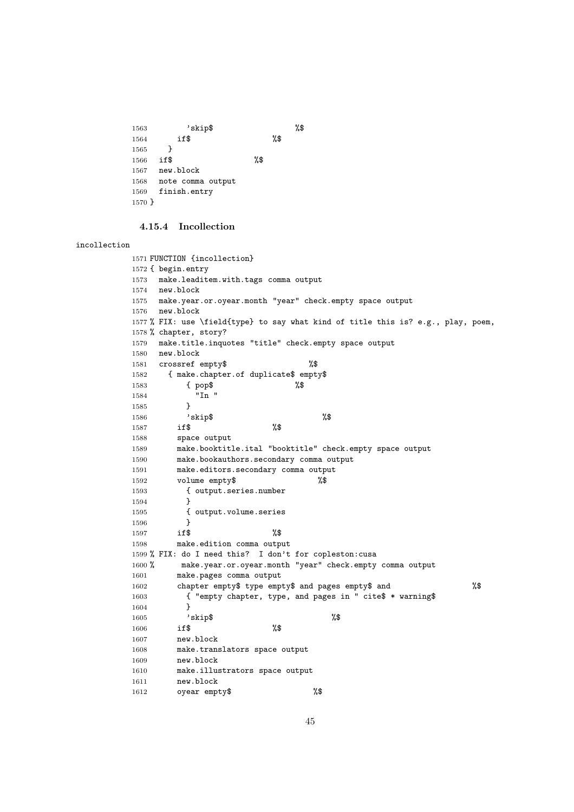```
1563 'skip$ %$
1564 if$ %$
1565 }
1566 if$ %$
1567 new.block
1568 note comma output
1569 finish.entry
1570 }
```
## **4.15.4 Incollection**

#### incollection

```
1571 FUNCTION {incollection}
1572 { begin.entry
1573 make.leaditem.with.tags comma output
1574 new.block
1575 make.year.or.oyear.month "year" check.empty space output
1576 new.block
1577 % FIX: use \field{type} to say what kind of title this is? e.g., play, poem,
1578 % chapter, story?
1579 make.title.inquotes "title" check.empty space output
1580 new.block
1581 crossref empty$ %$
1582 { make.chapter.of duplicate$ empty$
1583 { pop$ %$
1584 "In "
1585 }
1586 'skip$ %$
1587 if$ %$
1588 space output
1589 make.booktitle.ital "booktitle" check.empty space output
1590 make.bookauthors.secondary comma output
1591 make.editors.secondary comma output
1592 volume empty$ %$
1593 { output.series.number
1594 }
1595 { output.volume.series<br>1596 }
1596 }
1597 if$ %$
1598 make.edition comma output
1599 % FIX: do I need this? I don't for copleston:cusa
1600 % make.year.or.oyear.month "year" check.empty comma output
1601 make.pages comma output
1602 chapter empty$ type empty$ and pages empty$ and %$
1603 { "empty chapter, type, and pages in " cite$ * warning$
1604 }
1605 'skip$ %$
1606 if$ %$
1607 new.block
1608 make.translators space output
1609 new.block
1610 make.illustrators space output
1611 new.block
1612 oyear empty$ %$
```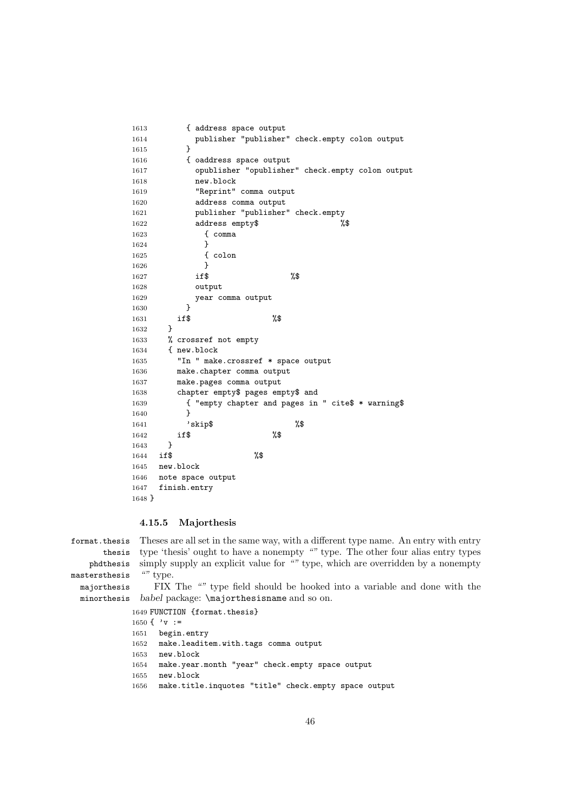```
1613 { address space output
1614 publisher "publisher" check.empty colon output
1615 }
1616 { oaddress space output
1617 opublisher "opublisher" check.empty colon output
1618 new.block
1619 "Reprint" comma output
1620 address comma output
1621 publisher "publisher" check.empty
1622 address empty$ %$
1623 { comma
1624 }
1625 { colon
1626 }
1627 if$ %$
1628 output
1629 year comma output
1630 }
1631 if$ %$
1632 }
1633 % crossref not empty
1634 { new.block
1635 "In " make.crossref * space output
1636 make.chapter comma output
1637 make.pages comma output
1638 chapter empty$ pages empty$ and
1639 { "empty chapter and pages in " cite$ * warning$
1640 }
1641 'skip$ %$
1642 if$ %$
1643 }
1644 if$ %$
1645 new.block
1646 note space output
1647 finish.entry
1648 }
```
## **4.15.5 Majorthesis**

format.thesis thesis phdthesis mastersthesis majorthesis minorthesis Theses are all set in the same way, with a different type name. An entry with entry type 'thesis' ought to have a nonempty *""* type. The other four alias entry types simply supply an explicit value for *""* type, which are overridden by a nonempty *""* type. FIX The *""* type field should be hooked into a variable and done with the *babel* package: \majorthesisname and so on.

```
1649 FUNCTION {format.thesis}
1650 { 'v :=1651 begin.entry
1652 make.leaditem.with.tags comma output
1653 new.block
1654 make.year.month "year" check.empty space output
1655 new.block
1656 make.title.inquotes "title" check.empty space output
```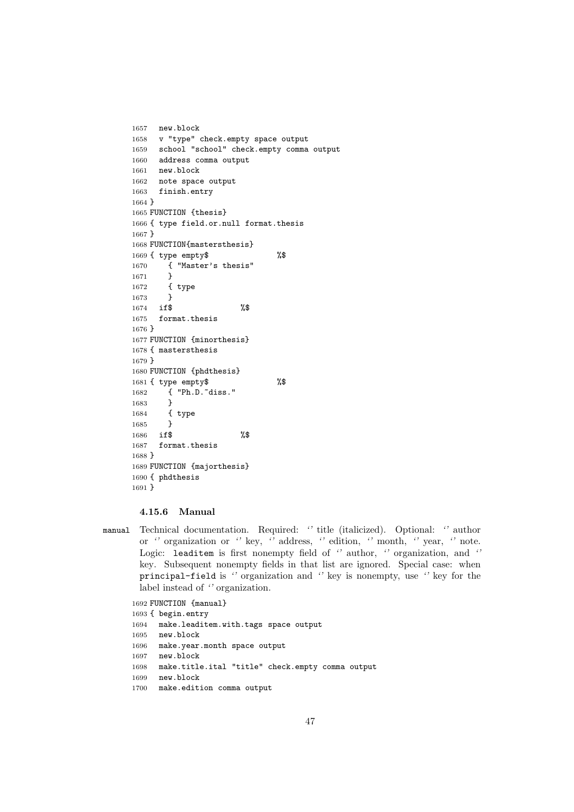```
1657 new.block
1658 v "type" check.empty space output
1659 school "school" check.empty comma output
1660 address comma output
1661 new.block
1662 note space output
1663 finish.entry
1664 }
1665 FUNCTION {thesis}
1666 { type field.or.null format.thesis
1667 }
1668 FUNCTION{mastersthesis}
1669 { type empty$ %$
1670 { "Master's thesis"
1671 }
1672 { type
1673 }
1674 if$ %$
1675 format.thesis
1676 }
1677 FUNCTION {minorthesis}
1678 { mastersthesis
1679 }
1680 FUNCTION {phdthesis}
1681 { type empty$ %$
1682 { "Ph.D."diss."
1683 }
1684 { type
1685 }
1686 if$ %$
1687 format.thesis
1688 }
1689 FUNCTION {majorthesis}
1690 { phdthesis
1691 }
```
#### **4.15.6 Manual**

manual Technical documentation. Required: *''* title (italicized). Optional: *''* author or *''* organization or *''* key, *''* address, *''* edition, *''* month, *''* year, *''* note. Logic: leaditem is first nonempty field of *''* author, *''* organization, and *''* key. Subsequent nonempty fields in that list are ignored. Special case: when principal-field is *''* organization and *''* key is nonempty, use *''* key for the label instead of *''* organization.

 FUNCTION {manual} { begin.entry make.leaditem.with.tags space output new.block make.year.month space output new.block make.title.ital "title" check.empty comma output new.block make.edition comma output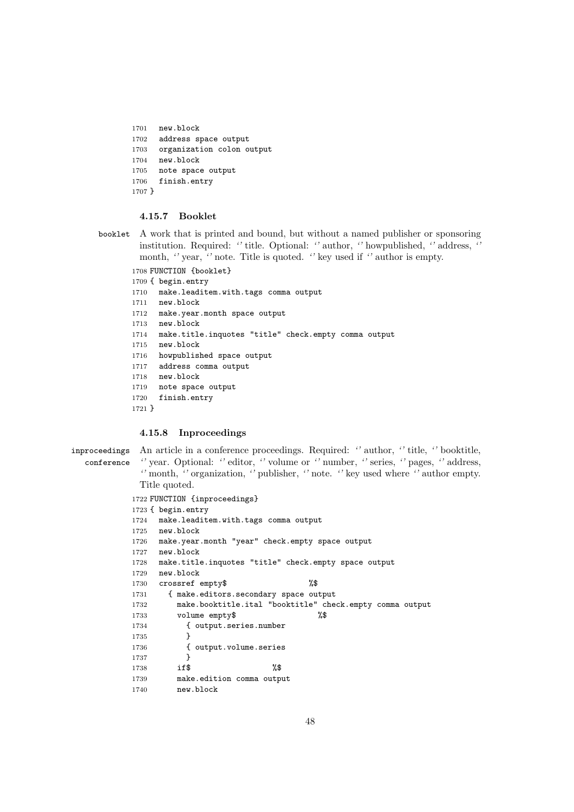```
1701 new.block
1702 address space output
1703 organization colon output
1704 new.block
1705 note space output
1706 finish.entry
1707 }
```
## **4.15.7 Booklet**

booklet A work that is printed and bound, but without a named publisher or sponsoring institution. Required: *''* title. Optional: *''* author, *''* howpublished, *''* address, *''* month, *''* year, *''* note. Title is quoted. *''* key used if *''* author is empty.

```
1708 FUNCTION {booklet}
1709 { begin.entry
1710 make.leaditem.with.tags comma output
1711 new.block
1712 make.year.month space output
1713 new.block
1714 make.title.inquotes "title" check.empty comma output
1715 new.block
1716 howpublished space output
1717 address comma output
1718 new.block
1719 note space output
1720 finish.entry
1721 }
```
#### **4.15.8 Inproceedings**

```
inproceedings
An article in a conference proceedings. Required: '' author, '' title, '' booktitle,
  conference
             '' year. Optional: '' editor, '' volume or '' number, '' series, '' pages, '' address,
             '' month, '' organization, '' publisher, '' note. '' key used where '' author empty.
             Title quoted.
           1722 FUNCTION {inproceedings}
           1723 { begin.entry
           1724 make.leaditem.with.tags comma output
           1725 new.block
           1726 make.year.month "year" check.empty space output
           1727 new.block
           1728 make.title.inquotes "title" check.empty space output
           1729 new.block
           1730 crossref empty$ %$
           1731 { make.editors.secondary space output
           1732 make.booktitle.ital "booktitle" check.empty comma output
           1733 volume empty$ %$
           1734 { output.series.number
           1735 }
           1736 { output.volume.series
           1737 }
            1738 if$ %$
            1739 make.edition comma output
            1740 new.block
```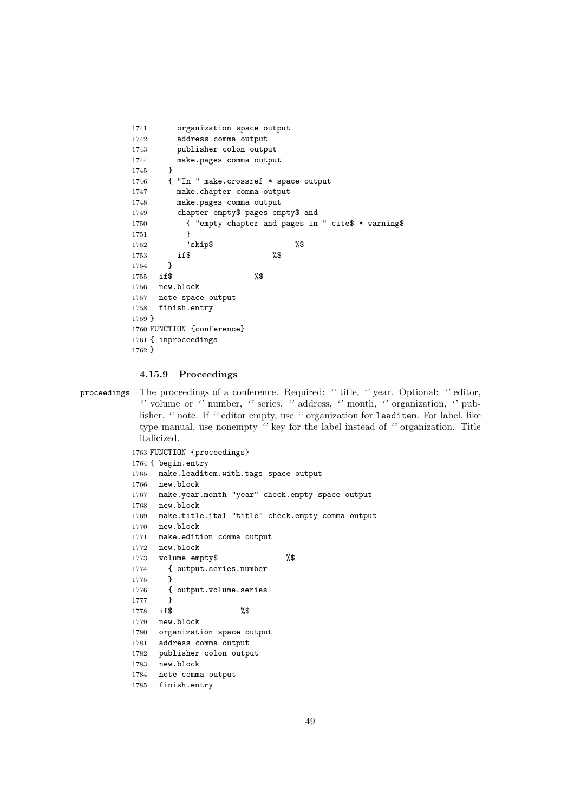```
1741 organization space output
1742 address comma output
1743 publisher colon output
1744 make.pages comma output
1745 }
1746 { "In " make.crossref * space output
1747 make.chapter comma output
1748 make.pages comma output
1749 chapter empty$ pages empty$ and
1750 { "empty chapter and pages in " cite$ * warning$
1751 }
1752 'skip$ %$<br>1753 if$ %$
1753 if$ %$
1754 }
1755 if$ %$
1756 new.block
1757 note space output
1758 finish.entry
1759 }
1760 FUNCTION {conference}
1761 { inproceedings
1762 }
```
## **4.15.9 Proceedings**

proceedings The proceedings of a conference. Required: *''* title, *''* year. Optional: *''* editor, *''* volume or *''* number, *''* series, *''* address, *''* month, *''* organization, *''* publisher, *''* note. If *''* editor empty, use *''* organization for leaditem. For label, like type manual, use nonempty *''* key for the label instead of *''* organization. Title italicized.

```
1763 FUNCTION {proceedings}
1764 { begin.entry
1765 make.leaditem.with.tags space output
1766 new.block
1767 make.year.month "year" check.empty space output
1768 new.block
1769 make.title.ital "title" check.empty comma output
1770 new.block
1771 make.edition comma output
1772 new.block
1773 volume empty$ %$
1774 { output.series.number
1775 }
1776 { output.volume.series
1777 }
1778 if$ %$
1779 new.block
1780 organization space output
1781 address comma output
1782 publisher colon output
1783 new.block
1784 note comma output
1785 finish.entry
```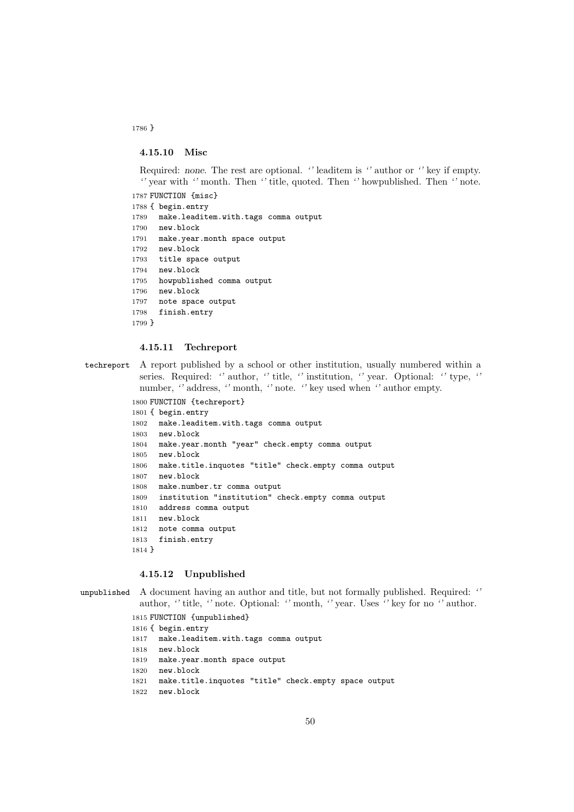**4.15.10 Misc**

Required: *none*. The rest are optional. *''* leaditem is *''* author or *''* key if empty. *''* year with *''* month. Then *''* title, quoted. Then *''* howpublished. Then *''* note.

```
1787 FUNCTION {misc}
1788 { begin.entry
1789 make.leaditem.with.tags comma output
1790 new.block
1791 make.year.month space output
1792 new.block
1793 title space output
1794 new.block
1795 howpublished comma output
1796 new.block
1797 note space output
1798 finish.entry
1799 }
```
#### **4.15.11 Techreport**

techreport A report published by a school or other institution, usually numbered within a series. Required: *''* author, *''* title, *''* institution, *''* year. Optional: *''* type, *''* number, *''* address, *''* month, *''* note. *''* key used when *''* author empty.

```
1800 FUNCTION {techreport}
1801 { begin.entry
1802 make.leaditem.with.tags comma output
1803 new.block
1804 make.year.month "year" check.empty comma output
1805 new.block
1806 make.title.inquotes "title" check.empty comma output
1807 new.block
1808 make.number.tr comma output
1809 institution "institution" check.empty comma output
1810 address comma output
1811 new.block
1812 note comma output
1813 finish.entry
1814 }
```
### **4.15.12 Unpublished**

```
unpublished A document having an author and title, but not formally published. Required: ''
             author, '' title, '' note. Optional: '' month, '' year. Uses '' key for no '' author.
```

```
1815 FUNCTION {unpublished}
1816 { begin.entry
1817 make.leaditem.with.tags comma output
1818 new.block
1819 make.year.month space output
1820 new.block
1821 make.title.inquotes "title" check.empty space output
1822 new.block
```
}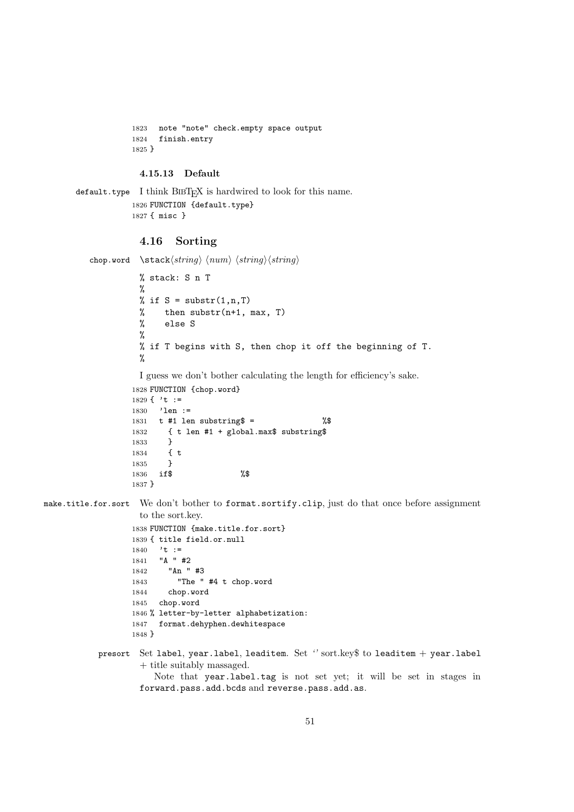```
1823 note "note" check.empty space output
1824 finish.entry
1825 }
```
## **4.15.13 Default**

```
\texttt{default-type} I think \texttt{BIBT}_F X is hardwired to look for this name.
               1826 FUNCTION {default.type}
               1827 { misc }
```
## **4.16 Sorting**

```
\langlestack\langle string \rangle \langle num \rangle \langle string \rangle% stack: S n T
            %
            % if S = substr(1, n, T)% then \text{substr}(n+1, \text{max}, T)% else S
            %
            % if T begins with S, then chop it off the beginning of T.
            \frac{9}{6}
```

```
I guess we don't bother calculating the length for efficiency's sake.
```

```
1828 FUNCTION {chop.word}
1829 { 't :=
1830 'len :=
1831 t #1 len substring \frac{1}{3} = \frac{1}{3}1832 { t len #1 + global.max$ substring$
1833 }
1834 { t
1835 }
1836 if$ %$
1837 }
```
make.title.for.sort We don't bother to format.sortify.clip, just do that once before assignment to the sort.key.

```
1838 FUNCTION {make.title.for.sort}
1839 { title field.or.null
1840 't :=
1841 "A " #2
1842 "An " #3
1843 "The " #4 t chop.word
1844 chop.word
1845 chop.word
1846 % letter-by-letter alphabetization:
1847 format.dehyphen.dewhitespace
1848 }
```
presort Set label, year.label, leaditem. Set *''* sort.key\$ to leaditem + year.label + title suitably massaged.

```
Note that year.label.tag is not set yet; it will be set in stages in
forward.pass.add.bcds and reverse.pass.add.as.
```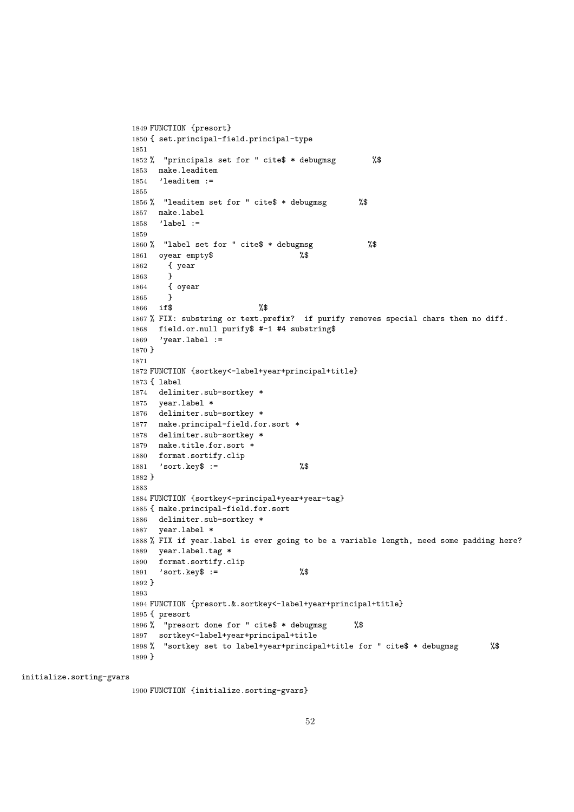```
1849 FUNCTION {presort}
1850 { set.principal-field.principal-type
1851
1852 % "principals set for " cite$ * debugmsg %$
1853 make.leaditem
1854 'leaditem :=
1855
1856 % "leaditem set for " cite$ * debugmsg %$
1857 make.label
1858 'label :=
1859
1860 % "label set for " cite$ * debugmsg %$
1861 oyear empty$ %$
1862 { year
1863 }
1864 { oyear
1865 }
1866 if$ %$
1867 % FIX: substring or text.prefix? if purify removes special chars then no diff.
1868 field.or.null purify$ #-1 #4 substring$
1869 'year.label :=
1870 }
1871
1872 FUNCTION {sortkey<-label+year+principal+title}
1873 { label
1874 delimiter.sub-sortkey *
1875 year.label *
1876 delimiter.sub-sortkey *
1877 make.principal-field.for.sort *
1878 delimiter.sub-sortkey *
1879 make.title.for.sort *
1880 format.sortify.clip
1881 'sort.key$ := %$
1882 }
1883
1884 FUNCTION {sortkey<-principal+year+year-tag}
1885 { make.principal-field.for.sort
1886 delimiter.sub-sortkey *
1887 year.label *
1888 % FIX if year.label is ever going to be a variable length, need some padding here?
1889 year.label.tag *
1890 format.sortify.clip
1891 'sort.key$ := %$
1892 }
1893
1894 FUNCTION {presort.&.sortkey<-label+year+principal+title}
1895 { presort
1896 % "presort done for " cite$ * debugmsg %$
1897 sortkey<-label+year+principal+title
1898 % "sortkey set to label+year+principal+title for " cite$ * debugmsg %$
1899 }
```
initialize.sorting-gvars

FUNCTION {initialize.sorting-gvars}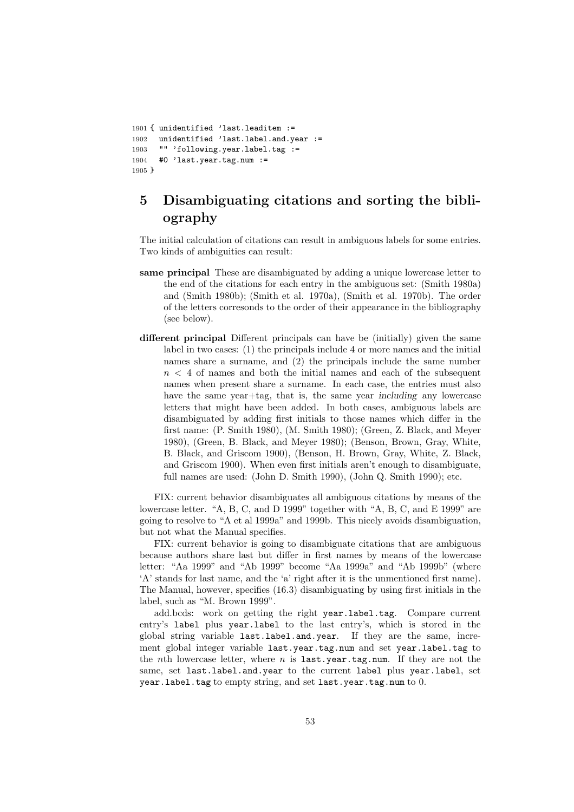```
1901 { unidentified 'last.leaditem :=
1902 unidentified 'last.label.and.year :=
1903 "" 'following.year.label.tag :=
1904 #0 'last.year.tag.num :=
1905 }
```
# **5 Disambiguating citations and sorting the bibliography**

The initial calculation of citations can result in ambiguous labels for some entries. Two kinds of ambiguities can result:

- **same principal** These are disambiguated by adding a unique lowercase letter to the end of the citations for each entry in the ambiguous set: (Smith 1980a) and (Smith 1980b); (Smith et al. 1970a), (Smith et al. 1970b). The order of the letters corresonds to the order of their appearance in the bibliography (see below).
- **different principal** Different principals can have be (initially) given the same label in two cases: (1) the principals include 4 or more names and the initial names share a surname, and (2) the principals include the same number  $n < 4$  of names and both the initial names and each of the subsequent names when present share a surname. In each case, the entries must also have the same year+tag, that is, the same year *including* any lowercase letters that might have been added. In both cases, ambiguous labels are disambiguated by adding first initials to those names which differ in the first name: (P. Smith 1980), (M. Smith 1980); (Green, Z. Black, and Meyer 1980), (Green, B. Black, and Meyer 1980); (Benson, Brown, Gray, White, B. Black, and Griscom 1900), (Benson, H. Brown, Gray, White, Z. Black, and Griscom 1900). When even first initials aren't enough to disambiguate, full names are used: (John D. Smith 1990), (John Q. Smith 1990); etc.

FIX: current behavior disambiguates all ambiguous citations by means of the lowercase letter. "A, B, C, and D 1999" together with "A, B, C, and E 1999" are going to resolve to "A et al 1999a" and 1999b. This nicely avoids disambiguation, but not what the Manual specifies.

FIX: current behavior is going to disambiguate citations that are ambiguous because authors share last but differ in first names by means of the lowercase letter: "Aa 1999" and "Ab 1999" become "Aa 1999a" and "Ab 1999b" (where 'A' stands for last name, and the 'a' right after it is the unmentioned first name). The Manual, however, specifies (16.3) disambiguating by using first initials in the label, such as "M. Brown 1999".

add.bcds: work on getting the right year.label.tag. Compare current entry's label plus year.label to the last entry's, which is stored in the global string variable last.label.and.year. If they are the same, increment global integer variable last.year.tag.num and set year.label.tag to the *n*th lowercase letter, where *n* is last.year.tag.num. If they are not the same, set last.label.and.year to the current label plus year.label, set year.label.tag to empty string, and set last.year.tag.num to 0.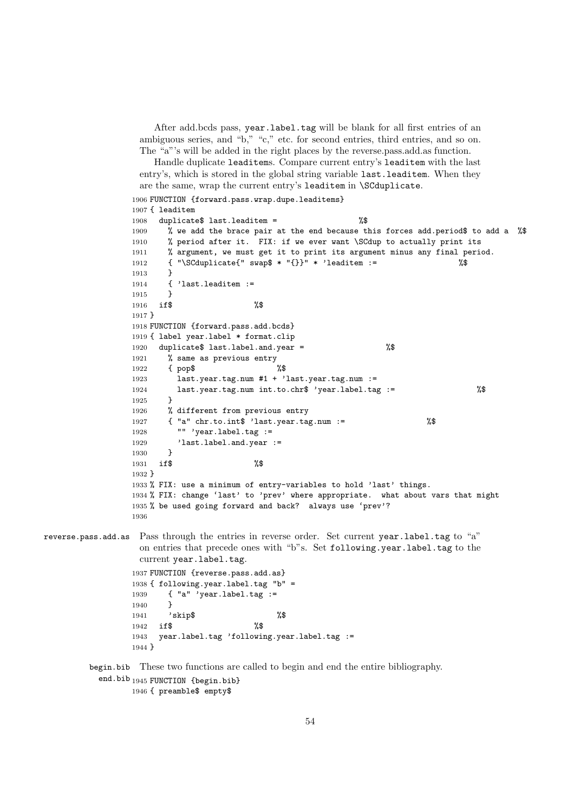After add.bcds pass, year.label.tag will be blank for all first entries of an ambiguous series, and "b," "c," etc. for second entries, third entries, and so on. The "a"'s will be added in the right places by the reverse.pass.add.as function.

Handle duplicate leaditems. Compare current entry's leaditem with the last entry's, which is stored in the global string variable last.leaditem. When they are the same, wrap the current entry's leaditem in \SCduplicate.

```
1906 FUNCTION {forward.pass.wrap.dupe.leaditems}
```

```
1907 { leaditem
                 1908 duplicate$ last.leaditem = %$
                 1909 % we add the brace pair at the end because this forces add.period$ to add a %$
                 1910 % period after it. FIX: if we ever want \SCdup to actually print its
                 1911 % argument, we must get it to print its argument minus any final period.
                 1912 { "\SCduplicate{" swap$ * "{}}" * 'leaditem := %$
                 1913 }
                 1914 { 'last.leaditem :=
                 1915 }
                 1916 if$ %$
                 1917 }
                 1918 FUNCTION {forward.pass.add.bcds}
                 1919 { label year.label * format.clip
                 1920 duplicate$ last.label.and.year = \frac{1}{2} %$
                 1921 % same as previous entry
                 1922 { pop$ %$
                 1923 last.year.tag.num #1 + 'last.year.tag.num :=
                 1924 last.year.tag.num int.to.chr$ 'year.label.tag := %$
                 1925 }
                 1926 % different from previous entry
                 1927 { "a" chr.to.int$ 'last.year.tag.num := %$
                 1928 "" 'year.label.tag :=
                 1929 'last.label.and.year :=
                 1930 }
                 1931 if$ %$
                 1932 }
                 1933 % FIX: use a minimum of entry-variables to hold 'last' things.
                 1934 % FIX: change 'last' to 'prev' where appropriate. what about vars that might
                 1935 % be used going forward and back? always use 'prev'?
                 1936
reverse.pass.add.as Pass through the entries in reverse order. Set current year.label.tag to "a"
                  on entries that precede ones with "b"s. Set following.year.label.tag to the
                  current year.label.tag.
                 1937 FUNCTION {reverse.pass.add.as}
                 1938 { following.year.label.tag "b" =
                 1939 { "a" 'year.label.tag :=
```

```
1940 }
1941 'skip$ %$
1942 if$ %$
1943 year.label.tag 'following.year.label.tag :=
1944 }
```
begin.bib These two functions are called to begin and end the entire bibliography. end.bib<sub>1945</sub> FUNCTION {begin.bib}

```
1946 { preamble$ empty$
```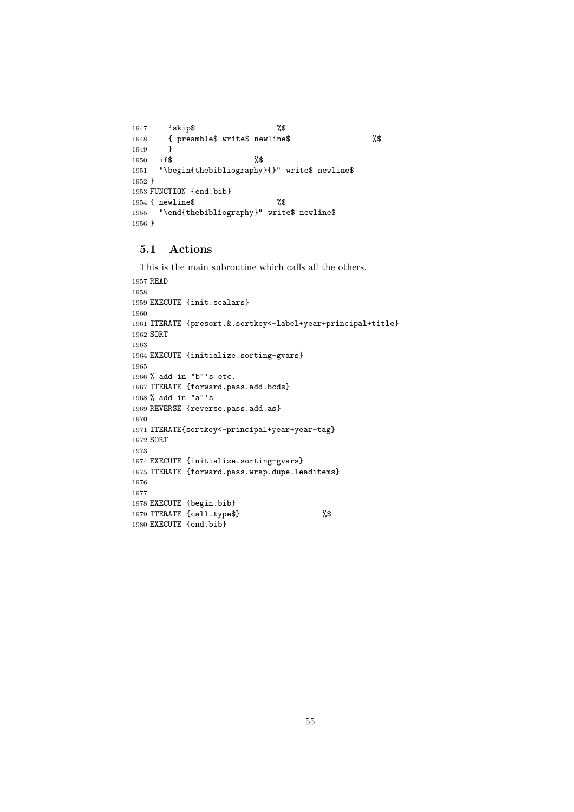```
1947 'skip$ %$
1948 { preamble$ write$ newline$ %$
1949 }
1950 if$ %$
1951 "\begin{thebibliography}{}" write$ newline$
1952 }
1953 FUNCTION {end.bib}
1954 { newline$ %$
1955 "\end{thebibliography}" write$ newline$
1956 }
```
## **5.1 Actions**

```
This is the main subroutine which calls all the others.
1957 READ
1958
1959 EXECUTE {init.scalars}
1960
1961 ITERATE {presort.&.sortkey<-label+year+principal+title}
1962 SORT
1963
1964 EXECUTE {initialize.sorting-gvars}
1965
1966 % add in "b"'s etc.
1967 ITERATE {forward.pass.add.bcds}
1968 % add in "a"'s
1969 REVERSE {reverse.pass.add.as}
1970
1971 ITERATE{sortkey<-principal+year+year-tag}
1972 SORT
1973
1974 EXECUTE {initialize.sorting-gvars}
1975 ITERATE {forward.pass.wrap.dupe.leaditems}
1976
1977
1978 EXECUTE {begin.bib}
1979 ITERATE {call.type$} %$
1980 EXECUTE {end.bib}
```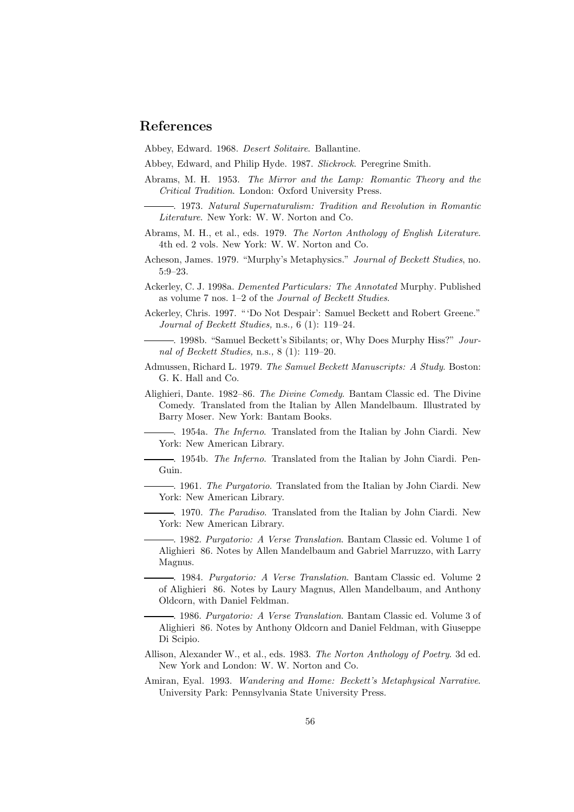## **References**

Abbey, Edward. 1968. *Desert Solitaire*. Ballantine.

Abbey, Edward, and Philip Hyde. 1987. *Slickrock*. Peregrine Smith.

- Abrams, M. H. 1953. *The Mirror and the Lamp: Romantic Theory and the Critical Tradition*. London: Oxford University Press.
- . 1973. *Natural Supernaturalism: Tradition and Revolution in Romantic Literature*. New York: W. W. Norton and Co.
- Abrams, M. H., et al., eds. 1979. *The Norton Anthology of English Literature*. 4th ed. 2 vols. New York: W. W. Norton and Co.
- Acheson, James. 1979. "Murphy's Metaphysics." *Journal of Beckett Studies*, no. 5:9–23.
- Ackerley, C. J. 1998a. *Demented Particulars: The Annotated* Murphy. Published as volume 7 nos. 1–2 of the *Journal of Beckett Studies*.
- Ackerley, Chris. 1997. " 'Do Not Despair': Samuel Beckett and Robert Greene." *Journal of Beckett Studies,* n.s.*,* 6 (1): 119–24.
- . 1998b. "Samuel Beckett's Sibilants; or, Why Does Murphy Hiss?" *Journal of Beckett Studies,* n.s.*,* 8 (1): 119–20.
- Admussen, Richard L. 1979. *The Samuel Beckett Manuscripts: A Study*. Boston: G. K. Hall and Co.
- Alighieri, Dante. 1982–86. *The Divine Comedy*. Bantam Classic ed. The Divine Comedy. Translated from the Italian by Allen Mandelbaum. Illustrated by Barry Moser. New York: Bantam Books.
	- . 1954a. *The Inferno*. Translated from the Italian by John Ciardi. New York: New American Library.
	- . 1954b. *The Inferno*. Translated from the Italian by John Ciardi. Pen-Guin.
	- . 1961. *The Purgatorio*. Translated from the Italian by John Ciardi. New York: New American Library.
- . 1970. *The Paradiso*. Translated from the Italian by John Ciardi. New York: New American Library.
	- . 1982. *Purgatorio: A Verse Translation*. Bantam Classic ed. Volume 1 of Alighieri 86. Notes by Allen Mandelbaum and Gabriel Marruzzo, with Larry Magnus.

. 1984. *Purgatorio: A Verse Translation*. Bantam Classic ed. Volume 2 of Alighieri 86. Notes by Laury Magnus, Allen Mandelbaum, and Anthony Oldcorn, with Daniel Feldman.

. 1986. *Purgatorio: A Verse Translation*. Bantam Classic ed. Volume 3 of Alighieri 86. Notes by Anthony Oldcorn and Daniel Feldman, with Giuseppe Di Scipio.

- Allison, Alexander W., et al., eds. 1983. *The Norton Anthology of Poetry*. 3d ed. New York and London: W. W. Norton and Co.
- Amiran, Eyal. 1993. *Wandering and Home: Beckett's Metaphysical Narrative*. University Park: Pennsylvania State University Press.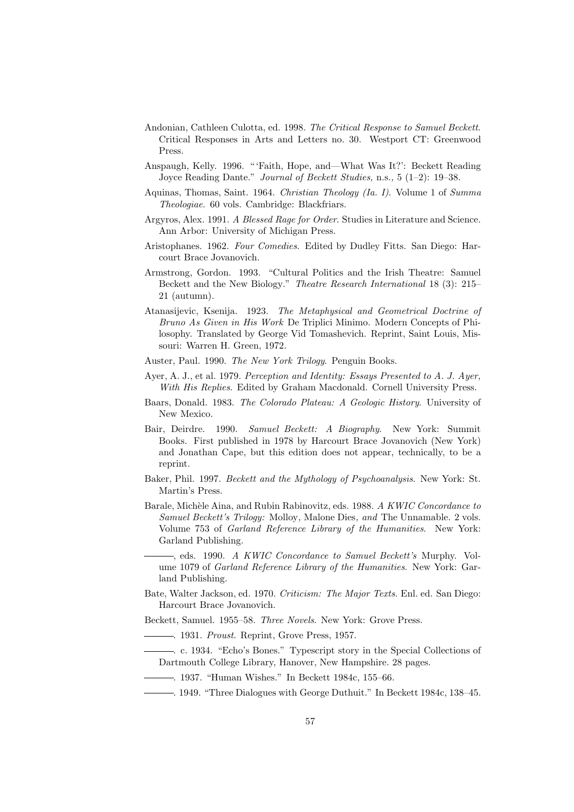- Andonian, Cathleen Culotta, ed. 1998. *The Critical Response to Samuel Beckett*. Critical Responses in Arts and Letters no. 30. Westport CT: Greenwood Press.
- Anspaugh, Kelly. 1996. " 'Faith, Hope, and—What Was It?': Beckett Reading Joyce Reading Dante." *Journal of Beckett Studies,* n.s.*,* 5 (1–2): 19–38.
- Aquinas, Thomas, Saint. 1964. *Christian Theology (Ia. I)*. Volume 1 of *Summa Theologiae*. 60 vols. Cambridge: Blackfriars.
- Argyros, Alex. 1991. *A Blessed Rage for Order*. Studies in Literature and Science. Ann Arbor: University of Michigan Press.
- Aristophanes. 1962. *Four Comedies*. Edited by Dudley Fitts. San Diego: Harcourt Brace Jovanovich.
- Armstrong, Gordon. 1993. "Cultural Politics and the Irish Theatre: Samuel Beckett and the New Biology." *Theatre Research International* 18 (3): 215– 21 (autumn).
- Atanasijevic, Ksenija. 1923. *The Metaphysical and Geometrical Doctrine of Bruno As Given in His Work* De Triplici Minimo. Modern Concepts of Philosophy. Translated by George Vid Tomashevich. Reprint, Saint Louis, Missouri: Warren H. Green, 1972.
- Auster, Paul. 1990. *The New York Trilogy*. Penguin Books.
- Ayer, A. J., et al. 1979. *Perception and Identity: Essays Presented to A. J. Ayer, With His Replies*. Edited by Graham Macdonald. Cornell University Press.
- Baars, Donald. 1983. *The Colorado Plateau: A Geologic History*. University of New Mexico.
- Bair, Deirdre. 1990. *Samuel Beckett: A Biography*. New York: Summit Books. First published in 1978 by Harcourt Brace Jovanovich (New York) and Jonathan Cape, but this edition does not appear, technically, to be a reprint.
- Baker, Phil. 1997. *Beckett and the Mythology of Psychoanalysis*. New York: St. Martin's Press.
- Barale, Mich`ele Aina, and Rubin Rabinovitz, eds. 1988. *A KWIC Concordance to Samuel Beckett's Trilogy:* Molloy*,* Malone Dies*, and* The Unnamable. 2 vols. Volume 753 of *Garland Reference Library of the Humanities*. New York: Garland Publishing.

, eds. 1990. *A KWIC Concordance to Samuel Beckett's* Murphy. Volume 1079 of *Garland Reference Library of the Humanities*. New York: Garland Publishing.

Bate, Walter Jackson, ed. 1970. *Criticism: The Major Texts*. Enl. ed. San Diego: Harcourt Brace Jovanovich.

Beckett, Samuel. 1955–58. *Three Novels*. New York: Grove Press.

. 1931. *Proust*. Reprint, Grove Press, 1957.

- . c. 1934. "Echo's Bones." Typescript story in the Special Collections of Dartmouth College Library, Hanover, New Hampshire. 28 pages.
- . 1937. "Human Wishes." In Beckett 1984c, 155–66.
	- . 1949. "Three Dialogues with George Duthuit." In Beckett 1984c, 138–45.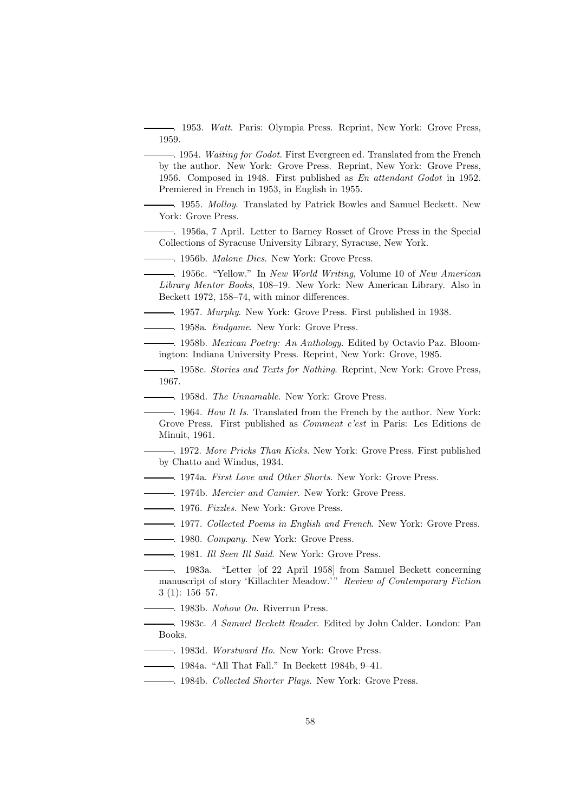. 1953. *Watt*. Paris: Olympia Press. Reprint, New York: Grove Press, 1959.

. 1954. *Waiting for Godot*. First Evergreen ed. Translated from the French by the author. New York: Grove Press. Reprint, New York: Grove Press, 1956. Composed in 1948. First published as *En attendant Godot* in 1952. Premiered in French in 1953, in English in 1955.

. 1955. *Molloy*. Translated by Patrick Bowles and Samuel Beckett. New York: Grove Press.

. 1956a, 7 April. Letter to Barney Rosset of Grove Press in the Special Collections of Syracuse University Library, Syracuse, New York.

. 1956b. *Malone Dies*. New York: Grove Press.

. 1956c. "Yellow." In *New World Writing*, Volume 10 of *New American Library Mentor Books*, 108–19. New York: New American Library. Also in Beckett 1972, 158–74, with minor differences.

. 1957. *Murphy*. New York: Grove Press. First published in 1938.

. 1958a. *Endgame*. New York: Grove Press.

. 1958b. *Mexican Poetry: An Anthology*. Edited by Octavio Paz. Bloomington: Indiana University Press. Reprint, New York: Grove, 1985.

. 1958c. *Stories and Texts for Nothing*. Reprint, New York: Grove Press, 1967.

. 1958d. *The Unnamable*. New York: Grove Press.

. 1964. *How It Is*. Translated from the French by the author. New York: Grove Press. First published as *Comment c'est* in Paris: Les Editions de Minuit, 1961.

. 1972. *More Pricks Than Kicks*. New York: Grove Press. First published by Chatto and Windus, 1934.

. 1974a. *First Love and Other Shorts*. New York: Grove Press.

. 1974b. *Mercier and Camier*. New York: Grove Press.

. 1976. *Fizzles*. New York: Grove Press.

. 1977. *Collected Poems in English and French*. New York: Grove Press.

. 1980. *Company*. New York: Grove Press.

. 1981. *Ill Seen Ill Said*. New York: Grove Press.

. 1983a. "Letter [of 22 April 1958] from Samuel Beckett concerning manuscript of story 'Killachter Meadow.'" *Review of Contemporary Fiction* 3 (1): 156–57.

. 1983b. *Nohow On*. Riverrun Press.

. 1983c. *A Samuel Beckett Reader*. Edited by John Calder. London: Pan Books.

. 1983d. *Worstward Ho*. New York: Grove Press.

. 1984a. "All That Fall." In Beckett 1984b, 9–41.

. 1984b. *Collected Shorter Plays*. New York: Grove Press.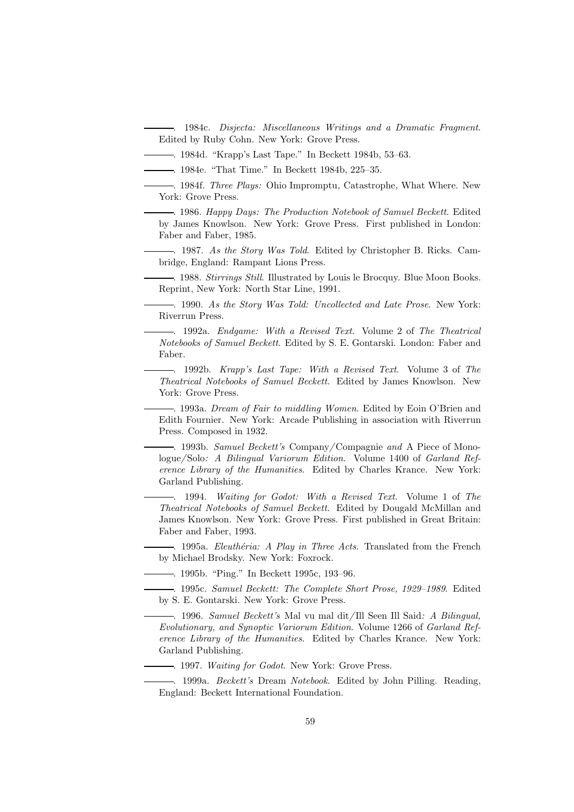. 1984c. *Disjecta: Miscellaneous Writings and a Dramatic Fragment*. Edited by Ruby Cohn. New York: Grove Press.

. 1984d. "Krapp's Last Tape." In Beckett 1984b, 53–63.

. 1984e. "That Time." In Beckett 1984b, 225–35.

. 1984f. *Three Plays:* Ohio Impromptu*,* Catastrophe*,* What Where. New York: Grove Press.

. 1986. *Happy Days: The Production Notebook of Samuel Beckett*. Edited by James Knowlson. New York: Grove Press. First published in London: Faber and Faber, 1985.

. 1987. *As the Story Was Told*. Edited by Christopher B. Ricks. Cambridge, England: Rampant Lions Press.

. 1988. *Stirrings Still*. Illustrated by Louis le Brocquy. Blue Moon Books. Reprint, New York: North Star Line, 1991.

. 1990. *As the Story Was Told: Uncollected and Late Prose*. New York: Riverrun Press.

. 1992a. *Endgame: With a Revised Text*. Volume 2 of *The Theatrical Notebooks of Samuel Beckett*. Edited by S. E. Gontarski. London: Faber and Faber.

. 1992b. *Krapp's Last Tape: With a Revised Text*. Volume 3 of *The Theatrical Notebooks of Samuel Beckett*. Edited by James Knowlson. New York: Grove Press.

. 1993a. *Dream of Fair to middling Women*. Edited by Eoin O'Brien and Edith Fournier. New York: Arcade Publishing in association with Riverrun Press. Composed in 1932.

. 1993b. *Samuel Beckett's* Company*/* Compagnie *and* A Piece of Monologue*/* Solo*: A Bilingual Variorum Edition*. Volume 1400 of *Garland Reference Library of the Humanities*. Edited by Charles Krance. New York: Garland Publishing.

. 1994. *Waiting for Godot: With a Revised Text*. Volume 1 of *The Theatrical Notebooks of Samuel Beckett*. Edited by Dougald McMillan and James Knowlson. New York: Grove Press. First published in Great Britain: Faber and Faber, 1993.

. 1995a. *Eleuthéria: A Play in Three Acts*. Translated from the French by Michael Brodsky. New York: Foxrock.

. 1995b. "Ping." In Beckett 1995c, 193–96.

. 1995c. *Samuel Beckett: The Complete Short Prose, 1929–1989*. Edited by S. E. Gontarski. New York: Grove Press.

. 1996. *Samuel Beckett's* Mal vu mal dit*/* Ill Seen Ill Said*: A Bilingual, Evolutionary, and Synoptic Variorum Edition*. Volume 1266 of *Garland Reference Library of the Humanities*. Edited by Charles Krance. New York: Garland Publishing.

. 1997. *Waiting for Godot*. New York: Grove Press.

. 1999a. *Beckett's* Dream *Notebook*. Edited by John Pilling. Reading, England: Beckett International Foundation.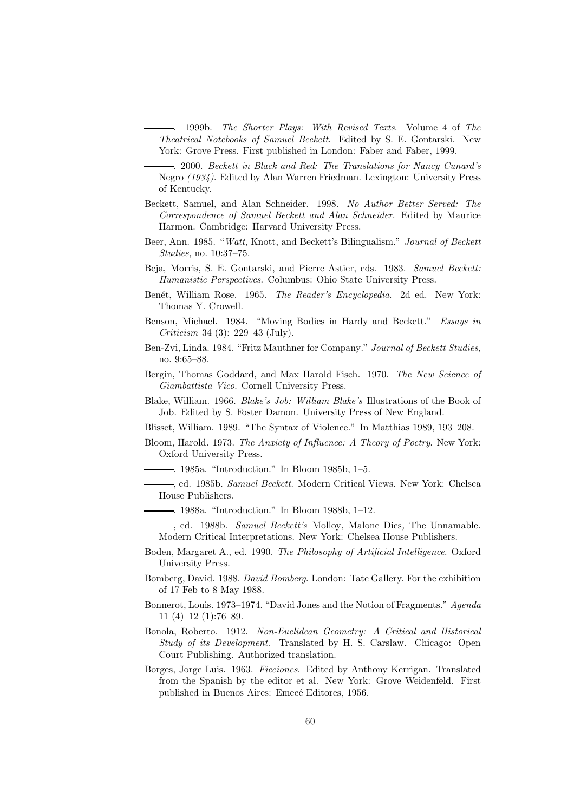. 1999b. *The Shorter Plays: With Revised Texts*. Volume 4 of *The Theatrical Notebooks of Samuel Beckett*. Edited by S. E. Gontarski. New York: Grove Press. First published in London: Faber and Faber, 1999.

. 2000. *Beckett in Black and Red: The Translations for Nancy Cunard's* Negro *(1934)*. Edited by Alan Warren Friedman. Lexington: University Press of Kentucky.

- Beckett, Samuel, and Alan Schneider. 1998. *No Author Better Served: The Correspondence of Samuel Beckett and Alan Schneider*. Edited by Maurice Harmon. Cambridge: Harvard University Press.
- Beer, Ann. 1985. "*Watt*, Knott, and Beckett's Bilingualism." *Journal of Beckett Studies*, no. 10:37–75.
- Beja, Morris, S. E. Gontarski, and Pierre Astier, eds. 1983. *Samuel Beckett: Humanistic Perspectives*. Columbus: Ohio State University Press.
- Ben´et, William Rose. 1965. *The Reader's Encyclopedia*. 2d ed. New York: Thomas Y. Crowell.
- Benson, Michael. 1984. "Moving Bodies in Hardy and Beckett." *Essays in Criticism* 34 (3): 229–43 (July).
- Ben-Zvi, Linda. 1984. "Fritz Mauthner for Company." *Journal of Beckett Studies*, no. 9:65–88.
- Bergin, Thomas Goddard, and Max Harold Fisch. 1970. *The New Science of Giambattista Vico*. Cornell University Press.
- Blake, William. 1966. *Blake's Job: William Blake's* Illustrations of the Book of Job. Edited by S. Foster Damon. University Press of New England.
- Blisset, William. 1989. "The Syntax of Violence." In Matthias 1989, 193–208.
- Bloom, Harold. 1973. *The Anxiety of Influence: A Theory of Poetry*. New York: Oxford University Press.
	- . 1985a. "Introduction." In Bloom 1985b, 1–5.
	- , ed. 1985b. *Samuel Beckett*. Modern Critical Views. New York: Chelsea House Publishers.
	- . 1988a. "Introduction." In Bloom 1988b, 1–12.
	- , ed. 1988b. *Samuel Beckett's* Molloy*,* Malone Dies*,* The Unnamable. Modern Critical Interpretations. New York: Chelsea House Publishers.
- Boden, Margaret A., ed. 1990. *The Philosophy of Artificial Intelligence*. Oxford University Press.
- Bomberg, David. 1988. *David Bomberg*. London: Tate Gallery. For the exhibition of 17 Feb to 8 May 1988.
- Bonnerot, Louis. 1973–1974. "David Jones and the Notion of Fragments." *Agenda* 11 (4)–12 (1):76–89.
- Bonola, Roberto. 1912. *Non-Euclidean Geometry: A Critical and Historical Study of its Development*. Translated by H. S. Carslaw. Chicago: Open Court Publishing. Authorized translation.
- Borges, Jorge Luis. 1963. *Ficciones*. Edited by Anthony Kerrigan. Translated from the Spanish by the editor et al. New York: Grove Weidenfeld. First published in Buenos Aires: Emecé Editores, 1956.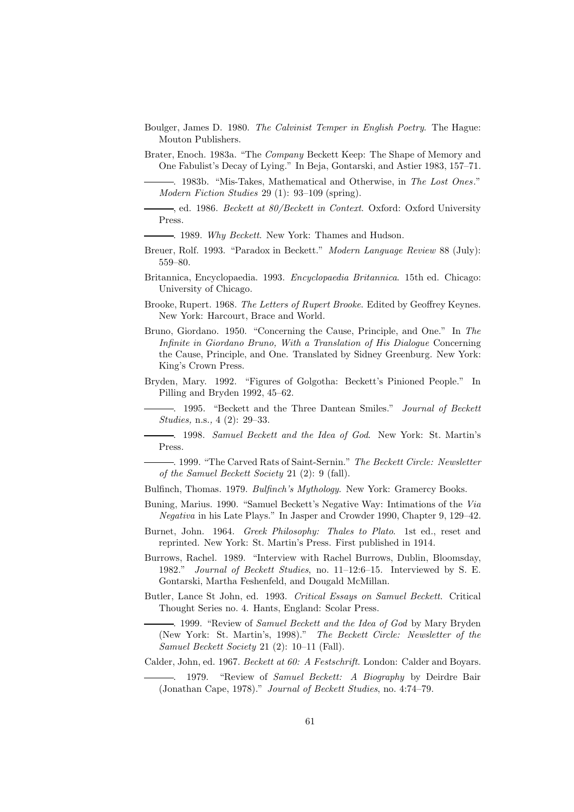- Boulger, James D. 1980. *The Calvinist Temper in English Poetry*. The Hague: Mouton Publishers.
- Brater, Enoch. 1983a. "The *Company* Beckett Keep: The Shape of Memory and One Fabulist's Decay of Lying." In Beja, Gontarski, and Astier 1983, 157–71.
	- . 1983b. "Mis-Takes, Mathematical and Otherwise, in *The Lost Ones*." *Modern Fiction Studies* 29 (1): 93–109 (spring).

, ed. 1986. *Beckett at 80/Beckett in Context*. Oxford: Oxford University Press.

- . 1989. *Why Beckett*. New York: Thames and Hudson.
- Breuer, Rolf. 1993. "Paradox in Beckett." *Modern Language Review* 88 (July): 559–80.
- Britannica, Encyclopaedia. 1993. *Encyclopaedia Britannica*. 15th ed. Chicago: University of Chicago.
- Brooke, Rupert. 1968. *The Letters of Rupert Brooke*. Edited by Geoffrey Keynes. New York: Harcourt, Brace and World.
- Bruno, Giordano. 1950. "Concerning the Cause, Principle, and One." In *The Infinite in Giordano Bruno, With a Translation of His Dialogue* Concerning the Cause, Principle, and One. Translated by Sidney Greenburg. New York: King's Crown Press.
- Bryden, Mary. 1992. "Figures of Golgotha: Beckett's Pinioned People." In Pilling and Bryden 1992, 45–62.

. 1995. "Beckett and the Three Dantean Smiles." *Journal of Beckett Studies,* n.s.*,* 4 (2): 29–33.

. 1998. *Samuel Beckett and the Idea of God*. New York: St. Martin's Press.

. 1999. "The Carved Rats of Saint-Sernin." *The Beckett Circle: Newsletter of the Samuel Beckett Society* 21 (2): 9 (fall).

- Bulfinch, Thomas. 1979. *Bulfinch's Mythology*. New York: Gramercy Books.
- Buning, Marius. 1990. "Samuel Beckett's Negative Way: Intimations of the *Via Negativa* in his Late Plays." In Jasper and Crowder 1990, Chapter 9, 129–42.
- Burnet, John. 1964. *Greek Philosophy: Thales to Plato*. 1st ed., reset and reprinted. New York: St. Martin's Press. First published in 1914.
- Burrows, Rachel. 1989. "Interview with Rachel Burrows, Dublin, Bloomsday, 1982." *Journal of Beckett Studies*, no. 11–12:6–15. Interviewed by S. E. Gontarski, Martha Feshenfeld, and Dougald McMillan.
- Butler, Lance St John, ed. 1993. *Critical Essays on Samuel Beckett*. Critical Thought Series no. 4. Hants, England: Scolar Press.

. 1999. "Review of *Samuel Beckett and the Idea of God* by Mary Bryden (New York: St. Martin's, 1998)." *The Beckett Circle: Newsletter of the Samuel Beckett Society* 21 (2): 10–11 (Fall).

Calder, John, ed. 1967. *Beckett at 60: A Festschrift*. London: Calder and Boyars.

. 1979. "Review of *Samuel Beckett: A Biography* by Deirdre Bair (Jonathan Cape, 1978)." *Journal of Beckett Studies*, no. 4:74–79.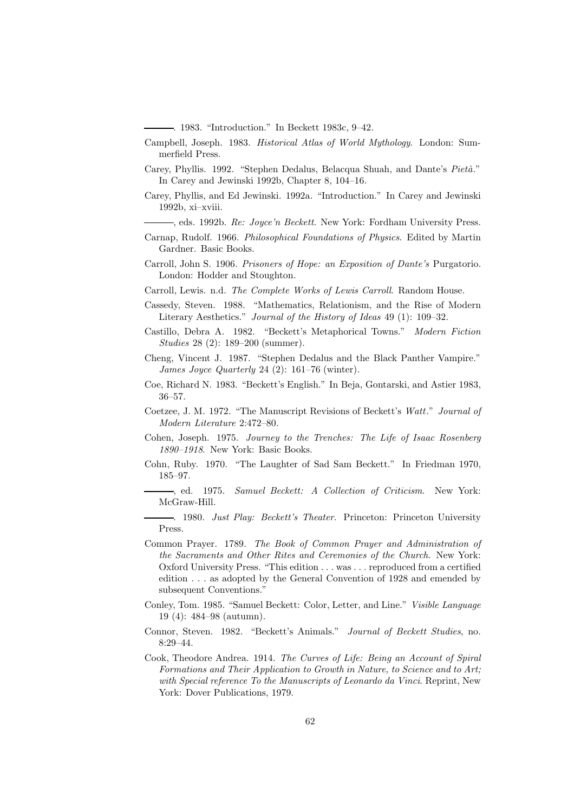. 1983. "Introduction." In Beckett 1983c, 9–42.

- Campbell, Joseph. 1983. *Historical Atlas of World Mythology*. London: Summerfield Press.
- Carey, Phyllis. 1992. "Stephen Dedalus, Belacqua Shuah, and Dante's *Pietà*." In Carey and Jewinski 1992b, Chapter 8, 104–16.
- Carey, Phyllis, and Ed Jewinski. 1992a. "Introduction." In Carey and Jewinski 1992b, xi–xviii.
- , eds. 1992b. *Re: Joyce'n Beckett*. New York: Fordham University Press.
- Carnap, Rudolf. 1966. *Philosophical Foundations of Physics*. Edited by Martin Gardner. Basic Books.
- Carroll, John S. 1906. *Prisoners of Hope: an Exposition of Dante's* Purgatorio. London: Hodder and Stoughton.
- Carroll, Lewis. n.d. *The Complete Works of Lewis Carroll*. Random House.
- Cassedy, Steven. 1988. "Mathematics, Relationism, and the Rise of Modern Literary Aesthetics." *Journal of the History of Ideas* 49 (1): 109–32.
- Castillo, Debra A. 1982. "Beckett's Metaphorical Towns." *Modern Fiction Studies* 28 (2): 189–200 (summer).
- Cheng, Vincent J. 1987. "Stephen Dedalus and the Black Panther Vampire." *James Joyce Quarterly* 24 (2): 161–76 (winter).
- Coe, Richard N. 1983. "Beckett's English." In Beja, Gontarski, and Astier 1983, 36–57.
- Coetzee, J. M. 1972. "The Manuscript Revisions of Beckett's *Watt*." *Journal of Modern Literature* 2:472–80.
- Cohen, Joseph. 1975. *Journey to the Trenches: The Life of Isaac Rosenberg 1890–1918*. New York: Basic Books.
- Cohn, Ruby. 1970. "The Laughter of Sad Sam Beckett." In Friedman 1970, 185–97.
- , ed. 1975. *Samuel Beckett: A Collection of Criticism*. New York: McGraw-Hill.
- . 1980. *Just Play: Beckett's Theater*. Princeton: Princeton University Press.
- Common Prayer. 1789. *The Book of Common Prayer and Administration of the Sacraments and Other Rites and Ceremonies of the Church*. New York: Oxford University Press. "This edition . . . was . . . reproduced from a certified edition . . . as adopted by the General Convention of 1928 and emended by subsequent Conventions."
- Conley, Tom. 1985. "Samuel Beckett: Color, Letter, and Line." *Visible Language* 19 (4): 484–98 (autumn).
- Connor, Steven. 1982. "Beckett's Animals." *Journal of Beckett Studies*, no. 8:29–44.
- Cook, Theodore Andrea. 1914. *The Curves of Life: Being an Account of Spiral Formations and Their Application to Growth in Nature, to Science and to Art; with Special reference To the Manuscripts of Leonardo da Vinci*. Reprint, New York: Dover Publications, 1979.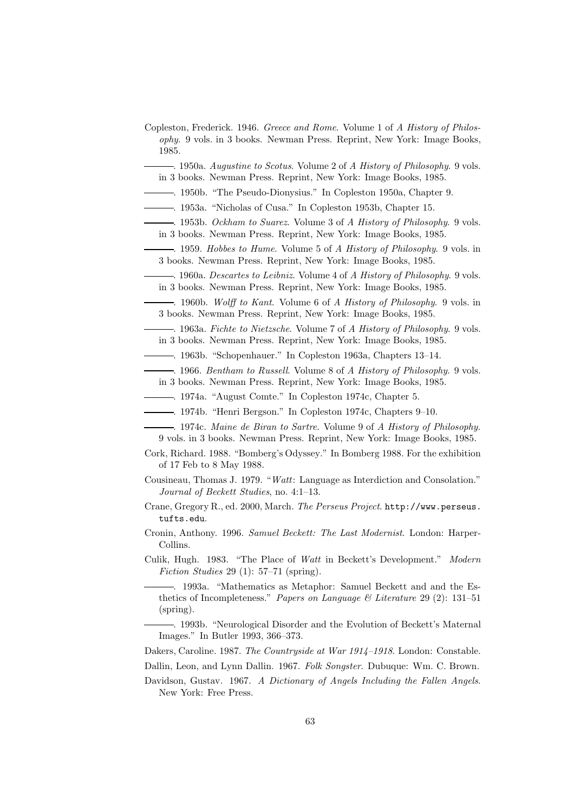- Copleston, Frederick. 1946. *Greece and Rome*. Volume 1 of *A History of Philosophy*. 9 vols. in 3 books. Newman Press. Reprint, New York: Image Books, 1985.
	- . 1950a. *Augustine to Scotus*. Volume 2 of *A History of Philosophy*. 9 vols. in 3 books. Newman Press. Reprint, New York: Image Books, 1985.
	- . 1950b. "The Pseudo-Dionysius." In Copleston 1950a, Chapter 9.
- . 1953a. "Nicholas of Cusa." In Copleston 1953b, Chapter 15.
- . 1953b. *Ockham to Suarez*. Volume 3 of *A History of Philosophy*. 9 vols.
- in 3 books. Newman Press. Reprint, New York: Image Books, 1985.
	- . 1959. *Hobbes to Hume*. Volume 5 of *A History of Philosophy*. 9 vols. in 3 books. Newman Press. Reprint, New York: Image Books, 1985.
- . 1960a. *Descartes to Leibniz*. Volume 4 of *A History of Philosophy*. 9 vols. in 3 books. Newman Press. Reprint, New York: Image Books, 1985.
- . 1960b. *Wolff to Kant*. Volume 6 of *A History of Philosophy*. 9 vols. in 3 books. Newman Press. Reprint, New York: Image Books, 1985.
- . 1963a. *Fichte to Nietzsche*. Volume 7 of *A History of Philosophy*. 9 vols. in 3 books. Newman Press. Reprint, New York: Image Books, 1985.
- . 1963b. "Schopenhauer." In Copleston 1963a, Chapters 13–14.
- . 1966. *Bentham to Russell*. Volume 8 of *A History of Philosophy*. 9 vols. in 3 books. Newman Press. Reprint, New York: Image Books, 1985.
- . 1974a. "August Comte." In Copleston 1974c, Chapter 5.
- . 1974b. "Henri Bergson." In Copleston 1974c, Chapters 9–10.
- . 1974c. *Maine de Biran to Sartre*. Volume 9 of *A History of Philosophy*. 9 vols. in 3 books. Newman Press. Reprint, New York: Image Books, 1985.
- Cork, Richard. 1988. "Bomberg's Odyssey." In Bomberg 1988. For the exhibition of 17 Feb to 8 May 1988.
- Cousineau, Thomas J. 1979. "*Watt*: Language as Interdiction and Consolation." *Journal of Beckett Studies*, no. 4:1–13.
- Crane, Gregory R., ed. 2000, March. *The Perseus Project*. http://www.perseus. tufts.edu.
- Cronin, Anthony. 1996. *Samuel Beckett: The Last Modernist*. London: Harper-Collins.
- Culik, Hugh. 1983. "The Place of *Watt* in Beckett's Development." *Modern Fiction Studies* 29 (1): 57–71 (spring).
	- . 1993a. "Mathematics as Metaphor: Samuel Beckett and and the Esthetics of Incompleteness." *Papers on Language & Literature* 29 (2): 131–51 (spring).
	- . 1993b. "Neurological Disorder and the Evolution of Beckett's Maternal Images." In Butler 1993, 366–373.

Dakers, Caroline. 1987. *The Countryside at War 1914–1918*. London: Constable.

- Dallin, Leon, and Lynn Dallin. 1967. *Folk Songster*. Dubuque: Wm. C. Brown.
- Davidson, Gustav. 1967. *A Dictionary of Angels Including the Fallen Angels*. New York: Free Press.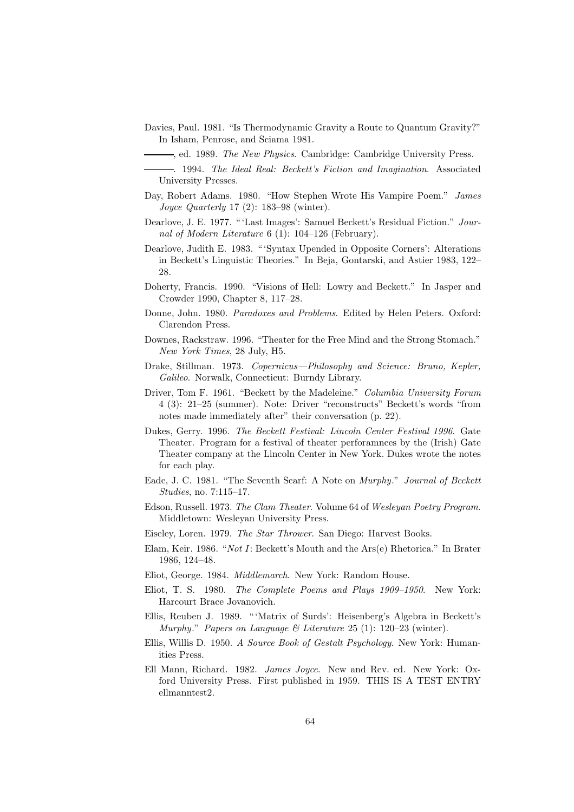Davies, Paul. 1981. "Is Thermodynamic Gravity a Route to Quantum Gravity?" In Isham, Penrose, and Sciama 1981.

- . 1994. *The Ideal Real: Beckett's Fiction and Imagination*. Associated University Presses.
- Day, Robert Adams. 1980. "How Stephen Wrote His Vampire Poem." *James Joyce Quarterly* 17 (2): 183–98 (winter).
- Dearlove, J. E. 1977. " 'Last Images': Samuel Beckett's Residual Fiction." *Journal of Modern Literature* 6 (1): 104–126 (February).
- Dearlove, Judith E. 1983. " 'Syntax Upended in Opposite Corners': Alterations in Beckett's Linguistic Theories." In Beja, Gontarski, and Astier 1983, 122– 28.
- Doherty, Francis. 1990. "Visions of Hell: Lowry and Beckett." In Jasper and Crowder 1990, Chapter 8, 117–28.
- Donne, John. 1980. *Paradoxes and Problems*. Edited by Helen Peters. Oxford: Clarendon Press.
- Downes, Rackstraw. 1996. "Theater for the Free Mind and the Strong Stomach." *New York Times*, 28 July, H5.
- Drake, Stillman. 1973. *Copernicus—Philosophy and Science: Bruno, Kepler, Galileo*. Norwalk, Connecticut: Burndy Library.
- Driver, Tom F. 1961. "Beckett by the Madeleine." *Columbia University Forum* 4 (3): 21–25 (summer). Note: Driver "reconstructs" Beckett's words "from notes made immediately after" their conversation (p. 22).
- Dukes, Gerry. 1996. *The Beckett Festival: Lincoln Center Festival 1996*. Gate Theater. Program for a festival of theater perforamnces by the (Irish) Gate Theater company at the Lincoln Center in New York. Dukes wrote the notes for each play.
- Eade, J. C. 1981. "The Seventh Scarf: A Note on *Murphy*." *Journal of Beckett Studies*, no. 7:115–17.
- Edson, Russell. 1973. *The Clam Theater*. Volume 64 of *Wesleyan Poetry Program*. Middletown: Wesleyan University Press.
- Eiseley, Loren. 1979. *The Star Thrower*. San Diego: Harvest Books.
- Elam, Keir. 1986. "*Not I*: Beckett's Mouth and the Ars(e) Rhetorica." In Brater 1986, 124–48.
- Eliot, George. 1984. *Middlemarch*. New York: Random House.
- Eliot, T. S. 1980. *The Complete Poems and Plays 1909–1950*. New York: Harcourt Brace Jovanovich.
- Ellis, Reuben J. 1989. " 'Matrix of Surds': Heisenberg's Algebra in Beckett's *Murphy*." *Papers on Language & Literature* 25 (1): 120–23 (winter).
- Ellis, Willis D. 1950. *A Source Book of Gestalt Psychology*. New York: Humanities Press.
- Ell Mann, Richard. 1982. *James Joyce*. New and Rev. ed. New York: Oxford University Press. First published in 1959. THIS IS A TEST ENTRY ellmanntest2.

<sup>,</sup> ed. 1989. *The New Physics*. Cambridge: Cambridge University Press.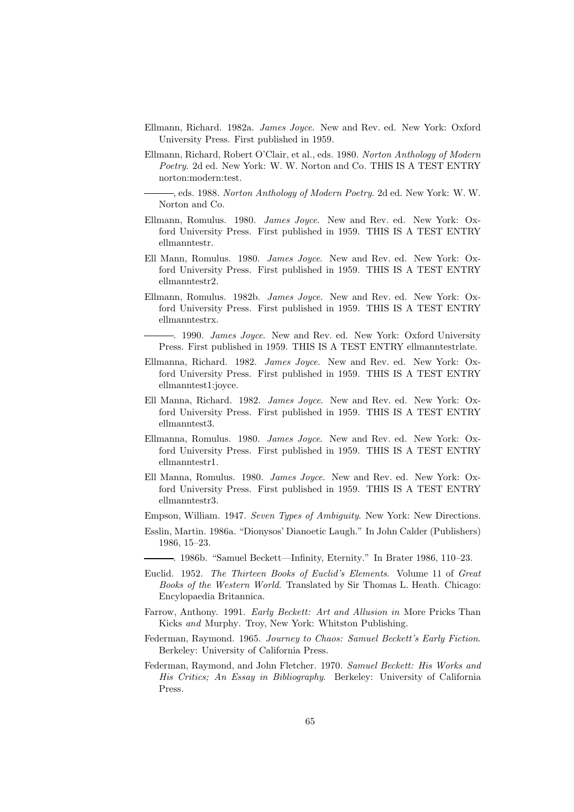- Ellmann, Richard. 1982a. *James Joyce*. New and Rev. ed. New York: Oxford University Press. First published in 1959.
- Ellmann, Richard, Robert O'Clair, et al., eds. 1980. *Norton Anthology of Modern Poetry*. 2d ed. New York: W. W. Norton and Co. THIS IS A TEST ENTRY norton:modern:test.

, eds. 1988. *Norton Anthology of Modern Poetry*. 2d ed. New York: W. W. Norton and Co.

- Ellmann, Romulus. 1980. *James Joyce*. New and Rev. ed. New York: Oxford University Press. First published in 1959. THIS IS A TEST ENTRY ellmanntestr.
- Ell Mann, Romulus. 1980. *James Joyce*. New and Rev. ed. New York: Oxford University Press. First published in 1959. THIS IS A TEST ENTRY ellmanntestr2.
- Ellmann, Romulus. 1982b. *James Joyce*. New and Rev. ed. New York: Oxford University Press. First published in 1959. THIS IS A TEST ENTRY ellmanntestrx.
	- . 1990. *James Joyce*. New and Rev. ed. New York: Oxford University Press. First published in 1959. THIS IS A TEST ENTRY ellmanntestrlate.
- Ellmanna, Richard. 1982. *James Joyce*. New and Rev. ed. New York: Oxford University Press. First published in 1959. THIS IS A TEST ENTRY ellmanntest1:joyce.
- Ell Manna, Richard. 1982. *James Joyce*. New and Rev. ed. New York: Oxford University Press. First published in 1959. THIS IS A TEST ENTRY ellmanntest3.
- Ellmanna, Romulus. 1980. *James Joyce*. New and Rev. ed. New York: Oxford University Press. First published in 1959. THIS IS A TEST ENTRY ellmanntestr1.
- Ell Manna, Romulus. 1980. *James Joyce*. New and Rev. ed. New York: Oxford University Press. First published in 1959. THIS IS A TEST ENTRY ellmanntestr3.
- Empson, William. 1947. *Seven Types of Ambiguity*. New York: New Directions.
- Esslin, Martin. 1986a. "Dionysos' Dianoetic Laugh." In John Calder (Publishers) 1986, 15–23.
	- . 1986b. "Samuel Beckett—Infinity, Eternity." In Brater 1986, 110–23.
- Euclid. 1952. *The Thirteen Books of Euclid's Elements*. Volume 11 of *Great Books of the Western World*. Translated by Sir Thomas L. Heath. Chicago: Encylopaedia Britannica.
- Farrow, Anthony. 1991. *Early Beckett: Art and Allusion in* More Pricks Than Kicks *and* Murphy. Troy, New York: Whitston Publishing.
- Federman, Raymond. 1965. *Journey to Chaos: Samuel Beckett's Early Fiction*. Berkeley: University of California Press.
- Federman, Raymond, and John Fletcher. 1970. *Samuel Beckett: His Works and His Critics; An Essay in Bibliography*. Berkeley: University of California Press.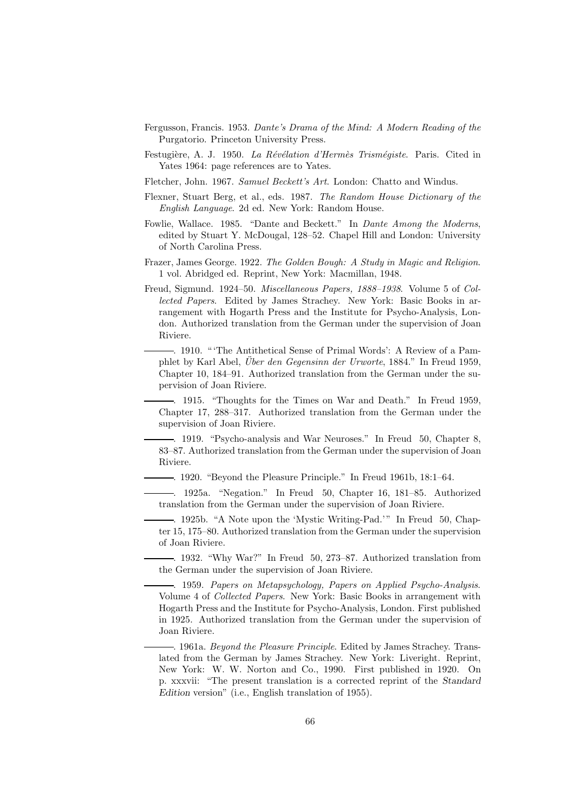- Fergusson, Francis. 1953. *Dante's Drama of the Mind: A Modern Reading of the* Purgatorio. Princeton University Press.
- Festugière, A. J. 1950. *La Révélation d'Hermès Trismégiste*. Paris. Cited in Yates 1964: page references are to Yates.
- Fletcher, John. 1967. *Samuel Beckett's Art*. London: Chatto and Windus.
- Flexner, Stuart Berg, et al., eds. 1987. *The Random House Dictionary of the English Language*. 2d ed. New York: Random House.
- Fowlie, Wallace. 1985. "Dante and Beckett." In *Dante Among the Moderns*, edited by Stuart Y. McDougal, 128–52. Chapel Hill and London: University of North Carolina Press.
- Frazer, James George. 1922. *The Golden Bough: A Study in Magic and Religion*. 1 vol. Abridged ed. Reprint, New York: Macmillan, 1948.
- Freud, Sigmund. 1924–50. *Miscellaneous Papers, 1888–1938*. Volume 5 of *Collected Papers*. Edited by James Strachey. New York: Basic Books in arrangement with Hogarth Press and the Institute for Psycho-Analysis, London. Authorized translation from the German under the supervision of Joan Riviere.

. 1910. " 'The Antithetical Sense of Primal Words': A Review of a Pamphlet by Karl Abel, *Über den Gegensinn der Urworte*, 1884." In Freud 1959, Chapter 10, 184–91. Authorized translation from the German under the supervision of Joan Riviere.

. 1915. "Thoughts for the Times on War and Death." In Freud 1959, Chapter 17, 288–317. Authorized translation from the German under the supervision of Joan Riviere.

. 1919. "Psycho-analysis and War Neuroses." In Freud 50, Chapter 8, 83–87. Authorized translation from the German under the supervision of Joan Riviere.

. 1920. "Beyond the Pleasure Principle." In Freud 1961b, 18:1–64.

. 1925a. "Negation." In Freud 50, Chapter 16, 181–85. Authorized translation from the German under the supervision of Joan Riviere.

-. 1925b. "A Note upon the 'Mystic Writing-Pad.'" In Freud 50, Chapter 15, 175–80. Authorized translation from the German under the supervision of Joan Riviere.

. 1932. "Why War?" In Freud 50, 273–87. Authorized translation from the German under the supervision of Joan Riviere.

. 1959. *Papers on Metapsychology, Papers on Applied Psycho-Analysis*. Volume 4 of *Collected Papers*. New York: Basic Books in arrangement with Hogarth Press and the Institute for Psycho-Analysis, London. First published in 1925. Authorized translation from the German under the supervision of Joan Riviere.

. 1961a. *Beyond the Pleasure Principle*. Edited by James Strachey. Translated from the German by James Strachey. New York: Liveright. Reprint, New York: W. W. Norton and Co., 1990. First published in 1920. On p. xxxvii: "The present translation is a corrected reprint of the *Standard Edition* version" (i.e., English translation of 1955).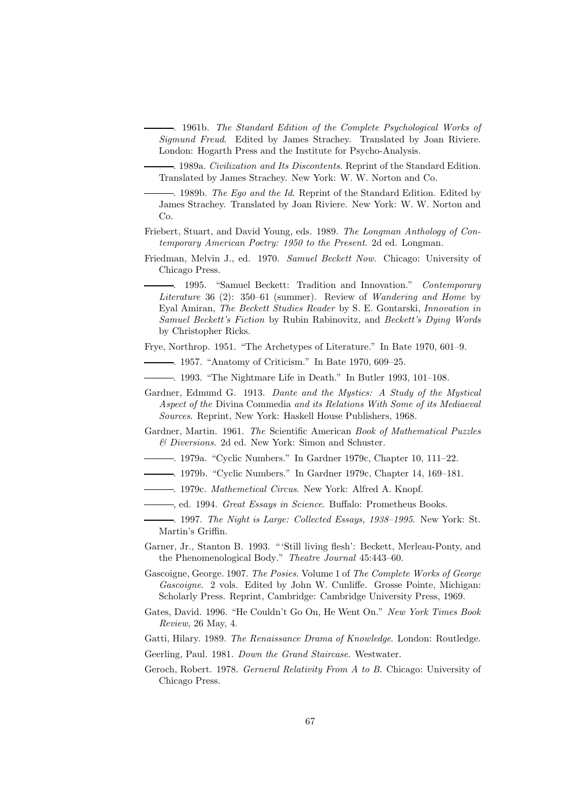. 1961b. *The Standard Edition of the Complete Psychological Works of Sigmund Freud*. Edited by James Strachey. Translated by Joan Riviere. London: Hogarth Press and the Institute for Psycho-Analysis.

. 1989a. *Civilization and Its Discontents*. Reprint of the Standard Edition. Translated by James Strachey. New York: W. W. Norton and Co.

. 1989b. *The Ego and the Id*. Reprint of the Standard Edition. Edited by James Strachey. Translated by Joan Riviere. New York: W. W. Norton and Co.

- Friebert, Stuart, and David Young, eds. 1989. *The Longman Anthology of Contemporary American Poetry: 1950 to the Present*. 2d ed. Longman.
- Friedman, Melvin J., ed. 1970. *Samuel Beckett Now*. Chicago: University of Chicago Press.

. 1995. "Samuel Beckett: Tradition and Innovation." *Contemporary Literature* 36 (2): 350–61 (summer). Review of *Wandering and Home* by Eyal Amiran, *The Beckett Studies Reader* by S. E. Gontarski, *Innovation in Samuel Beckett's Fiction* by Rubin Rabinovitz, and *Beckett's Dying Words* by Christopher Ricks.

Frye, Northrop. 1951. "The Archetypes of Literature." In Bate 1970, 601–9.

. 1957. "Anatomy of Criticism." In Bate 1970, 609–25.

. 1993. "The Nightmare Life in Death." In Butler 1993, 101–108.

- Gardner, Edmund G. 1913. *Dante and the Mystics: A Study of the Mystical Aspect of the* Divina Commedia *and its Relations With Some of its Mediaeval Sources*. Reprint, New York: Haskell House Publishers, 1968.
- Gardner, Martin. 1961. *The* Scientific American *Book of Mathematical Puzzles & Diversions*. 2d ed. New York: Simon and Schuster.
- . 1979a. "Cyclic Numbers." In Gardner 1979c, Chapter 10, 111–22.
- . 1979b. "Cyclic Numbers." In Gardner 1979c, Chapter 14, 169–181.
- . 1979c. *Mathemetical Circus*. New York: Alfred A. Knopf.
- , ed. 1994. *Great Essays in Science*. Buffalo: Prometheus Books.
- . 1997. *The Night is Large: Collected Essays, 1938–1995*. New York: St. Martin's Griffin.
- Garner, Jr., Stanton B. 1993. " 'Still living flesh': Beckett, Merleau-Ponty, and the Phenomenological Body." *Theatre Journal* 45:443–60.
- Gascoigne, George. 1907. *The Posies*. Volume 1 of *The Complete Works of George Gascoigne*. 2 vols. Edited by John W. Cunliffe. Grosse Pointe, Michigan: Scholarly Press. Reprint, Cambridge: Cambridge University Press, 1969.
- Gates, David. 1996. "He Couldn't Go On, He Went On." *New York Times Book Review*, 26 May, 4.

Gatti, Hilary. 1989. *The Renaissance Drama of Knowledge*. London: Routledge.

- Geerling, Paul. 1981. *Down the Grand Staircase*. Westwater.
- Geroch, Robert. 1978. *Gerneral Relativity From A to B*. Chicago: University of Chicago Press.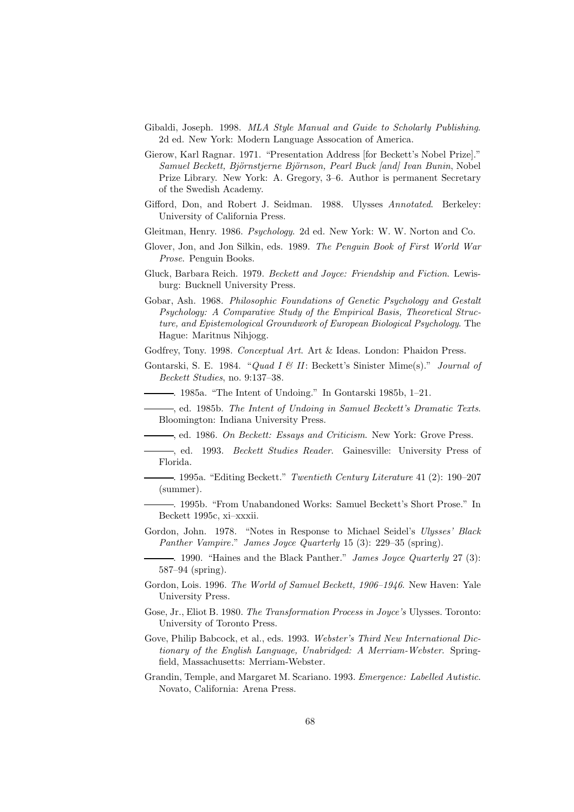- Gibaldi, Joseph. 1998. *MLA Style Manual and Guide to Scholarly Publishing*. 2d ed. New York: Modern Language Assocation of America.
- Gierow, Karl Ragnar. 1971. "Presentation Address [for Beckett's Nobel Prize]." *Samuel Beckett, Bj¨ornstjerne Bj¨ornson, Pearl Buck [and] Ivan Bunin*, Nobel Prize Library. New York: A. Gregory, 3–6. Author is permanent Secretary of the Swedish Academy.
- Gifford, Don, and Robert J. Seidman. 1988. Ulysses *Annotated*. Berkeley: University of California Press.
- Gleitman, Henry. 1986. *Psychology*. 2d ed. New York: W. W. Norton and Co.
- Glover, Jon, and Jon Silkin, eds. 1989. *The Penguin Book of First World War Prose*. Penguin Books.
- Gluck, Barbara Reich. 1979. *Beckett and Joyce: Friendship and Fiction*. Lewisburg: Bucknell University Press.
- Gobar, Ash. 1968. *Philosophic Foundations of Genetic Psychology and Gestalt Psychology: A Comparative Study of the Empirical Basis, Theoretical Structure, and Epistemological Groundwork of European Biological Psychology*. The Hague: Maritnus Nihjogg.
- Godfrey, Tony. 1998. *Conceptual Art*. Art & Ideas. London: Phaidon Press.
- Gontarski, S. E. 1984. "*Quad I & II*: Beckett's Sinister Mime(s)." *Journal of Beckett Studies*, no. 9:137–38.
	- . 1985a. "The Intent of Undoing." In Gontarski 1985b, 1–21.
	- , ed. 1985b. *The Intent of Undoing in Samuel Beckett's Dramatic Texts*. Bloomington: Indiana University Press.
	- , ed. 1986. *On Beckett: Essays and Criticism*. New York: Grove Press.
- , ed. 1993. *Beckett Studies Reader*. Gainesville: University Press of Florida.
- . 1995a. "Editing Beckett." *Twentieth Century Literature* 41 (2): 190–207 (summer).
- . 1995b. "From Unabandoned Works: Samuel Beckett's Short Prose." In Beckett 1995c, xi–xxxii.
- Gordon, John. 1978. "Notes in Response to Michael Seidel's *Ulysses' Black Panther Vampire*." *James Joyce Quarterly* 15 (3): 229–35 (spring).
	- . 1990. "Haines and the Black Panther." *James Joyce Quarterly* 27 (3): 587–94 (spring).
- Gordon, Lois. 1996. *The World of Samuel Beckett, 1906–1946*. New Haven: Yale University Press.
- Gose, Jr., Eliot B. 1980. *The Transformation Process in Joyce's* Ulysses. Toronto: University of Toronto Press.
- Gove, Philip Babcock, et al., eds. 1993. *Webster's Third New International Dictionary of the English Language, Unabridged: A Merriam-Webster*. Springfield, Massachusetts: Merriam-Webster.
- Grandin, Temple, and Margaret M. Scariano. 1993. *Emergence: Labelled Autistic*. Novato, California: Arena Press.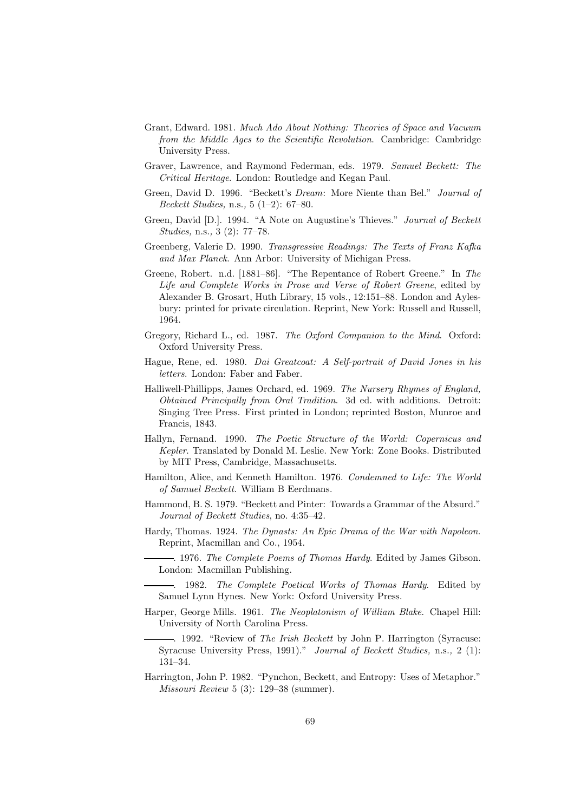- Grant, Edward. 1981. *Much Ado About Nothing: Theories of Space and Vacuum from the Middle Ages to the Scientific Revolution*. Cambridge: Cambridge University Press.
- Graver, Lawrence, and Raymond Federman, eds. 1979. *Samuel Beckett: The Critical Heritage*. London: Routledge and Kegan Paul.
- Green, David D. 1996. "Beckett's *Dream*: More Niente than Bel." *Journal of Beckett Studies,* n.s.*,* 5 (1–2): 67–80.
- Green, David [D.]. 1994. "A Note on Augustine's Thieves." *Journal of Beckett Studies,* n.s.*,* 3 (2): 77–78.
- Greenberg, Valerie D. 1990. *Transgressive Readings: The Texts of Franz Kafka and Max Planck*. Ann Arbor: University of Michigan Press.
- Greene, Robert. n.d. [1881–86]. "The Repentance of Robert Greene." In *The Life and Complete Works in Prose and Verse of Robert Greene*, edited by Alexander B. Grosart, Huth Library, 15 vols., 12:151–88. London and Aylesbury: printed for private circulation. Reprint, New York: Russell and Russell, 1964.
- Gregory, Richard L., ed. 1987. *The Oxford Companion to the Mind*. Oxford: Oxford University Press.
- Hague, Rene, ed. 1980. *Dai Greatcoat: A Self-portrait of David Jones in his letters*. London: Faber and Faber.
- Halliwell-Phillipps, James Orchard, ed. 1969. *The Nursery Rhymes of England, Obtained Principally from Oral Tradition*. 3d ed. with additions. Detroit: Singing Tree Press. First printed in London; reprinted Boston, Munroe and Francis, 1843.
- Hallyn, Fernand. 1990. *The Poetic Structure of the World: Copernicus and Kepler*. Translated by Donald M. Leslie. New York: Zone Books. Distributed by MIT Press, Cambridge, Massachusetts.
- Hamilton, Alice, and Kenneth Hamilton. 1976. *Condemned to Life: The World of Samuel Beckett*. William B Eerdmans.
- Hammond, B. S. 1979. "Beckett and Pinter: Towards a Grammar of the Absurd." *Journal of Beckett Studies*, no. 4:35–42.
- Hardy, Thomas. 1924. *The Dynasts: An Epic Drama of the War with Napoleon*. Reprint, Macmillan and Co., 1954.
	- . 1976. *The Complete Poems of Thomas Hardy*. Edited by James Gibson. London: Macmillan Publishing.
	- . 1982. *The Complete Poetical Works of Thomas Hardy*. Edited by Samuel Lynn Hynes. New York: Oxford University Press.
- Harper, George Mills. 1961. *The Neoplatonism of William Blake*. Chapel Hill: University of North Carolina Press.
	- . 1992. "Review of *The Irish Beckett* by John P. Harrington (Syracuse: Syracuse University Press, 1991)." *Journal of Beckett Studies,* n.s.*,* 2 (1): 131–34.
- Harrington, John P. 1982. "Pynchon, Beckett, and Entropy: Uses of Metaphor." *Missouri Review* 5 (3): 129–38 (summer).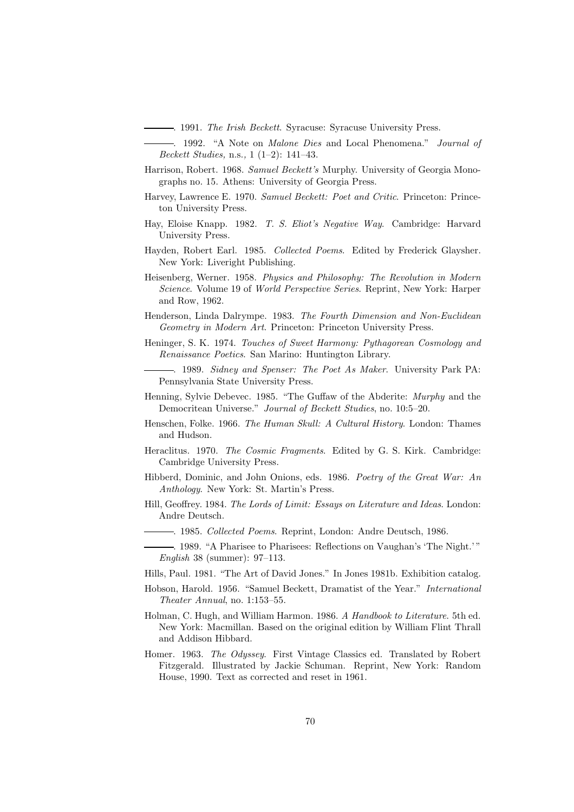. 1991. *The Irish Beckett*. Syracuse: Syracuse University Press.

. 1992. "A Note on *Malone Dies* and Local Phenomena." *Journal of Beckett Studies,* n.s.*,* 1 (1–2): 141–43.

- Harrison, Robert. 1968. *Samuel Beckett's* Murphy. University of Georgia Monographs no. 15. Athens: University of Georgia Press.
- Harvey, Lawrence E. 1970. *Samuel Beckett: Poet and Critic*. Princeton: Princeton University Press.
- Hay, Eloise Knapp. 1982. *T. S. Eliot's Negative Way*. Cambridge: Harvard University Press.
- Hayden, Robert Earl. 1985. *Collected Poems*. Edited by Frederick Glaysher. New York: Liveright Publishing.
- Heisenberg, Werner. 1958. *Physics and Philosophy: The Revolution in Modern Science*. Volume 19 of *World Perspective Series*. Reprint, New York: Harper and Row, 1962.
- Henderson, Linda Dalrympe. 1983. *The Fourth Dimension and Non-Euclidean Geometry in Modern Art*. Princeton: Princeton University Press.
- Heninger, S. K. 1974. *Touches of Sweet Harmony: Pythagorean Cosmology and Renaissance Poetics*. San Marino: Huntington Library.
	- . 1989. *Sidney and Spenser: The Poet As Maker*. University Park PA: Pennsylvania State University Press.
- Henning, Sylvie Debevec. 1985. "The Guffaw of the Abderite: *Murphy* and the Democritean Universe." *Journal of Beckett Studies*, no. 10:5–20.
- Henschen, Folke. 1966. *The Human Skull: A Cultural History*. London: Thames and Hudson.
- Heraclitus. 1970. *The Cosmic Fragments*. Edited by G. S. Kirk. Cambridge: Cambridge University Press.
- Hibberd, Dominic, and John Onions, eds. 1986. *Poetry of the Great War: An Anthology*. New York: St. Martin's Press.
- Hill, Geoffrey. 1984. *The Lords of Limit: Essays on Literature and Ideas*. London: Andre Deutsch.
	- . 1985. *Collected Poems*. Reprint, London: Andre Deutsch, 1986.
	- . 1989. "A Pharisee to Pharisees: Reflections on Vaughan's 'The Night.' " *English* 38 (summer): 97–113.
- Hills, Paul. 1981. "The Art of David Jones." In Jones 1981b. Exhibition catalog.
- Hobson, Harold. 1956. "Samuel Beckett, Dramatist of the Year." *International Theater Annual*, no. 1:153–55.
- Holman, C. Hugh, and William Harmon. 1986. *A Handbook to Literature*. 5th ed. New York: Macmillan. Based on the original edition by William Flint Thrall and Addison Hibbard.
- Homer. 1963. *The Odyssey*. First Vintage Classics ed. Translated by Robert Fitzgerald. Illustrated by Jackie Schuman. Reprint, New York: Random House, 1990. Text as corrected and reset in 1961.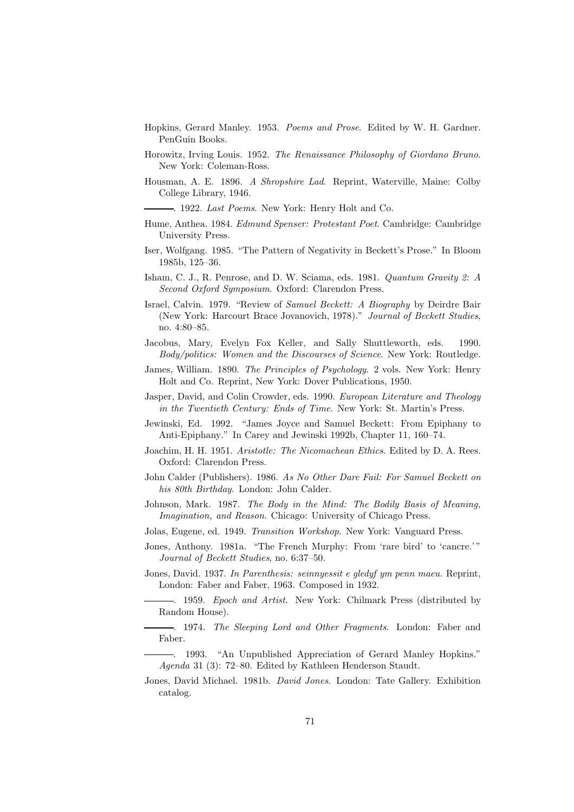- Hopkins, Gerard Manley. 1953. *Poems and Prose*. Edited by W. H. Gardner. PenGuin Books.
- Horowitz, Irving Louis. 1952. *The Renaissance Philosophy of Giordano Bruno*. New York: Coleman-Ross.
- Housman, A. E. 1896. *A Shropshire Lad*. Reprint, Waterville, Maine: Colby College Library, 1946.
	- . 1922. *Last Poems*. New York: Henry Holt and Co.
- Hume, Anthea. 1984. *Edmund Spenser: Protestant Poet*. Cambridge: Cambridge University Press.
- Iser, Wolfgang. 1985. "The Pattern of Negativity in Beckett's Prose." In Bloom 1985b, 125–36.
- Isham, C. J., R. Penrose, and D. W. Sciama, eds. 1981. *Quantum Gravity 2: A Second Oxford Symposium*. Oxford: Clarendon Press.
- Israel, Calvin. 1979. "Review of *Samuel Beckett: A Biography* by Deirdre Bair (New York: Harcourt Brace Jovanovich, 1978)." *Journal of Beckett Studies*, no. 4:80–85.
- Jacobus, Mary, Evelyn Fox Keller, and Sally Shuttleworth, eds. 1990. *Body/politics: Women and the Discourses of Science*. New York: Routledge.
- James, William. 1890. *The Principles of Psychology*. 2 vols. New York: Henry Holt and Co. Reprint, New York: Dover Publications, 1950.
- Jasper, David, and Colin Crowder, eds. 1990. *European Literature and Theology in the Twentieth Century: Ends of Time*. New York: St. Martin's Press.
- Jewinski, Ed. 1992. "James Joyce and Samuel Beckett: From Epiphany to Anti-Epiphany." In Carey and Jewinski 1992b, Chapter 11, 160–74.
- Joachim, H. H. 1951. *Aristotle: The Nicomachean Ethics*. Edited by D. A. Rees. Oxford: Clarendon Press.
- John Calder (Publishers). 1986. *As No Other Dare Fail: For Samuel Beckett on his 80th Birthday*. London: John Calder.
- Johnson, Mark. 1987. *The Body in the Mind: The Bodily Basis of Meaning, Imagination, and Reason*. Chicago: University of Chicago Press.
- Jolas, Eugene, ed. 1949. *Transition Workshop*. New York: Vanguard Press.
- Jones, Anthony. 1981a. "The French Murphy: From 'rare bird' to 'cancre.' " *Journal of Beckett Studies*, no. 6:37–50.
- Jones, David. 1937. *In Parenthesis: seinnyessit e gledyf ym penn maeu*. Reprint, London: Faber and Faber, 1963. Composed in 1932.
- . 1959. *Epoch and Artist*. New York: Chilmark Press (distributed by Random House).
- . 1974. *The Sleeping Lord and Other Fragments*. London: Faber and Faber.
- . 1993. "An Unpublished Appreciation of Gerard Manley Hopkins." *Agenda* 31 (3): 72–80. Edited by Kathleen Henderson Staudt.
- Jones, David Michael. 1981b. *David Jones*. London: Tate Gallery. Exhibition catalog.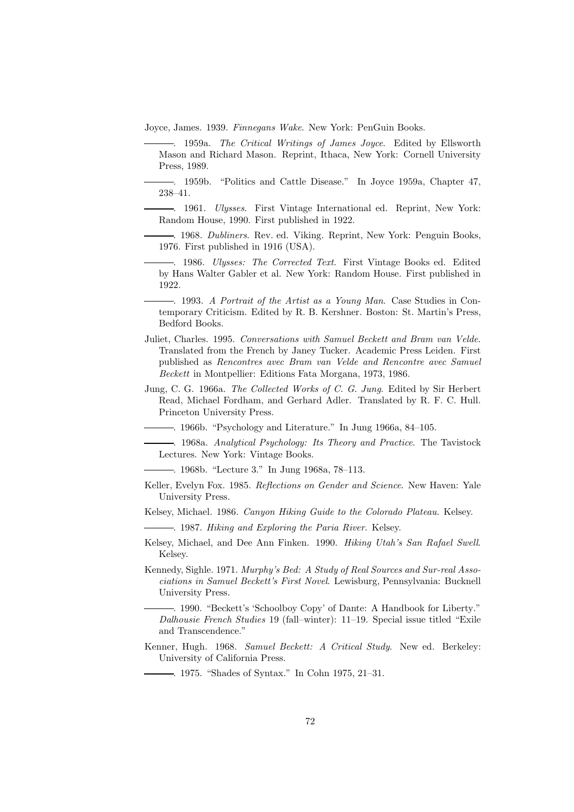Joyce, James. 1939. *Finnegans Wake*. New York: PenGuin Books.

. 1959a. *The Critical Writings of James Joyce*. Edited by Ellsworth Mason and Richard Mason. Reprint, Ithaca, New York: Cornell University Press, 1989.

. 1959b. "Politics and Cattle Disease." In Joyce 1959a, Chapter 47, 238–41.

. 1961. *Ulysses*. First Vintage International ed. Reprint, New York: Random House, 1990. First published in 1922.

. 1968. *Dubliners*. Rev. ed. Viking. Reprint, New York: Penguin Books, 1976. First published in 1916 (USA).

. 1986. *Ulysses: The Corrected Text*. First Vintage Books ed. Edited by Hans Walter Gabler et al. New York: Random House. First published in 1922.

. 1993. *A Portrait of the Artist as a Young Man*. Case Studies in Contemporary Criticism. Edited by R. B. Kershner. Boston: St. Martin's Press, Bedford Books.

- Juliet, Charles. 1995. *Conversations with Samuel Beckett and Bram van Velde*. Translated from the French by Janey Tucker. Academic Press Leiden. First published as *Rencontres avec Bram van Velde and Rencontre avec Samuel Beckett* in Montpellier: Editions Fata Morgana, 1973, 1986.
- Jung, C. G. 1966a. *The Collected Works of C. G. Jung*. Edited by Sir Herbert Read, Michael Fordham, and Gerhard Adler. Translated by R. F. C. Hull. Princeton University Press.

. 1966b. "Psychology and Literature." In Jung 1966a, 84–105.

. 1968a. *Analytical Psychology: Its Theory and Practice*. The Tavistock Lectures. New York: Vintage Books.

. 1968b. "Lecture 3." In Jung 1968a, 78–113.

Keller, Evelyn Fox. 1985. *Reflections on Gender and Science*. New Haven: Yale University Press.

Kelsey, Michael. 1986. *Canyon Hiking Guide to the Colorado Plateau*. Kelsey.

. 1987. *Hiking and Exploring the Paria River*. Kelsey.

Kelsey, Michael, and Dee Ann Finken. 1990. *Hiking Utah's San Rafael Swell*. Kelsey.

Kennedy, Sighle. 1971. *Murphy's Bed: A Study of Real Sources and Sur-real Associations in Samuel Beckett's First Novel*. Lewisburg, Pennsylvania: Bucknell University Press.

. 1990. "Beckett's 'Schoolboy Copy' of Dante: A Handbook for Liberty." *Dalhousie French Studies* 19 (fall–winter): 11–19. Special issue titled "Exile and Transcendence."

Kenner, Hugh. 1968. *Samuel Beckett: A Critical Study*. New ed. Berkeley: University of California Press.

. 1975. "Shades of Syntax." In Cohn 1975, 21–31.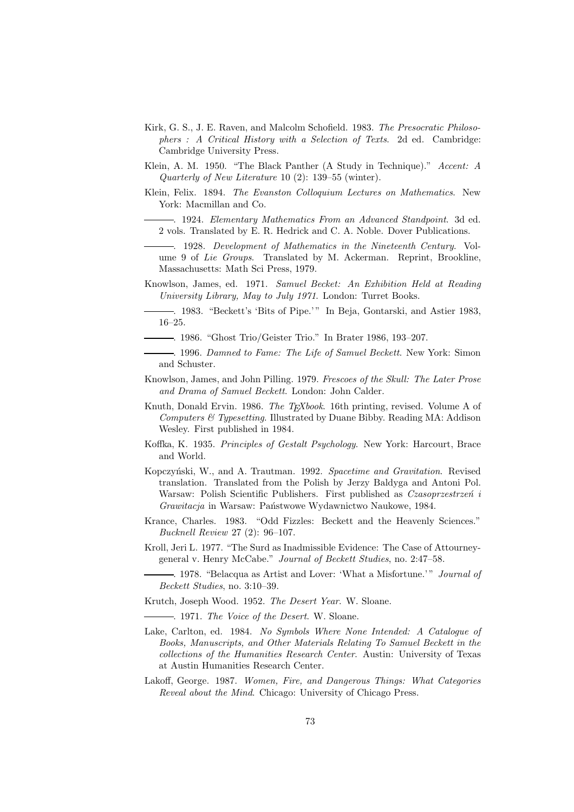- Kirk, G. S., J. E. Raven, and Malcolm Schofield. 1983. *The Presocratic Philosophers : A Critical History with a Selection of Texts*. 2d ed. Cambridge: Cambridge University Press.
- Klein, A. M. 1950. "The Black Panther (A Study in Technique)." *Accent: A Quarterly of New Literature* 10 (2): 139–55 (winter).
- Klein, Felix. 1894. *The Evanston Colloquium Lectures on Mathematics*. New York: Macmillan and Co.
	- . 1924. *Elementary Mathematics From an Advanced Standpoint*. 3d ed. 2 vols. Translated by E. R. Hedrick and C. A. Noble. Dover Publications.

. 1928. *Development of Mathematics in the Nineteenth Century*. Volume 9 of *Lie Groups*. Translated by M. Ackerman. Reprint, Brookline, Massachusetts: Math Sci Press, 1979.

- Knowlson, James, ed. 1971. *Samuel Becket: An Exhibition Held at Reading University Library, May to July 1971*. London: Turret Books.
- . 1983. "Beckett's 'Bits of Pipe.' " In Beja, Gontarski, and Astier 1983, 16–25.
- . 1986. "Ghost Trio/Geister Trio." In Brater 1986, 193–207.
- . 1996. *Damned to Fame: The Life of Samuel Beckett*. New York: Simon and Schuster.
- Knowlson, James, and John Pilling. 1979. *Frescoes of the Skull: The Later Prose and Drama of Samuel Beckett*. London: John Calder.
- Knuth, Donald Ervin. 1986. *The TEXbook*. 16th printing, revised. Volume A of *Computers & Typesetting*. Illustrated by Duane Bibby. Reading MA: Addison Wesley. First published in 1984.
- Koffka, K. 1935. *Principles of Gestalt Psychology*. New York: Harcourt, Brace and World.
- Kopczyński, W., and A. Trautman. 1992. *Spacetime and Gravitation*. Revised translation. Translated from the Polish by Jerzy Baldyga and Antoni Pol. Warsaw: Polish Scientific Publishers. First published as *Czasoprzestrzeń* i *Grawitacja* in Warsaw: Państwowe Wydawnictwo Naukowe, 1984.
- Krance, Charles. 1983. "Odd Fizzles: Beckett and the Heavenly Sciences." *Bucknell Review* 27 (2): 96–107.
- Kroll, Jeri L. 1977. "The Surd as Inadmissible Evidence: The Case of Attourneygeneral v. Henry McCabe." *Journal of Beckett Studies*, no. 2:47–58.
	- . 1978. "Belacqua as Artist and Lover: 'What a Misfortune.' " *Journal of Beckett Studies*, no. 3:10–39.

Krutch, Joseph Wood. 1952. *The Desert Year*. W. Sloane.

. 1971. *The Voice of the Desert*. W. Sloane.

- Lake, Carlton, ed. 1984. *No Symbols Where None Intended: A Catalogue of Books, Manuscripts, and Other Materials Relating To Samuel Beckett in the collections of the Humanities Research Center*. Austin: University of Texas at Austin Humanities Research Center.
- Lakoff, George. 1987. *Women, Fire, and Dangerous Things: What Categories Reveal about the Mind*. Chicago: University of Chicago Press.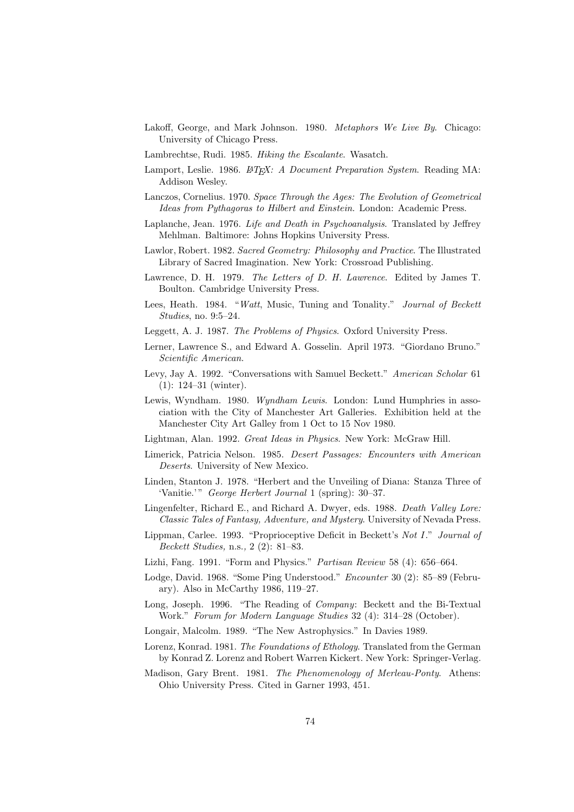- Lakoff, George, and Mark Johnson. 1980. *Metaphors We Live By*. Chicago: University of Chicago Press.
- Lambrechtse, Rudi. 1985. *Hiking the Escalante*. Wasatch.
- Lamport, Leslie. 1986. *ET<sub>E</sub>X: A Document Preparation System*. Reading MA: Addison Wesley.
- Lanczos, Cornelius. 1970. *Space Through the Ages: The Evolution of Geometrical Ideas from Pythagoras to Hilbert and Einstein*. London: Academic Press.
- Laplanche, Jean. 1976. *Life and Death in Psychoanalysis*. Translated by Jeffrey Mehlman. Baltimore: Johns Hopkins University Press.
- Lawlor, Robert. 1982. *Sacred Geometry: Philosophy and Practice*. The Illustrated Library of Sacred Imagination. New York: Crossroad Publishing.
- Lawrence, D. H. 1979. *The Letters of D. H. Lawrence*. Edited by James T. Boulton. Cambridge University Press.
- Lees, Heath. 1984. "*Watt*, Music, Tuning and Tonality." *Journal of Beckett Studies*, no. 9:5–24.
- Leggett, A. J. 1987. *The Problems of Physics*. Oxford University Press.
- Lerner, Lawrence S., and Edward A. Gosselin. April 1973. "Giordano Bruno." *Scientific American*.
- Levy, Jay A. 1992. "Conversations with Samuel Beckett." *American Scholar* 61 (1): 124–31 (winter).
- Lewis, Wyndham. 1980. *Wyndham Lewis*. London: Lund Humphries in association with the City of Manchester Art Galleries. Exhibition held at the Manchester City Art Galley from 1 Oct to 15 Nov 1980.
- Lightman, Alan. 1992. *Great Ideas in Physics*. New York: McGraw Hill.
- Limerick, Patricia Nelson. 1985. *Desert Passages: Encounters with American Deserts*. University of New Mexico.
- Linden, Stanton J. 1978. "Herbert and the Unveiling of Diana: Stanza Three of 'Vanitie.'" *George Herbert Journal* 1 (spring): 30–37.
- Lingenfelter, Richard E., and Richard A. Dwyer, eds. 1988. *Death Valley Lore: Classic Tales of Fantasy, Adventure, and Mystery*. University of Nevada Press.
- Lippman, Carlee. 1993. "Proprioceptive Deficit in Beckett's *Not I*." *Journal of Beckett Studies,* n.s.*,* 2 (2): 81–83.
- Lizhi, Fang. 1991. "Form and Physics." *Partisan Review* 58 (4): 656–664.
- Lodge, David. 1968. "Some Ping Understood." *Encounter* 30 (2): 85–89 (February). Also in McCarthy 1986, 119–27.
- Long, Joseph. 1996. "The Reading of *Company*: Beckett and the Bi-Textual Work." *Forum for Modern Language Studies* 32 (4): 314–28 (October).
- Longair, Malcolm. 1989. "The New Astrophysics." In Davies 1989.
- Lorenz, Konrad. 1981. *The Foundations of Ethology*. Translated from the German by Konrad Z. Lorenz and Robert Warren Kickert. New York: Springer-Verlag.
- Madison, Gary Brent. 1981. *The Phenomenology of Merleau-Ponty*. Athens: Ohio University Press. Cited in Garner 1993, 451.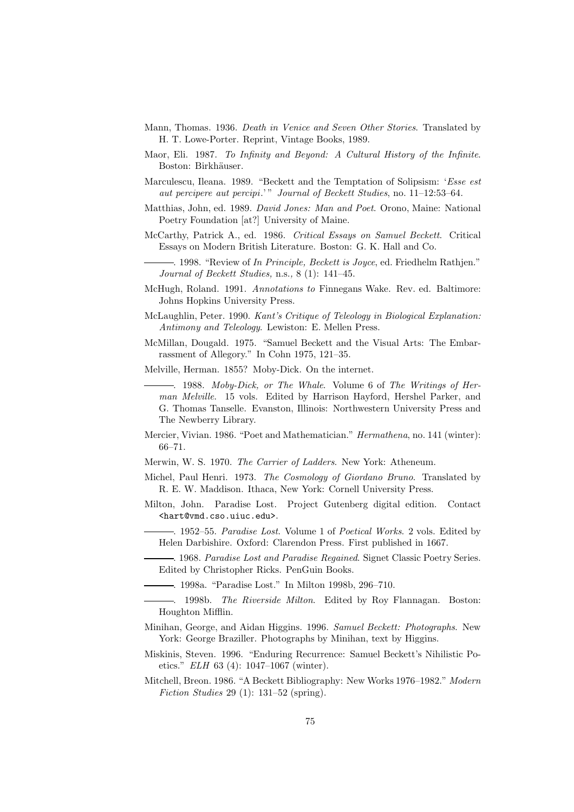- Mann, Thomas. 1936. *Death in Venice and Seven Other Stories*. Translated by H. T. Lowe-Porter. Reprint, Vintage Books, 1989.
- Maor, Eli. 1987. *To Infinity and Beyond: A Cultural History of the Infinite*. Boston: Birkhäuser.
- Marculescu, Ileana. 1989. "Beckett and the Temptation of Solipsism: '*Esse est aut percipere aut percipi*.' " *Journal of Beckett Studies*, no. 11–12:53–64.
- Matthias, John, ed. 1989. *David Jones: Man and Poet*. Orono, Maine: National Poetry Foundation [at?] University of Maine.
- McCarthy, Patrick A., ed. 1986. *Critical Essays on Samuel Beckett*. Critical Essays on Modern British Literature. Boston: G. K. Hall and Co.

. 1998. "Review of *In Principle, Beckett is Joyce*, ed. Friedhelm Rathjen." *Journal of Beckett Studies,* n.s.*,* 8 (1): 141–45.

- McHugh, Roland. 1991. *Annotations to* Finnegans Wake. Rev. ed. Baltimore: Johns Hopkins University Press.
- McLaughlin, Peter. 1990. *Kant's Critique of Teleology in Biological Explanation: Antimony and Teleology*. Lewiston: E. Mellen Press.
- McMillan, Dougald. 1975. "Samuel Beckett and the Visual Arts: The Embarrassment of Allegory." In Cohn 1975, 121–35.
- Melville, Herman. 1855? Moby-Dick. On the internet.
	- . 1988. *Moby-Dick, or The Whale*. Volume 6 of *The Writings of Herman Melville*. 15 vols. Edited by Harrison Hayford, Hershel Parker, and G. Thomas Tanselle. Evanston, Illinois: Northwestern University Press and The Newberry Library.
- Mercier, Vivian. 1986. "Poet and Mathematician." *Hermathena*, no. 141 (winter): 66–71.
- Merwin, W. S. 1970. *The Carrier of Ladders*. New York: Atheneum.
- Michel, Paul Henri. 1973. *The Cosmology of Giordano Bruno*. Translated by R. E. W. Maddison. Ithaca, New York: Cornell University Press.
- Milton, John. Paradise Lost. Project Gutenberg digital edition. Contact <hart@vmd.cso.uiuc.edu>.
	- . 1952–55. *Paradise Lost*. Volume 1 of *Poetical Works*. 2 vols. Edited by Helen Darbishire. Oxford: Clarendon Press. First published in 1667.
	- . 1968. *Paradise Lost and Paradise Regained*. Signet Classic Poetry Series. Edited by Christopher Ricks. PenGuin Books.
	- . 1998a. "Paradise Lost." In Milton 1998b, 296–710.
- . 1998b. *The Riverside Milton*. Edited by Roy Flannagan. Boston: Houghton Mifflin.
- Minihan, George, and Aidan Higgins. 1996. *Samuel Beckett: Photographs*. New York: George Braziller. Photographs by Minihan, text by Higgins.
- Miskinis, Steven. 1996. "Enduring Recurrence: Samuel Beckett's Nihilistic Poetics." *ELH* 63 (4): 1047–1067 (winter).
- Mitchell, Breon. 1986. "A Beckett Bibliography: New Works 1976–1982." *Modern Fiction Studies* 29 (1): 131–52 (spring).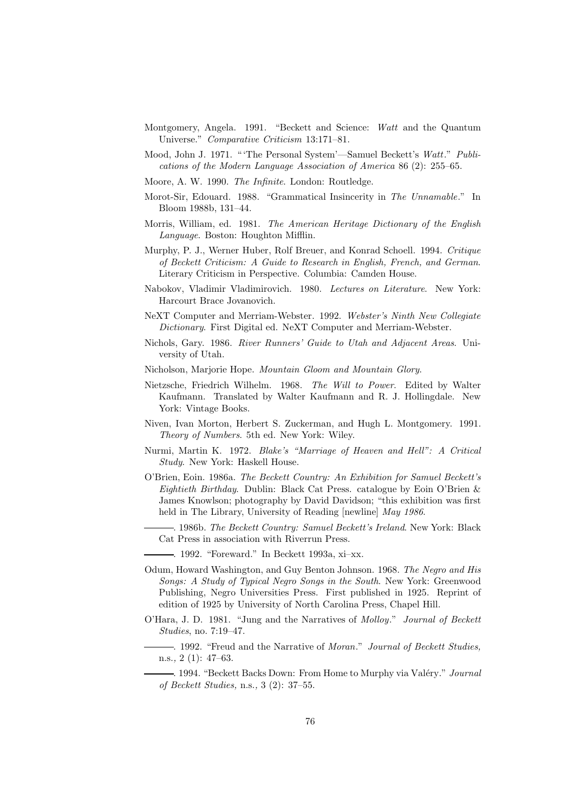- Montgomery, Angela. 1991. "Beckett and Science: *Watt* and the Quantum Universe." *Comparative Criticism* 13:171–81.
- Mood, John J. 1971. " 'The Personal System'—Samuel Beckett's *Watt*." *Publications of the Modern Language Association of America* 86 (2): 255–65.
- Moore, A. W. 1990. *The Infinite*. London: Routledge.
- Morot-Sir, Edouard. 1988. "Grammatical Insincerity in *The Unnamable*." In Bloom 1988b, 131–44.
- Morris, William, ed. 1981. *The American Heritage Dictionary of the English Language*. Boston: Houghton Mifflin.
- Murphy, P. J., Werner Huber, Rolf Breuer, and Konrad Schoell. 1994. *Critique of Beckett Criticism: A Guide to Research in English, French, and German*. Literary Criticism in Perspective. Columbia: Camden House.
- Nabokov, Vladimir Vladimirovich. 1980. *Lectures on Literature*. New York: Harcourt Brace Jovanovich.
- NeXT Computer and Merriam-Webster. 1992. *Webster's Ninth New Collegiate Dictionary*. First Digital ed. NeXT Computer and Merriam-Webster.
- Nichols, Gary. 1986. *River Runners' Guide to Utah and Adjacent Areas*. University of Utah.
- Nicholson, Marjorie Hope. *Mountain Gloom and Mountain Glory*.
- Nietzsche, Friedrich Wilhelm. 1968. *The Will to Power*. Edited by Walter Kaufmann. Translated by Walter Kaufmann and R. J. Hollingdale. New York: Vintage Books.
- Niven, Ivan Morton, Herbert S. Zuckerman, and Hugh L. Montgomery. 1991. *Theory of Numbers*. 5th ed. New York: Wiley.
- Nurmi, Martin K. 1972. *Blake's "Marriage of Heaven and Hell": A Critical Study*. New York: Haskell House.
- O'Brien, Eoin. 1986a. *The Beckett Country: An Exhibition for Samuel Beckett's Eightieth Birthday*. Dublin: Black Cat Press. catalogue by Eoin O'Brien & James Knowlson; photography by David Davidson; "this exhibition was first held in The Library, University of Reading [newline] *May 1986*.
	- . 1986b. *The Beckett Country: Samuel Beckett's Ireland*. New York: Black Cat Press in association with Riverrun Press.
	- . 1992. "Foreward." In Beckett 1993a, xi–xx.
- Odum, Howard Washington, and Guy Benton Johnson. 1968. *The Negro and His Songs: A Study of Typical Negro Songs in the South*. New York: Greenwood Publishing, Negro Universities Press. First published in 1925. Reprint of edition of 1925 by University of North Carolina Press, Chapel Hill.
- O'Hara, J. D. 1981. "Jung and the Narratives of *Molloy*." *Journal of Beckett Studies*, no. 7:19–47.
- . 1992. "Freud and the Narrative of *Moran*." *Journal of Beckett Studies,* n.s.*,* 2 (1): 47–63.
	- -. 1994. "Beckett Backs Down: From Home to Murphy via Valéry." *Journal of Beckett Studies,* n.s.*,* 3 (2): 37–55.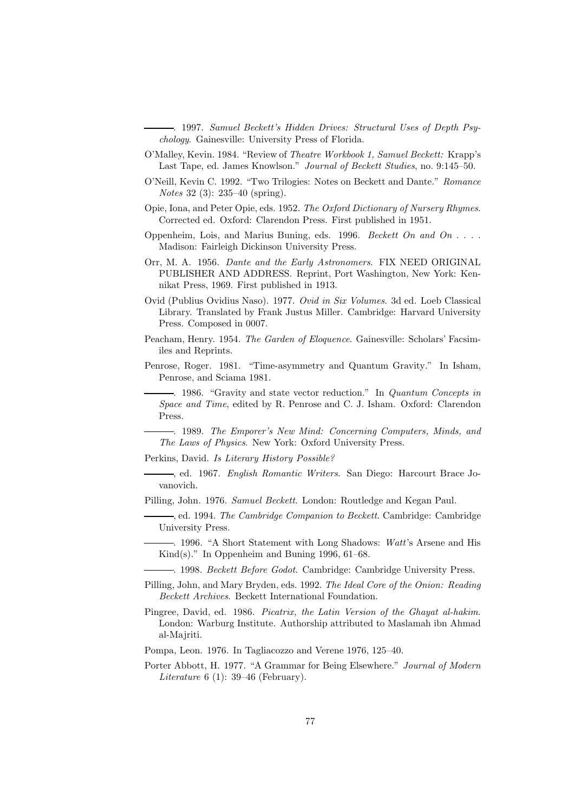. 1997. *Samuel Beckett's Hidden Drives: Structural Uses of Depth Psychology*. Gainesville: University Press of Florida.

- O'Malley, Kevin. 1984. "Review of *Theatre Workbook 1, Samuel Beckett:* Krapp's Last Tape, ed. James Knowlson." *Journal of Beckett Studies*, no. 9:145–50.
- O'Neill, Kevin C. 1992. "Two Trilogies: Notes on Beckett and Dante." *Romance Notes* 32 (3): 235–40 (spring).
- Opie, Iona, and Peter Opie, eds. 1952. *The Oxford Dictionary of Nursery Rhymes*. Corrected ed. Oxford: Clarendon Press. First published in 1951.
- Oppenheim, Lois, and Marius Buning, eds. 1996. *Beckett On and On . . .* . Madison: Fairleigh Dickinson University Press.
- Orr, M. A. 1956. *Dante and the Early Astronomers*. FIX NEED ORIGINAL PUBLISHER AND ADDRESS. Reprint, Port Washington, New York: Kennikat Press, 1969. First published in 1913.
- Ovid (Publius Ovidius Naso). 1977. *Ovid in Six Volumes*. 3d ed. Loeb Classical Library. Translated by Frank Justus Miller. Cambridge: Harvard University Press. Composed in 0007.
- Peacham, Henry. 1954. *The Garden of Eloquence*. Gainesville: Scholars' Facsimiles and Reprints.
- Penrose, Roger. 1981. "Time-asymmetry and Quantum Gravity." In Isham, Penrose, and Sciama 1981.
	- . 1986. "Gravity and state vector reduction." In *Quantum Concepts in Space and Time*, edited by R. Penrose and C. J. Isham. Oxford: Clarendon Press.
	- . 1989. *The Emporer's New Mind: Concerning Computers, Minds, and The Laws of Physics*. New York: Oxford University Press.
- Perkins, David. *Is Literary History Possible?*
- , ed. 1967. *English Romantic Writers*. San Diego: Harcourt Brace Jovanovich.
- Pilling, John. 1976. *Samuel Beckett*. London: Routledge and Kegan Paul.
	- , ed. 1994. *The Cambridge Companion to Beckett*. Cambridge: Cambridge University Press.
	- . 1996. "A Short Statement with Long Shadows: *Watt*'s Arsene and His Kind(s)." In Oppenheim and Buning 1996, 61–68.
	- . 1998. *Beckett Before Godot*. Cambridge: Cambridge University Press.
- Pilling, John, and Mary Bryden, eds. 1992. *The Ideal Core of the Onion: Reading Beckett Archives*. Beckett International Foundation.
- Pingree, David, ed. 1986. *Picatrix, the Latin Version of the Ghayat al-hakim*. London: Warburg Institute. Authorship attributed to Maslamah ibn Ahmad al-Majriti.
- Pompa, Leon. 1976. In Tagliacozzo and Verene 1976, 125–40.
- Porter Abbott, H. 1977. "A Grammar for Being Elsewhere." *Journal of Modern Literature* 6 (1): 39–46 (February).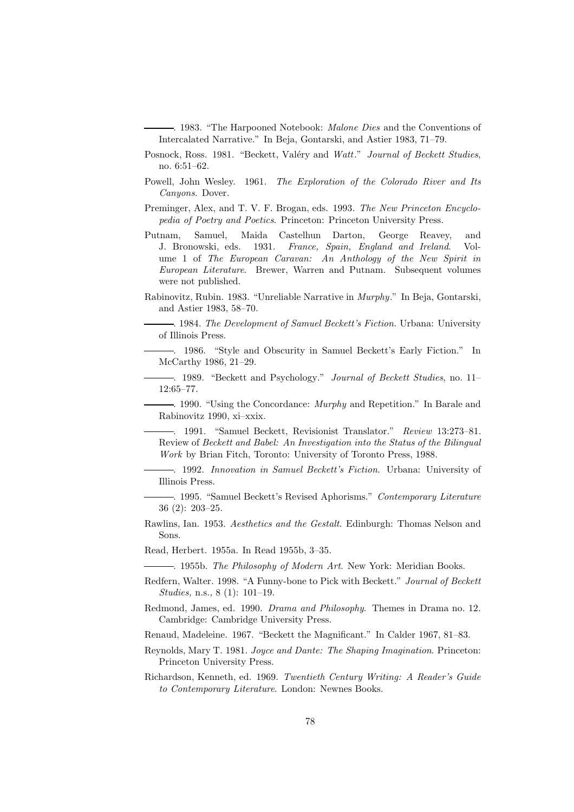. 1983. "The Harpooned Notebook: *Malone Dies* and the Conventions of Intercalated Narrative." In Beja, Gontarski, and Astier 1983, 71–79.

- Posnock, Ross. 1981. "Beckett, Valéry and *Watt*." *Journal of Beckett Studies*, no. 6:51–62.
- Powell, John Wesley. 1961. *The Exploration of the Colorado River and Its Canyons*. Dover.
- Preminger, Alex, and T. V. F. Brogan, eds. 1993. *The New Princeton Encyclopedia of Poetry and Poetics*. Princeton: Princeton University Press.
- Putnam, Samuel, Maida Castelhun Darton, George Reavey, and J. Bronowski, eds. 1931. *France, Spain, England and Ireland*. Volume 1 of *The European Caravan: An Anthology of the New Spirit in European Literature*. Brewer, Warren and Putnam. Subsequent volumes were not published.
- Rabinovitz, Rubin. 1983. "Unreliable Narrative in *Murphy*." In Beja, Gontarski, and Astier 1983, 58–70.

. 1984. *The Development of Samuel Beckett's Fiction*. Urbana: University of Illinois Press.

. 1986. "Style and Obscurity in Samuel Beckett's Early Fiction." In McCarthy 1986, 21–29.

. 1989. "Beckett and Psychology." *Journal of Beckett Studies*, no. 11– 12:65–77.

. 1990. "Using the Concordance: *Murphy* and Repetition." In Barale and Rabinovitz 1990, xi–xxix.

. 1991. "Samuel Beckett, Revisionist Translator." *Review* 13:273–81. Review of *Beckett and Babel: An Investigation into the Status of the Bilingual Work* by Brian Fitch, Toronto: University of Toronto Press, 1988.

. 1992. *Innovation in Samuel Beckett's Fiction*. Urbana: University of Illinois Press.

. 1995. "Samuel Beckett's Revised Aphorisms." *Contemporary Literature* 36 (2): 203–25.

- Rawlins, Ian. 1953. *Aesthetics and the Gestalt*. Edinburgh: Thomas Nelson and Sons.
- Read, Herbert. 1955a. In Read 1955b, 3–35.

. 1955b. *The Philosophy of Modern Art*. New York: Meridian Books.

- Redfern, Walter. 1998. "A Funny-bone to Pick with Beckett." *Journal of Beckett Studies,* n.s.*,* 8 (1): 101–19.
- Redmond, James, ed. 1990. *Drama and Philosophy*. Themes in Drama no. 12. Cambridge: Cambridge University Press.

Renaud, Madeleine. 1967. "Beckett the Magnificant." In Calder 1967, 81–83.

Reynolds, Mary T. 1981. *Joyce and Dante: The Shaping Imagination*. Princeton: Princeton University Press.

Richardson, Kenneth, ed. 1969. *Twentieth Century Writing: A Reader's Guide to Contemporary Literature*. London: Newnes Books.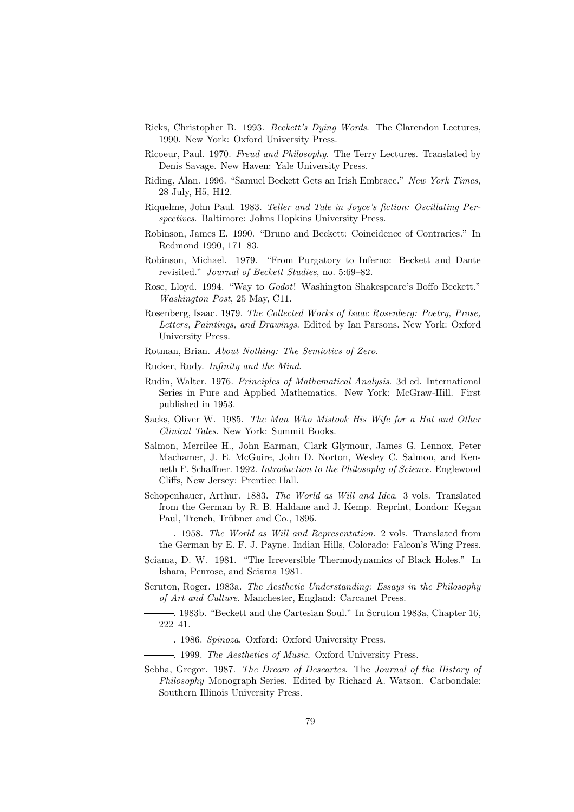- Ricks, Christopher B. 1993. *Beckett's Dying Words*. The Clarendon Lectures, 1990. New York: Oxford University Press.
- Ricoeur, Paul. 1970. *Freud and Philosophy*. The Terry Lectures. Translated by Denis Savage. New Haven: Yale University Press.
- Riding, Alan. 1996. "Samuel Beckett Gets an Irish Embrace." *New York Times*, 28 July, H5, H12.
- Riquelme, John Paul. 1983. *Teller and Tale in Joyce's fiction: Oscillating Perspectives*. Baltimore: Johns Hopkins University Press.
- Robinson, James E. 1990. "Bruno and Beckett: Coincidence of Contraries." In Redmond 1990, 171–83.
- Robinson, Michael. 1979. "From Purgatory to Inferno: Beckett and Dante revisited." *Journal of Beckett Studies*, no. 5:69–82.
- Rose, Lloyd. 1994. "Way to *Godot*! Washington Shakespeare's Boffo Beckett." *Washington Post*, 25 May, C11.
- Rosenberg, Isaac. 1979. *The Collected Works of Isaac Rosenberg: Poetry, Prose, Letters, Paintings, and Drawings*. Edited by Ian Parsons. New York: Oxford University Press.
- Rotman, Brian. *About Nothing: The Semiotics of Zero*.
- Rucker, Rudy. *Infinity and the Mind*.
- Rudin, Walter. 1976. *Principles of Mathematical Analysis*. 3d ed. International Series in Pure and Applied Mathematics. New York: McGraw-Hill. First published in 1953.
- Sacks, Oliver W. 1985. *The Man Who Mistook His Wife for a Hat and Other Clinical Tales*. New York: Summit Books.
- Salmon, Merrilee H., John Earman, Clark Glymour, James G. Lennox, Peter Machamer, J. E. McGuire, John D. Norton, Wesley C. Salmon, and Kenneth F. Schaffner. 1992. *Introduction to the Philosophy of Science*. Englewood Cliffs, New Jersey: Prentice Hall.
- Schopenhauer, Arthur. 1883. *The World as Will and Idea*. 3 vols. Translated from the German by R. B. Haldane and J. Kemp. Reprint, London: Kegan Paul, Trench, Trübner and Co., 1896.
	- . 1958. *The World as Will and Representation*. 2 vols. Translated from the German by E. F. J. Payne. Indian Hills, Colorado: Falcon's Wing Press.
- Sciama, D. W. 1981. "The Irreversible Thermodynamics of Black Holes." In Isham, Penrose, and Sciama 1981.
- Scruton, Roger. 1983a. *The Aesthetic Understanding: Essays in the Philosophy of Art and Culture*. Manchester, England: Carcanet Press.
- . 1983b. "Beckett and the Cartesian Soul." In Scruton 1983a, Chapter 16, 222–41.
- . 1986. *Spinoza*. Oxford: Oxford University Press.
- . 1999. *The Aesthetics of Music*. Oxford University Press.
- Sebha, Gregor. 1987. *The Dream of Descartes*. The *Journal of the History of Philosophy* Monograph Series. Edited by Richard A. Watson. Carbondale: Southern Illinois University Press.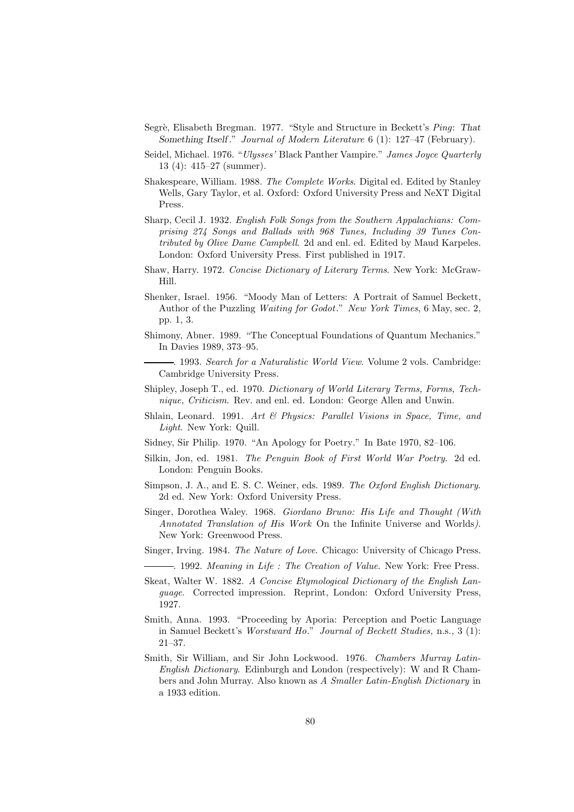- Segr`e, Elisabeth Bregman. 1977. "Style and Structure in Beckett's *Ping*: *That Something Itself* ." *Journal of Modern Literature* 6 (1): 127–47 (February).
- Seidel, Michael. 1976. "*Ulysses'* Black Panther Vampire." *James Joyce Quarterly* 13 (4): 415–27 (summer).
- Shakespeare, William. 1988. *The Complete Works*. Digital ed. Edited by Stanley Wells, Gary Taylor, et al. Oxford: Oxford University Press and NeXT Digital Press.
- Sharp, Cecil J. 1932. *English Folk Songs from the Southern Appalachians: Comprising 274 Songs and Ballads with 968 Tunes, Including 39 Tunes Contributed by Olive Dame Campbell*. 2d and enl. ed. Edited by Maud Karpeles. London: Oxford University Press. First published in 1917.
- Shaw, Harry. 1972. *Concise Dictionary of Literary Terms*. New York: McGraw-Hill.
- Shenker, Israel. 1956. "Moody Man of Letters: A Portrait of Samuel Beckett, Author of the Puzzling *Waiting for Godot*." *New York Times*, 6 May, sec. 2, pp. 1, 3.
- Shimony, Abner. 1989. "The Conceptual Foundations of Quantum Mechanics." In Davies 1989, 373–95.
	- . 1993. *Search for a Naturalistic World View*. Volume 2 vols. Cambridge: Cambridge University Press.
- Shipley, Joseph T., ed. 1970. *Dictionary of World Literary Terms, Forms, Technique, Criticism*. Rev. and enl. ed. London: George Allen and Unwin.
- Shlain, Leonard. 1991. *Art & Physics: Parallel Visions in Space, Time, and Light*. New York: Quill.
- Sidney, Sir Philip. 1970. "An Apology for Poetry." In Bate 1970, 82–106.
- Silkin, Jon, ed. 1981. *The Penguin Book of First World War Poetry*. 2d ed. London: Penguin Books.
- Simpson, J. A., and E. S. C. Weiner, eds. 1989. *The Oxford English Dictionary*. 2d ed. New York: Oxford University Press.
- Singer, Dorothea Waley. 1968. *Giordano Bruno: His Life and Thought (With Annotated Translation of His Work* On the Infinite Universe and Worlds*)*. New York: Greenwood Press.
- Singer, Irving. 1984. *The Nature of Love*. Chicago: University of Chicago Press.
	- . 1992. *Meaning in Life : The Creation of Value*. New York: Free Press.
- Skeat, Walter W. 1882. *A Concise Etymological Dictionary of the English Language*. Corrected impression. Reprint, London: Oxford University Press, 1927.
- Smith, Anna. 1993. "Proceeding by Aporia: Perception and Poetic Language in Samuel Beckett's *Worstward Ho*." *Journal of Beckett Studies,* n.s.*,* 3 (1): 21–37.
- Smith, Sir William, and Sir John Lockwood. 1976. *Chambers Murray Latin-English Dictionary*. Edinburgh and London (respectively): W and R Chambers and John Murray. Also known as *A Smaller Latin-English Dictionary* in a 1933 edition.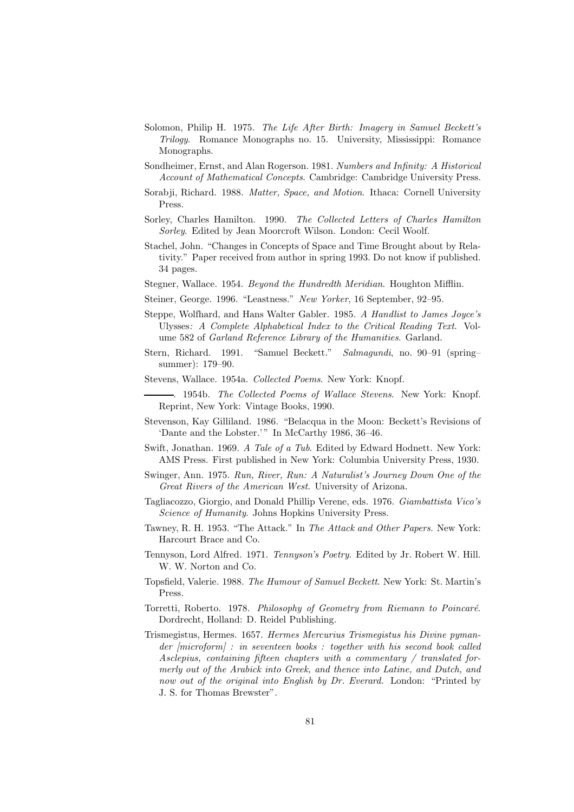- Solomon, Philip H. 1975. *The Life After Birth: Imagery in Samuel Beckett's Trilogy*. Romance Monographs no. 15. University, Mississippi: Romance Monographs.
- Sondheimer, Ernst, and Alan Rogerson. 1981. *Numbers and Infinity: A Historical Account of Mathematical Concepts*. Cambridge: Cambridge University Press.
- Sorabji, Richard. 1988. *Matter, Space, and Motion*. Ithaca: Cornell University Press.
- Sorley, Charles Hamilton. 1990. *The Collected Letters of Charles Hamilton Sorley*. Edited by Jean Moorcroft Wilson. London: Cecil Woolf.
- Stachel, John. "Changes in Concepts of Space and Time Brought about by Relativity." Paper received from author in spring 1993. Do not know if published. 34 pages.
- Stegner, Wallace. 1954. *Beyond the Hundredth Meridian*. Houghton Mifflin.
- Steiner, George. 1996. "Leastness." *New Yorker*, 16 September, 92–95.
- Steppe, Wolfhard, and Hans Walter Gabler. 1985. *A Handlist to James Joyce's* Ulysses*: A Complete Alphabetical Index to the Critical Reading Text*. Volume 582 of *Garland Reference Library of the Humanities*. Garland.
- Stern, Richard. 1991. "Samuel Beckett." *Salmagundi*, no. 90–91 (spring– summer): 179–90.
- Stevens, Wallace. 1954a. *Collected Poems*. New York: Knopf.
	- . 1954b. *The Collected Poems of Wallace Stevens*. New York: Knopf. Reprint, New York: Vintage Books, 1990.
- Stevenson, Kay Gilliland. 1986. "Belacqua in the Moon: Beckett's Revisions of 'Dante and the Lobster.'" In McCarthy 1986, 36-46.
- Swift, Jonathan. 1969. *A Tale of a Tub*. Edited by Edward Hodnett. New York: AMS Press. First published in New York: Columbia University Press, 1930.
- Swinger, Ann. 1975. *Run, River, Run: A Naturalist's Journey Down One of the Great Rivers of the American West*. University of Arizona.
- Tagliacozzo, Giorgio, and Donald Phillip Verene, eds. 1976. *Giambattista Vico's Science of Humanity*. Johns Hopkins University Press.
- Tawney, R. H. 1953. "The Attack." In *The Attack and Other Papers*. New York: Harcourt Brace and Co.
- Tennyson, Lord Alfred. 1971. *Tennyson's Poetry*. Edited by Jr. Robert W. Hill. W. W. Norton and Co.
- Topsfield, Valerie. 1988. *The Humour of Samuel Beckett*. New York: St. Martin's Press.
- Torretti, Roberto. 1978. *Philosophy of Geometry from Riemann to Poincaré.* Dordrecht, Holland: D. Reidel Publishing.
- Trismegistus, Hermes. 1657. *Hermes Mercurius Trismegistus his Divine pymander [microform] : in seventeen books : together with his second book called Asclepius, containing fifteen chapters with a commentary / translated formerly out of the Arabick into Greek, and thence into Latine, and Dutch, and now out of the original into English by Dr. Everard.* London: "Printed by J. S. for Thomas Brewster".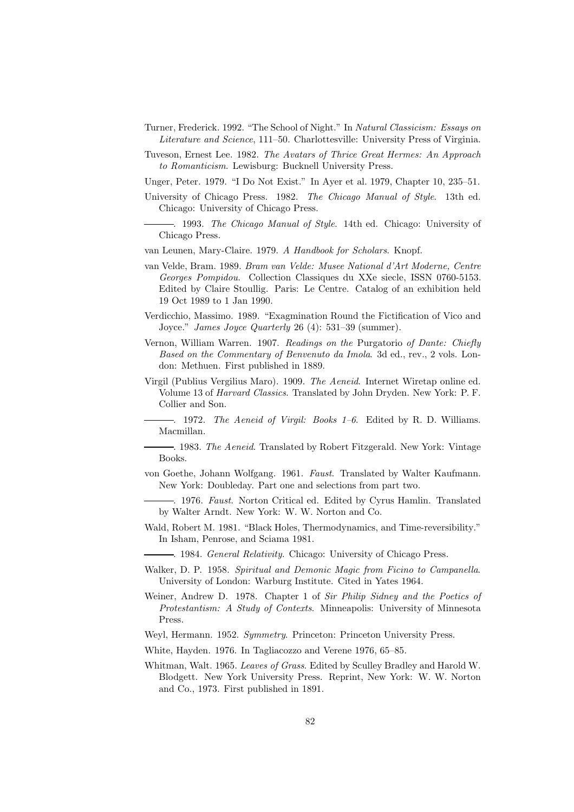- Turner, Frederick. 1992. "The School of Night." In *Natural Classicism: Essays on Literature and Science*, 111–50. Charlottesville: University Press of Virginia.
- Tuveson, Ernest Lee. 1982. *The Avatars of Thrice Great Hermes: An Approach to Romanticism*. Lewisburg: Bucknell University Press.
- Unger, Peter. 1979. "I Do Not Exist." In Ayer et al. 1979, Chapter 10, 235–51.
- University of Chicago Press. 1982. *The Chicago Manual of Style*. 13th ed. Chicago: University of Chicago Press.
- . 1993. *The Chicago Manual of Style*. 14th ed. Chicago: University of Chicago Press.
- van Leunen, Mary-Claire. 1979. *A Handbook for Scholars*. Knopf.
- van Velde, Bram. 1989. *Bram van Velde: Musee National d'Art Moderne, Centre Georges Pompidou*. Collection Classiques du XXe siecle, ISSN 0760-5153. Edited by Claire Stoullig. Paris: Le Centre. Catalog of an exhibition held 19 Oct 1989 to 1 Jan 1990.
- Verdicchio, Massimo. 1989. "Exagmination Round the Fictification of Vico and Joyce." *James Joyce Quarterly* 26 (4): 531–39 (summer).
- Vernon, William Warren. 1907. *Readings on the* Purgatorio *of Dante: Chiefly Based on the Commentary of Benvenuto da Imola*. 3d ed., rev., 2 vols. London: Methuen. First published in 1889.
- Virgil (Publius Vergilius Maro). 1909. *The Aeneid*. Internet Wiretap online ed. Volume 13 of *Harvard Classics*. Translated by John Dryden. New York: P. F. Collier and Son.
	- . 1972. *The Aeneid of Virgil: Books 1–6*. Edited by R. D. Williams. Macmillan.
	- . 1983. *The Aeneid*. Translated by Robert Fitzgerald. New York: Vintage Books.
- von Goethe, Johann Wolfgang. 1961. *Faust*. Translated by Walter Kaufmann. New York: Doubleday. Part one and selections from part two.
- . 1976. *Faust*. Norton Critical ed. Edited by Cyrus Hamlin. Translated by Walter Arndt. New York: W. W. Norton and Co.
- Wald, Robert M. 1981. "Black Holes, Thermodynamics, and Time-reversibility." In Isham, Penrose, and Sciama 1981.
	- . 1984. *General Relativity*. Chicago: University of Chicago Press.
- Walker, D. P. 1958. *Spiritual and Demonic Magic from Ficino to Campanella*. University of London: Warburg Institute. Cited in Yates 1964.
- Weiner, Andrew D. 1978. Chapter 1 of *Sir Philip Sidney and the Poetics of Protestantism: A Study of Contexts*. Minneapolis: University of Minnesota Press.
- Weyl, Hermann. 1952. *Symmetry*. Princeton: Princeton University Press.
- White, Hayden. 1976. In Tagliacozzo and Verene 1976, 65–85.
- Whitman, Walt. 1965. *Leaves of Grass*. Edited by Sculley Bradley and Harold W. Blodgett. New York University Press. Reprint, New York: W. W. Norton and Co., 1973. First published in 1891.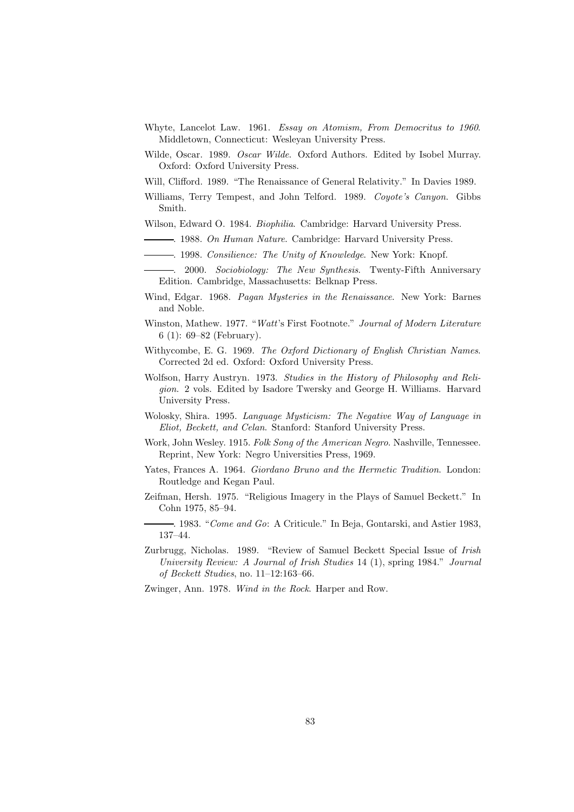- Whyte, Lancelot Law. 1961. *Essay on Atomism, From Democritus to 1960*. Middletown, Connecticut: Wesleyan University Press.
- Wilde, Oscar. 1989. *Oscar Wilde*. Oxford Authors. Edited by Isobel Murray. Oxford: Oxford University Press.
- Will, Clifford. 1989. "The Renaissance of General Relativity." In Davies 1989.
- Williams, Terry Tempest, and John Telford. 1989. *Coyote's Canyon*. Gibbs Smith.
- Wilson, Edward O. 1984. *Biophilia*. Cambridge: Harvard University Press.
- . 1988. *On Human Nature*. Cambridge: Harvard University Press.
- . 1998. *Consilience: The Unity of Knowledge*. New York: Knopf.
- . 2000. *Sociobiology: The New Synthesis*. Twenty-Fifth Anniversary Edition. Cambridge, Massachusetts: Belknap Press.
- Wind, Edgar. 1968. *Pagan Mysteries in the Renaissance*. New York: Barnes and Noble.
- Winston, Mathew. 1977. "*Watt*'s First Footnote." *Journal of Modern Literature* 6 (1): 69–82 (February).
- Withycombe, E. G. 1969. *The Oxford Dictionary of English Christian Names*. Corrected 2d ed. Oxford: Oxford University Press.
- Wolfson, Harry Austryn. 1973. *Studies in the History of Philosophy and Religion*. 2 vols. Edited by Isadore Twersky and George H. Williams. Harvard University Press.
- Wolosky, Shira. 1995. *Language Mysticism: The Negative Way of Language in Eliot, Beckett, and Celan*. Stanford: Stanford University Press.
- Work, John Wesley. 1915. *Folk Song of the American Negro*. Nashville, Tennessee. Reprint, New York: Negro Universities Press, 1969.
- Yates, Frances A. 1964. *Giordano Bruno and the Hermetic Tradition*. London: Routledge and Kegan Paul.
- Zeifman, Hersh. 1975. "Religious Imagery in the Plays of Samuel Beckett." In Cohn 1975, 85–94.
	- . 1983. "*Come and Go*: A Criticule." In Beja, Gontarski, and Astier 1983, 137–44.
- Zurbrugg, Nicholas. 1989. "Review of Samuel Beckett Special Issue of *Irish University Review: A Journal of Irish Studies* 14 (1), spring 1984." *Journal of Beckett Studies*, no. 11–12:163–66.
- Zwinger, Ann. 1978. *Wind in the Rock*. Harper and Row.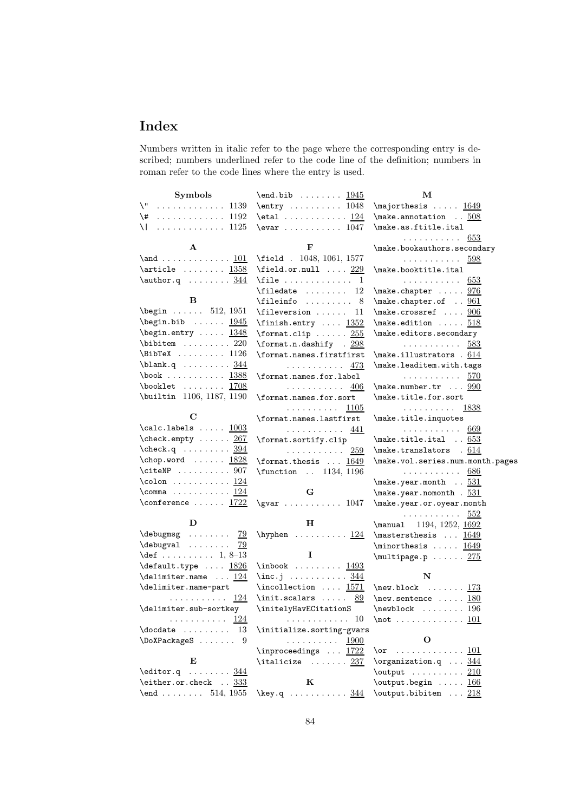## **Index**

Numbers written in italic refer to the page where the corresponding entry is described; numbers underlined refer to the code line of the definition; numbers in roman refer to the code lines where the entry is used.

| Symbols                                                                   | $\end{b}$ $1945$                                                                                                                                                                                                                                                                                                                                                                                                                                                             | М                                                   |
|---------------------------------------------------------------------------|------------------------------------------------------------------------------------------------------------------------------------------------------------------------------------------------------------------------------------------------------------------------------------------------------------------------------------------------------------------------------------------------------------------------------------------------------------------------------|-----------------------------------------------------|
| \"_<br>. 1139                                                             | $\text{entry} \ldots \ldots \ldots 1048$                                                                                                                                                                                                                                                                                                                                                                                                                                     | \majorthesis  1649                                  |
| $\{\star\}$ 1192                                                          | \etal $124$                                                                                                                                                                                                                                                                                                                                                                                                                                                                  | $\mathcal{S}$ . $\mathcal{S}$ 08                    |
| \   1125                                                                  | $\text{Vevar}$ 1047                                                                                                                                                                                                                                                                                                                                                                                                                                                          | \make.as.ftitle.ital                                |
|                                                                           |                                                                                                                                                                                                                                                                                                                                                                                                                                                                              | .<br>653                                            |
| A                                                                         | F                                                                                                                                                                                                                                                                                                                                                                                                                                                                            | \make.bookauthors.secondary                         |
| \and <u>101</u>                                                           | \field . 1048, 1061, 1577                                                                                                                                                                                                                                                                                                                                                                                                                                                    | .<br>598                                            |
| $\article \dots \dots \ 1358$                                             | $\theta$ .or.null  229                                                                                                                                                                                                                                                                                                                                                                                                                                                       | \make.booktitle.ital                                |
| $\{\text{author}.q \dots \dots \underline{344}$                           | $\text{file} \dots \dots \dots \dots \quad 1$                                                                                                                                                                                                                                                                                                                                                                                                                                | .<br>653                                            |
|                                                                           | $\theta$ 12                                                                                                                                                                                                                                                                                                                                                                                                                                                                  | \make.chapter  976                                  |
| в                                                                         | \fileinfo  8                                                                                                                                                                                                                                                                                                                                                                                                                                                                 | $\{\text{make.chapter.of}\ \ldots\ \frac{961}{2}\}$ |
| $\begin{bmatrix} \text{begin} 0.1951 \end{bmatrix}$                       | $\left\{ \text{if} \right\}$<br>-11                                                                                                                                                                                                                                                                                                                                                                                                                                          | $\{\text{make.crossref }\dots\ \frac{906}{100}\}$   |
| $\begin{bmatrix} \text{begin}} \\ \text{begin}} \end{bmatrix}$            | \finish.entry $1352$                                                                                                                                                                                                                                                                                                                                                                                                                                                         | $\{\text{make. edition} \dots \ 518\}$              |
| $\begin{bmatrix} \texttt{begin} \cdots & \texttt{1348} \end{bmatrix}$     | $\{\text{format.clip}\dots \dots \frac{255}{25}\}$                                                                                                                                                                                                                                                                                                                                                                                                                           | \make.editors.secondary                             |
| $\lambda$ 220                                                             | \format.n.dashify . 298                                                                                                                                                                                                                                                                                                                                                                                                                                                      | . 583                                               |
| $\Delta$ 1126                                                             | \format.names.firstfirst                                                                                                                                                                                                                                                                                                                                                                                                                                                     | \make.illustrators . 614                            |
| \blank.q <u>344</u>                                                       | . 473                                                                                                                                                                                                                                                                                                                                                                                                                                                                        | \make.leaditem.with.tags                            |
| \book <u>1388</u>                                                         | \format.names.for.label                                                                                                                                                                                                                                                                                                                                                                                                                                                      | . 570                                               |
| \booklet <u>1708</u>                                                      | .<br>406                                                                                                                                                                                                                                                                                                                                                                                                                                                                     | $\{\text{make.number.tr } \dots \frac{990}{100}\}$  |
| \builtin 1106, 1187, 1190                                                 | \format.names.for.sort                                                                                                                                                                                                                                                                                                                                                                                                                                                       | \make.title.for.sort                                |
|                                                                           | . 1105                                                                                                                                                                                                                                                                                                                                                                                                                                                                       | . 1838                                              |
| C                                                                         | \format.names.lastfirst                                                                                                                                                                                                                                                                                                                                                                                                                                                      | \make.title.inquotes                                |
| $\cal$ calc.labels $1003$                                                 | .<br>441                                                                                                                                                                                                                                                                                                                                                                                                                                                                     | .<br>669                                            |
| \check.empty  267                                                         | \format.sortify.clip                                                                                                                                                                                                                                                                                                                                                                                                                                                         | $\{\text{make.title.ital} \dots 653\}$              |
| $\texttt{\textbackslash} q$ $394$                                         | . 259                                                                                                                                                                                                                                                                                                                                                                                                                                                                        | \make.translators . 614                             |
| $\begin{bmatrix} \text{chop. word} & \ldots & 1828 \end{bmatrix}$         | \format.thesis  1649                                                                                                                                                                                                                                                                                                                                                                                                                                                         | \make.vol.series.num.month.pages                    |
| $\text{CiteNP}$ 907                                                       | \function  1134, 1196                                                                                                                                                                                                                                                                                                                                                                                                                                                        | . 686                                               |
| \colon <u>124</u>                                                         |                                                                                                                                                                                                                                                                                                                                                                                                                                                                              | $\verb+\make.year.month~~.531+$                     |
| $\texttt{\textbackslash} \texttt{comm} \dots \dots \dots \underline{124}$ | G                                                                                                                                                                                                                                                                                                                                                                                                                                                                            | $\mathcal{S}$ . year nomonth . $531$                |
| $\text{Conference} \ldots \ldots \frac{1722}{1722}$                       |                                                                                                                                                                                                                                                                                                                                                                                                                                                                              | \make.year.or.oyear.month                           |
|                                                                           |                                                                                                                                                                                                                                                                                                                                                                                                                                                                              | . 552                                               |
| D                                                                         | н                                                                                                                                                                                                                                                                                                                                                                                                                                                                            | \manual 1194, 1252, 1692                            |
|                                                                           | \hyphen $\dots\dots\dots \frac{124}{}$                                                                                                                                                                                                                                                                                                                                                                                                                                       | \mastersthesis  1649                                |
| \debugval<br><u>79</u>                                                    |                                                                                                                                                                                                                                                                                                                                                                                                                                                                              | \minorthesis $1649$                                 |
| $\texttt{def} \dots \dots \dots \ 1, \ 8\texttt{-}13$                     | 1                                                                                                                                                                                                                                                                                                                                                                                                                                                                            | $\mu$ ltipage.p  275                                |
| $\texttt{\texttt{default}.type} \dots \ \underline{1826}$                 | $\infty$ k  1493                                                                                                                                                                                                                                                                                                                                                                                                                                                             |                                                     |
| $\delta$ $124$                                                            | $\infty$ . $\ldots$ . $\frac{344}{1}$                                                                                                                                                                                                                                                                                                                                                                                                                                        | N                                                   |
| \delimiter.name-part                                                      | $\infty$ lection $1571$                                                                                                                                                                                                                                                                                                                                                                                                                                                      | \new.block $\dots 173$                              |
| 124<br>.                                                                  | $\init.\scals$<br>89                                                                                                                                                                                                                                                                                                                                                                                                                                                         | \new.sentence $\dots$ 180                           |
| \delimiter.sub-sortkey                                                    | \initelyHavECitationS                                                                                                                                                                                                                                                                                                                                                                                                                                                        | $\newblock \dots \dots 196$                         |
| $\cdots \cdots \cdots \frac{124}{124}$                                    | <sup>10</sup><br>$\mathcal{L}(\mathcal{L}(\mathcal{L}(\mathcal{L}(\mathcal{L}(\mathcal{L}(\mathcal{L}(\mathcal{L}(\mathcal{L}(\mathcal{L}(\mathcal{L}(\mathcal{L}(\mathcal{L}(\mathcal{L}(\mathcal{L}(\mathcal{L}(\mathcal{L}(\mathcal{L}(\mathcal{L}(\mathcal{L}(\mathcal{L}(\mathcal{L}(\mathcal{L}(\mathcal{L}(\mathcal{L}(\mathcal{L}(\mathcal{L}(\mathcal{L}(\mathcal{L}(\mathcal{L}(\mathcal{L}(\mathcal{L}(\mathcal{L}(\mathcal{L}(\mathcal{L}(\mathcal{L}(\mathcal{$ | \not <u>101</u>                                     |
| $\lambda$ docdate  13                                                     | \initialize.sorting-gvars                                                                                                                                                                                                                                                                                                                                                                                                                                                    | О                                                   |
| $\Delta 9$                                                                | .<br>1900                                                                                                                                                                                                                                                                                                                                                                                                                                                                    |                                                     |
| E                                                                         | \inproceedings $\ldots$ 1722                                                                                                                                                                                                                                                                                                                                                                                                                                                 |                                                     |
|                                                                           | $\tilde{}$ $\ldots$ $237$                                                                                                                                                                                                                                                                                                                                                                                                                                                    | $\text{Norganization}.q \dots \underline{344}$      |
| $\texttt{leditor.q} \dots \dots \underline{344}$<br>\either.or.check  333 | K                                                                                                                                                                                                                                                                                                                                                                                                                                                                            | $\text{output}$ 210                                 |
| $\text{end } \dots \dots \quad 514, 1955$                                 |                                                                                                                                                                                                                                                                                                                                                                                                                                                                              | $\output.begin  166$                                |
|                                                                           | \key.q 344                                                                                                                                                                                                                                                                                                                                                                                                                                                                   | \output.bibitem  218                                |